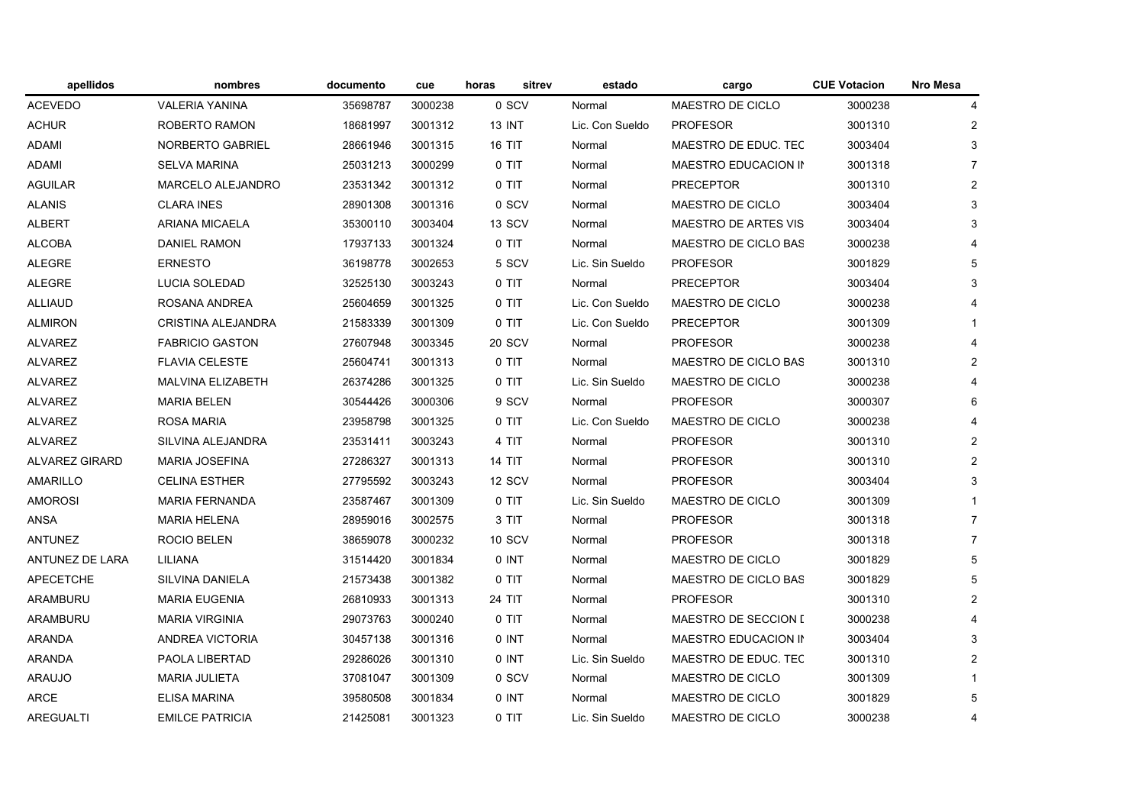| apellidos              | nombres                  | documento | cue     | sitrev<br>horas | estado          | cargo                       | <b>CUE Votacion</b> | <b>Nro Mesa</b> |
|------------------------|--------------------------|-----------|---------|-----------------|-----------------|-----------------------------|---------------------|-----------------|
| <b>ACEVEDO</b>         | <b>VALERIA YANINA</b>    | 35698787  | 3000238 | 0 SCV           | Normal          | MAESTRO DE CICLO            | 3000238             | 4               |
| ACHUR                  | <b>ROBERTO RAMON</b>     | 18681997  | 3001312 | <b>13 INT</b>   | Lic. Con Sueldo | <b>PROFESOR</b>             | 3001310             | $\overline{2}$  |
| ADAMI                  | NORBERTO GABRIEL         | 28661946  | 3001315 | <b>16 TIT</b>   | Normal          | MAESTRO DE EDUC. TEC        | 3003404             | 3               |
| ADAMI                  | <b>SELVA MARINA</b>      | 25031213  | 3000299 | 0 TIT           | Normal          | MAESTRO EDUCACION IN        | 3001318             | $\overline{7}$  |
| AGUILAR                | <b>MARCELO ALEJANDRO</b> | 23531342  | 3001312 | 0 TIT           | Normal          | <b>PRECEPTOR</b>            | 3001310             | $\overline{2}$  |
| <b>ALANIS</b>          | <b>CLARA INES</b>        | 28901308  | 3001316 | 0 SCV           | Normal          | MAESTRO DE CICLO            | 3003404             | 3               |
| <b>ALBERT</b>          | <b>ARIANA MICAELA</b>    | 35300110  | 3003404 | 13 SCV          | Normal          | MAESTRO DE ARTES VIS        | 3003404             | 3               |
| <b>ALCOBA</b>          | <b>DANIEL RAMON</b>      | 17937133  | 3001324 | 0 TIT           | Normal          | MAESTRO DE CICLO BAS        | 3000238             | $\overline{4}$  |
| <b>ALEGRE</b>          | <b>ERNESTO</b>           | 36198778  | 3002653 | 5 SCV           | Lic. Sin Sueldo | <b>PROFESOR</b>             | 3001829             | 5               |
| <b>ALEGRE</b>          | <b>LUCIA SOLEDAD</b>     | 32525130  | 3003243 | 0 TIT           | Normal          | <b>PRECEPTOR</b>            | 3003404             | 3               |
| <b>ALLIAUD</b>         | ROSANA ANDREA            | 25604659  | 3001325 | 0 TIT           | Lic. Con Sueldo | MAESTRO DE CICLO            | 3000238             |                 |
| <b>ALMIRON</b>         | CRISTINA ALEJANDRA       | 21583339  | 3001309 | 0 TIT           | Lic. Con Sueldo | <b>PRECEPTOR</b>            | 3001309             | $\mathbf{1}$    |
| <b>ALVAREZ</b>         | <b>FABRICIO GASTON</b>   | 27607948  | 3003345 | 20 SCV          | Normal          | <b>PROFESOR</b>             | 3000238             | $\overline{4}$  |
| ALVAREZ                | <b>FLAVIA CELESTE</b>    | 25604741  | 3001313 | 0 TIT           | Normal          | <b>MAESTRO DE CICLO BAS</b> | 3001310             | $\overline{2}$  |
| ALVAREZ                | MALVINA ELIZABETH        | 26374286  | 3001325 | 0 TIT           | Lic. Sin Sueldo | MAESTRO DE CICLO            | 3000238             | $\overline{4}$  |
| ALVAREZ                | <b>MARIA BELEN</b>       | 30544426  | 3000306 | 9 SCV           | Normal          | <b>PROFESOR</b>             | 3000307             | 6               |
| <b>ALVAREZ</b>         | <b>ROSA MARIA</b>        | 23958798  | 3001325 | 0 TIT           | Lic. Con Sueldo | MAESTRO DE CICLO            | 3000238             | $\overline{4}$  |
| ALVAREZ                | SILVINA ALEJANDRA        | 23531411  | 3003243 | 4 TIT           | Normal          | <b>PROFESOR</b>             | 3001310             | $\overline{2}$  |
| ALVAREZ GIRARD         | <b>MARIA JOSEFINA</b>    | 27286327  | 3001313 | <b>14 TIT</b>   | Normal          | <b>PROFESOR</b>             | 3001310             | $\overline{2}$  |
| AMARILLO               | <b>CELINA ESTHER</b>     | 27795592  | 3003243 | 12 SCV          | Normal          | <b>PROFESOR</b>             | 3003404             | 3               |
| <b>AMOROSI</b>         | <b>MARIA FERNANDA</b>    | 23587467  | 3001309 | 0 TIT           | Lic. Sin Sueldo | MAESTRO DE CICLO            | 3001309             | $\mathbf{1}$    |
| ANSA                   | <b>MARIA HELENA</b>      | 28959016  | 3002575 | 3 TIT           | Normal          | <b>PROFESOR</b>             | 3001318             | $\overline{7}$  |
| <b>ANTUNEZ</b>         | <b>ROCIO BELEN</b>       | 38659078  | 3000232 | 10 SCV          | Normal          | <b>PROFESOR</b>             | 3001318             | $\overline{7}$  |
| <b>ANTUNEZ DE LARA</b> | LILIANA                  | 31514420  | 3001834 | 0 INT           | Normal          | MAESTRO DE CICLO            | 3001829             | 5               |
| APECETCHE              | SILVINA DANIELA          | 21573438  | 3001382 | 0 TIT           | Normal          | MAESTRO DE CICLO BAS        | 3001829             | 5               |
| ARAMBURU               | <b>MARIA EUGENIA</b>     | 26810933  | 3001313 | 24 TIT          | Normal          | <b>PROFESOR</b>             | 3001310             | $\overline{c}$  |
| ARAMBURU               | <b>MARIA VIRGINIA</b>    | 29073763  | 3000240 | 0 TIT           | Normal          | MAESTRO DE SECCION I        | 3000238             | 4               |
| <b>ARANDA</b>          | <b>ANDREA VICTORIA</b>   | 30457138  | 3001316 | 0 INT           | Normal          | MAESTRO EDUCACION IN        | 3003404             | 3               |
| <b>ARANDA</b>          | <b>PAOLA LIBERTAD</b>    | 29286026  | 3001310 | 0 INT           | Lic. Sin Sueldo | MAESTRO DE EDUC. TEC        | 3001310             | $\overline{2}$  |
| ARAUJO                 | <b>MARIA JULIETA</b>     | 37081047  | 3001309 | 0 SCV           | Normal          | MAESTRO DE CICLO            | 3001309             | -1              |
| ARCE                   | <b>ELISA MARINA</b>      | 39580508  | 3001834 | 0 INT           | Normal          | MAESTRO DE CICLO            | 3001829             | 5               |
| AREGUALTI              | <b>EMILCE PATRICIA</b>   | 21425081  | 3001323 | 0 TIT           | Lic. Sin Sueldo | MAESTRO DE CICLO            | 3000238             | 4               |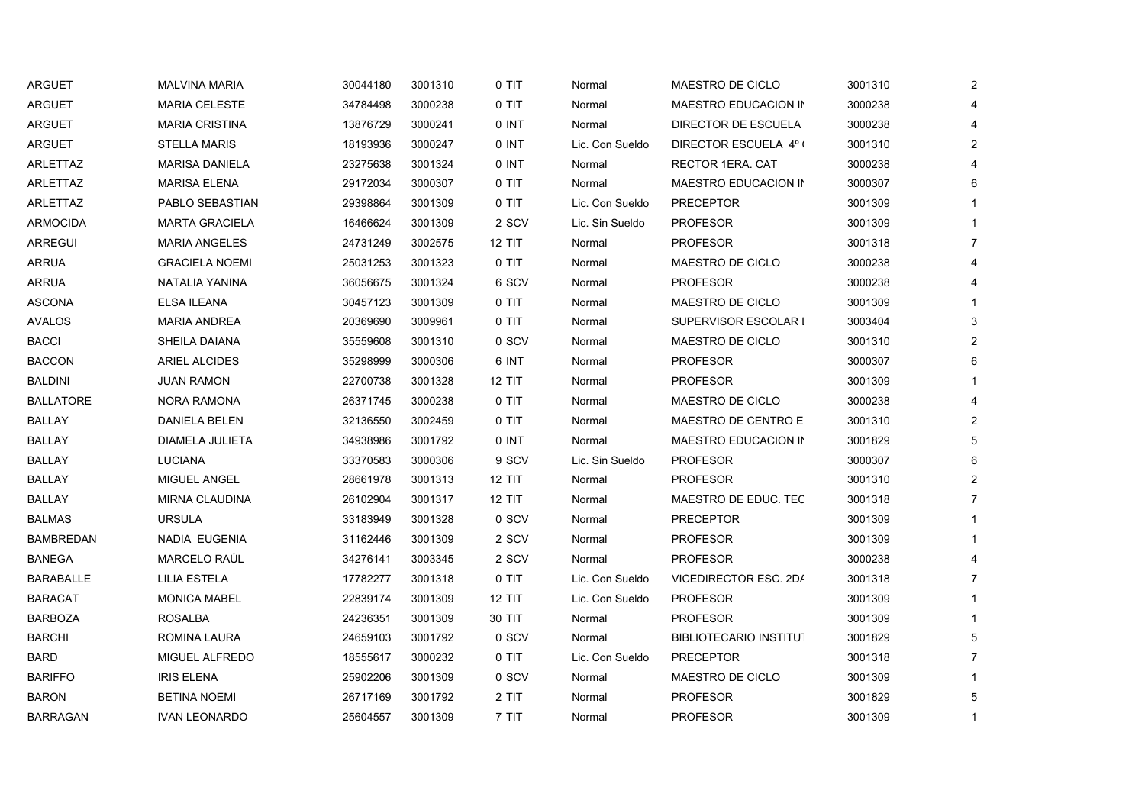| <b>ARGUET</b>    | <b>MALVINA MARIA</b>  | 30044180 | 3001310 | 0 TIT         | Normal          | MAESTRO DE CICLO              | 3001310 | 2              |
|------------------|-----------------------|----------|---------|---------------|-----------------|-------------------------------|---------|----------------|
| <b>ARGUET</b>    | <b>MARIA CELESTE</b>  | 34784498 | 3000238 | 0 TIT         | Normal          | MAESTRO EDUCACION IN          | 3000238 |                |
| ARGUET           | <b>MARIA CRISTINA</b> | 13876729 | 3000241 | 0 INT         | Normal          | DIRECTOR DE ESCUELA           | 3000238 |                |
| <b>ARGUET</b>    | <b>STELLA MARIS</b>   | 18193936 | 3000247 | 0 INT         | Lic. Con Sueldo | DIRECTOR ESCUELA 4º (         | 3001310 |                |
| ARLETTAZ         | <b>MARISA DANIELA</b> | 23275638 | 3001324 | 0 INT         | Normal          | RECTOR 1ERA. CAT              | 3000238 |                |
| ARLETTAZ         | <b>MARISA ELENA</b>   | 29172034 | 3000307 | 0 TIT         | Normal          | MAESTRO EDUCACION IN          | 3000307 |                |
| ARLETTAZ         | PABLO SEBASTIAN       | 29398864 | 3001309 | 0 TIT         | Lic. Con Sueldo | <b>PRECEPTOR</b>              | 3001309 |                |
| <b>ARMOCIDA</b>  | <b>MARTA GRACIELA</b> | 16466624 | 3001309 | 2 SCV         | Lic. Sin Sueldo | <b>PROFESOR</b>               | 3001309 |                |
| <b>ARREGUI</b>   | <b>MARIA ANGELES</b>  | 24731249 | 3002575 | 12 TIT        | Normal          | <b>PROFESOR</b>               | 3001318 |                |
| <b>ARRUA</b>     | <b>GRACIELA NOEMI</b> | 25031253 | 3001323 | 0 TIT         | Normal          | MAESTRO DE CICLO              | 3000238 |                |
| ARRUA            | NATALIA YANINA        | 36056675 | 3001324 | 6 SCV         | Normal          | <b>PROFESOR</b>               | 3000238 |                |
| <b>ASCONA</b>    | ELSA ILEANA           | 30457123 | 3001309 | 0 TIT         | Normal          | MAESTRO DE CICLO              | 3001309 |                |
| <b>AVALOS</b>    | <b>MARIA ANDREA</b>   | 20369690 | 3009961 | 0 TIT         | Normal          | SUPERVISOR ESCOLAR I          | 3003404 |                |
| <b>BACCI</b>     | SHEILA DAIANA         | 35559608 | 3001310 | 0 SCV         | Normal          | MAESTRO DE CICLO              | 3001310 |                |
| <b>BACCON</b>    | ARIEL ALCIDES         | 35298999 | 3000306 | 6 INT         | Normal          | <b>PROFESOR</b>               | 3000307 |                |
| <b>BALDINI</b>   | <b>JUAN RAMON</b>     | 22700738 | 3001328 | <b>12 TIT</b> | Normal          | <b>PROFESOR</b>               | 3001309 |                |
| <b>BALLATORE</b> | NORA RAMONA           | 26371745 | 3000238 | 0 TIT         | Normal          | MAESTRO DE CICLO              | 3000238 |                |
| <b>BALLAY</b>    | <b>DANIELA BELEN</b>  | 32136550 | 3002459 | 0 TIT         | Normal          | MAESTRO DE CENTRO E           | 3001310 | 2              |
| BALLAY           | DIAMELA JULIETA       | 34938986 | 3001792 | 0 INT         | Normal          | MAESTRO EDUCACION IN          | 3001829 |                |
| <b>BALLAY</b>    | <b>LUCIANA</b>        | 33370583 | 3000306 | 9 SCV         | Lic. Sin Sueldo | <b>PROFESOR</b>               | 3000307 |                |
| BALLAY           | MIGUEL ANGEL          | 28661978 | 3001313 | 12 TIT        | Normal          | <b>PROFESOR</b>               | 3001310 |                |
| BALLAY           | <b>MIRNA CLAUDINA</b> | 26102904 | 3001317 | <b>12 TIT</b> | Normal          | MAESTRO DE EDUC. TEC          | 3001318 | $\overline{7}$ |
| <b>BALMAS</b>    | <b>URSULA</b>         | 33183949 | 3001328 | 0 SCV         | Normal          | <b>PRECEPTOR</b>              | 3001309 |                |
| <b>BAMBREDAN</b> | NADIA EUGENIA         | 31162446 | 3001309 | 2 SCV         | Normal          | <b>PROFESOR</b>               | 3001309 |                |
| <b>BANEGA</b>    | MARCELO RAÚL          | 34276141 | 3003345 | 2 SCV         | Normal          | <b>PROFESOR</b>               | 3000238 |                |
| BARABALLE        | LILIA ESTELA          | 17782277 | 3001318 | 0 TIT         | Lic. Con Sueldo | VICEDIRECTOR ESC. 2D/         | 3001318 |                |
| <b>BARACAT</b>   | <b>MONICA MABEL</b>   | 22839174 | 3001309 | 12 TIT        | Lic. Con Sueldo | <b>PROFESOR</b>               | 3001309 |                |
| BARBOZA          | ROSALBA               | 24236351 | 3001309 | 30 TIT        | Normal          | <b>PROFESOR</b>               | 3001309 |                |
| <b>BARCHI</b>    | ROMINA LAURA          | 24659103 | 3001792 | 0 SCV         | Normal          | <b>BIBLIOTECARIO INSTITUT</b> | 3001829 | 5              |
| BARD             | <b>MIGUEL ALFREDO</b> | 18555617 | 3000232 | 0 TIT         | Lic. Con Sueldo | <b>PRECEPTOR</b>              | 3001318 |                |
| <b>BARIFFO</b>   | <b>IRIS ELENA</b>     | 25902206 | 3001309 | 0 SCV         | Normal          | MAESTRO DE CICLO              | 3001309 |                |
| <b>BARON</b>     | <b>BETINA NOEMI</b>   | 26717169 | 3001792 | 2 TIT         | Normal          | <b>PROFESOR</b>               | 3001829 | 5              |
| <b>BARRAGAN</b>  | <b>IVAN LEONARDO</b>  | 25604557 | 3001309 | 7 TIT         | Normal          | <b>PROFESOR</b>               | 3001309 | -1             |
|                  |                       |          |         |               |                 |                               |         |                |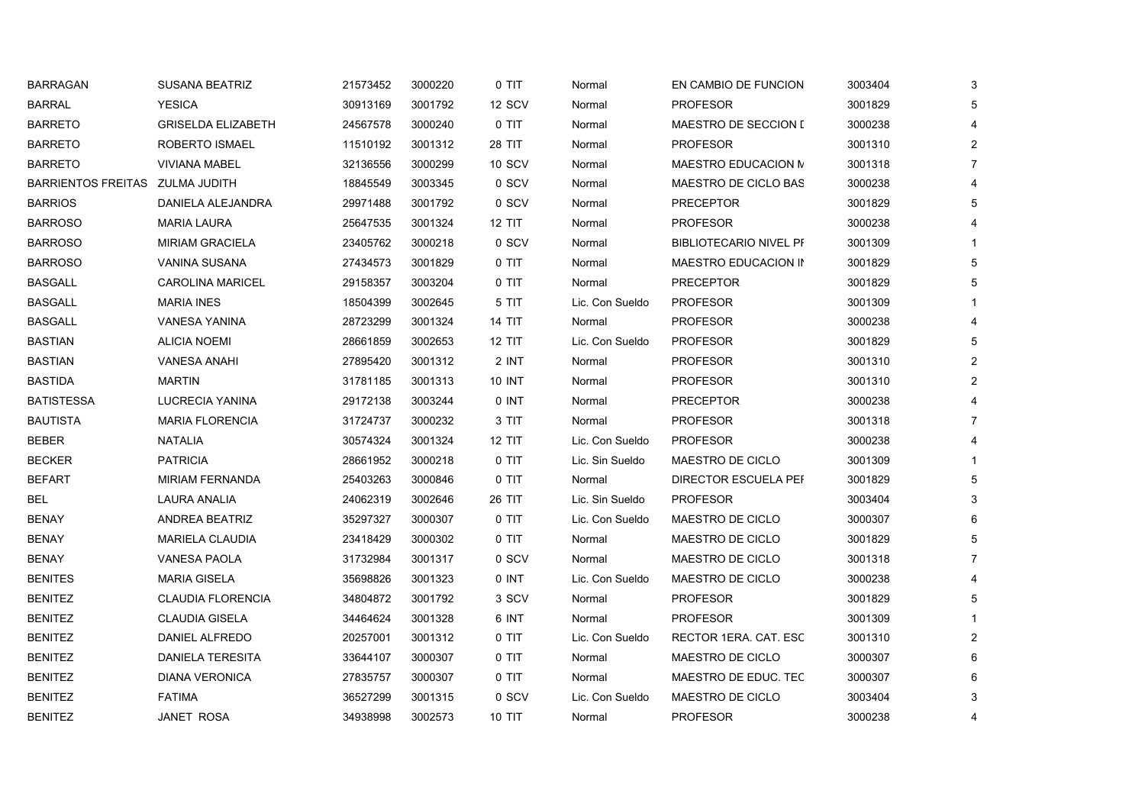| BARRAGAN                         | <b>SUSANA BEATRIZ</b>     | 21573452 | 3000220 | 0 TIT         | Normal          | EN CAMBIO DE FUNCION          | 3003404 | 3              |
|----------------------------------|---------------------------|----------|---------|---------------|-----------------|-------------------------------|---------|----------------|
| <b>BARRAL</b>                    | <b>YESICA</b>             | 30913169 | 3001792 | 12 SCV        | Normal          | <b>PROFESOR</b>               | 3001829 | 5              |
| <b>BARRETO</b>                   | <b>GRISELDA ELIZABETH</b> | 24567578 | 3000240 | 0 TIT         | Normal          | MAESTRO DE SECCION I          | 3000238 | 4              |
| <b>BARRETO</b>                   | ROBERTO ISMAEL            | 11510192 | 3001312 | 28 TIT        | Normal          | <b>PROFESOR</b>               | 3001310 | $\overline{2}$ |
| BARRETO                          | <b>VIVIANA MABEL</b>      | 32136556 | 3000299 | 10 SCV        | Normal          | MAESTRO EDUCACION M           | 3001318 | $\overline{7}$ |
| BARRIENTOS FREITAS  ZULMA JUDITH |                           | 18845549 | 3003345 | 0 SCV         | Normal          | MAESTRO DE CICLO BAS          | 3000238 | 4              |
| <b>BARRIOS</b>                   | DANIELA ALEJANDRA         | 29971488 | 3001792 | 0 SCV         | Normal          | <b>PRECEPTOR</b>              | 3001829 | 5              |
| <b>BARROSO</b>                   | <b>MARIA LAURA</b>        | 25647535 | 3001324 | <b>12 TIT</b> | Normal          | <b>PROFESOR</b>               | 3000238 | 4              |
| <b>BARROSO</b>                   | <b>MIRIAM GRACIELA</b>    | 23405762 | 3000218 | 0 SCV         | Normal          | <b>BIBLIOTECARIO NIVEL PF</b> | 3001309 |                |
| <b>BARROSO</b>                   | <b>VANINA SUSANA</b>      | 27434573 | 3001829 | 0 TIT         | Normal          | MAESTRO EDUCACION IN          | 3001829 | 5              |
| <b>BASGALL</b>                   | <b>CAROLINA MARICEL</b>   | 29158357 | 3003204 | 0 TIT         | Normal          | <b>PRECEPTOR</b>              | 3001829 | 5              |
| BASGALL                          | <b>MARIA INES</b>         | 18504399 | 3002645 | 5 TIT         | Lic. Con Sueldo | <b>PROFESOR</b>               | 3001309 |                |
| <b>BASGALL</b>                   | VANESA YANINA             | 28723299 | 3001324 | <b>14 TIT</b> | Normal          | <b>PROFESOR</b>               | 3000238 | 4              |
| <b>BASTIAN</b>                   | <b>ALICIA NOEMI</b>       | 28661859 | 3002653 | 12 TIT        | Lic. Con Sueldo | <b>PROFESOR</b>               | 3001829 | 5              |
| <b>BASTIAN</b>                   | <b>VANESA ANAHI</b>       | 27895420 | 3001312 | 2 INT         | Normal          | <b>PROFESOR</b>               | 3001310 | $\overline{2}$ |
| <b>BASTIDA</b>                   | <b>MARTIN</b>             | 31781185 | 3001313 | 10 INT        | Normal          | <b>PROFESOR</b>               | 3001310 | $\overline{2}$ |
| <b>BATISTESSA</b>                | <b>LUCRECIA YANINA</b>    | 29172138 | 3003244 | 0 INT         | Normal          | <b>PRECEPTOR</b>              | 3000238 | 4              |
| <b>BAUTISTA</b>                  | <b>MARIA FLORENCIA</b>    | 31724737 | 3000232 | 3 TIT         | Normal          | <b>PROFESOR</b>               | 3001318 | $\overline{7}$ |
| <b>BEBER</b>                     | NATALIA                   | 30574324 | 3001324 | 12 TIT        | Lic. Con Sueldo | <b>PROFESOR</b>               | 3000238 | 4              |
| <b>BECKER</b>                    | <b>PATRICIA</b>           | 28661952 | 3000218 | 0 TIT         | Lic. Sin Sueldo | MAESTRO DE CICLO              | 3001309 | 1              |
| <b>BEFART</b>                    | <b>MIRIAM FERNANDA</b>    | 25403263 | 3000846 | 0 TIT         | Normal          | DIRECTOR ESCUELA PEF          | 3001829 | 5              |
| BEL                              | LAURA ANALIA              | 24062319 | 3002646 | 26 TIT        | Lic. Sin Sueldo | <b>PROFESOR</b>               | 3003404 | 3              |
| <b>BENAY</b>                     | ANDREA BEATRIZ            | 35297327 | 3000307 | 0 TIT         | Lic. Con Sueldo | MAESTRO DE CICLO              | 3000307 | 6              |
| <b>BENAY</b>                     | <b>MARIELA CLAUDIA</b>    | 23418429 | 3000302 | 0 TIT         | Normal          | MAESTRO DE CICLO              | 3001829 | 5              |
| <b>BENAY</b>                     | <b>VANESA PAOLA</b>       | 31732984 | 3001317 | 0 SCV         | Normal          | MAESTRO DE CICLO              | 3001318 | $\overline{7}$ |
| <b>BENITES</b>                   | <b>MARIA GISELA</b>       | 35698826 | 3001323 | 0 INT         | Lic. Con Sueldo | MAESTRO DE CICLO              | 3000238 | 4              |
| <b>BENITEZ</b>                   | <b>CLAUDIA FLORENCIA</b>  | 34804872 | 3001792 | 3 SCV         | Normal          | <b>PROFESOR</b>               | 3001829 | 5              |
| <b>BENITEZ</b>                   | <b>CLAUDIA GISELA</b>     | 34464624 | 3001328 | 6 INT         | Normal          | <b>PROFESOR</b>               | 3001309 |                |
| <b>BENITEZ</b>                   | DANIEL ALFREDO            | 20257001 | 3001312 | 0 TIT         | Lic. Con Sueldo | RECTOR 1ERA. CAT. ESC         | 3001310 | $\overline{2}$ |
| <b>BENITEZ</b>                   | <b>DANIELA TERESITA</b>   | 33644107 | 3000307 | 0 TIT         | Normal          | MAESTRO DE CICLO              | 3000307 | 6              |
| <b>BENITEZ</b>                   | <b>DIANA VERONICA</b>     | 27835757 | 3000307 | 0 TIT         | Normal          | MAESTRO DE EDUC. TEC          | 3000307 | 6              |
| <b>BENITEZ</b>                   | <b>FATIMA</b>             | 36527299 | 3001315 | 0 SCV         | Lic. Con Sueldo | MAESTRO DE CICLO              | 3003404 | 3              |
| <b>BENITEZ</b>                   | JANET ROSA                | 34938998 | 3002573 | 10 TIT        | Normal          | <b>PROFESOR</b>               | 3000238 | 4              |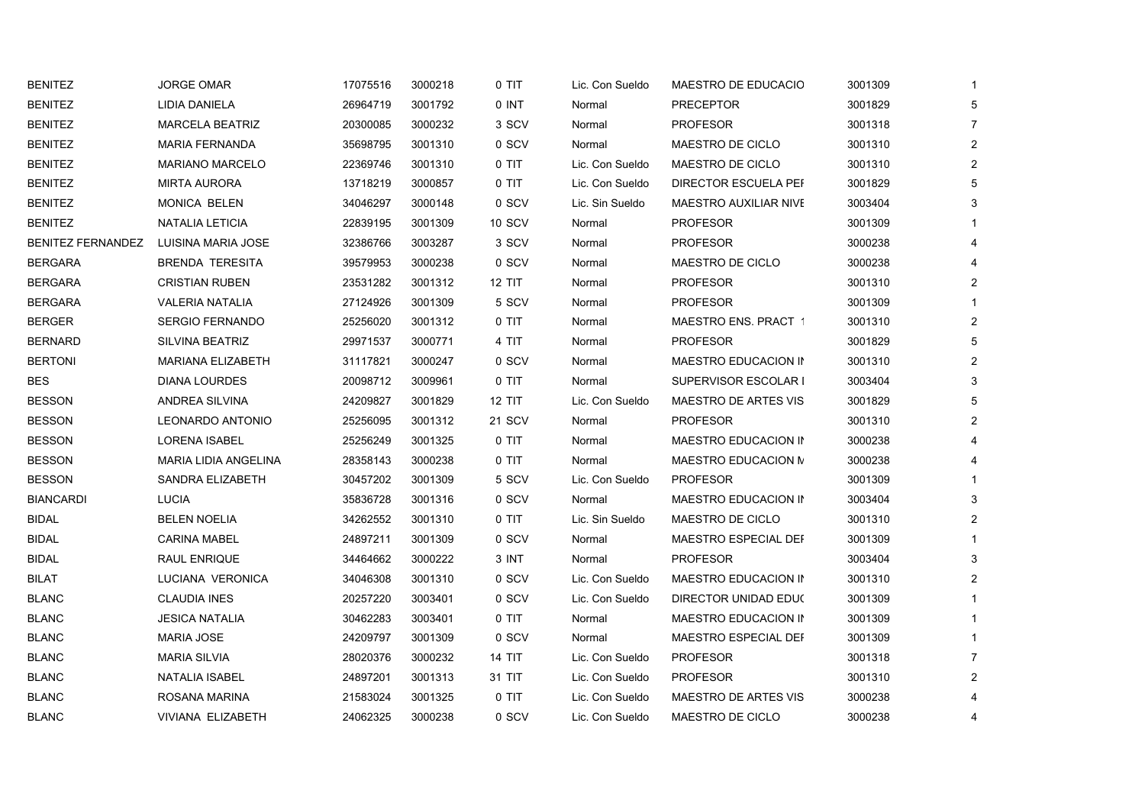| <b>BENITEZ</b>    | <b>JORGE OMAR</b>        | 17075516 | 3000218 | $0$ TIT       | Lic. Con Sueldo | MAESTRO DE EDUCACIO          | 3001309 | $\mathbf{1}$   |
|-------------------|--------------------------|----------|---------|---------------|-----------------|------------------------------|---------|----------------|
| <b>BENITEZ</b>    | LIDIA DANIELA            | 26964719 | 3001792 | $0$ INT       | Normal          | <b>PRECEPTOR</b>             | 3001829 | 5              |
| <b>BENITEZ</b>    | <b>MARCELA BEATRIZ</b>   | 20300085 | 3000232 | 3 SCV         | Normal          | <b>PROFESOR</b>              | 3001318 | $\overline{7}$ |
| <b>BENITEZ</b>    | <b>MARIA FERNANDA</b>    | 35698795 | 3001310 | 0 SCV         | Normal          | MAESTRO DE CICLO             | 3001310 | $\overline{2}$ |
| <b>BENITEZ</b>    | <b>MARIANO MARCELO</b>   | 22369746 | 3001310 | 0 TIT         | Lic. Con Sueldo | MAESTRO DE CICLO             | 3001310 | $\overline{2}$ |
| <b>BENITEZ</b>    | <b>MIRTA AURORA</b>      | 13718219 | 3000857 | 0 TIT         | Lic. Con Sueldo | DIRECTOR ESCUELA PEF         | 3001829 | 5              |
| <b>BENITEZ</b>    | MONICA BELEN             | 34046297 | 3000148 | 0 SCV         | Lic. Sin Sueldo | <b>MAESTRO AUXILIAR NIVE</b> | 3003404 | 3              |
| <b>BENITEZ</b>    | NATALIA LETICIA          | 22839195 | 3001309 | <b>10 SCV</b> | Normal          | <b>PROFESOR</b>              | 3001309 |                |
| BENITEZ FERNANDEZ | LUISINA MARIA JOSE       | 32386766 | 3003287 | 3 SCV         | Normal          | <b>PROFESOR</b>              | 3000238 | 4              |
| <b>BERGARA</b>    | <b>BRENDA TERESITA</b>   | 39579953 | 3000238 | 0 SCV         | Normal          | MAESTRO DE CICLO             | 3000238 | 4              |
| <b>BERGARA</b>    | <b>CRISTIAN RUBEN</b>    | 23531282 | 3001312 | <b>12 TIT</b> | Normal          | <b>PROFESOR</b>              | 3001310 | $\overline{2}$ |
| <b>BERGARA</b>    | <b>VALERIA NATALIA</b>   | 27124926 | 3001309 | 5 SCV         | Normal          | <b>PROFESOR</b>              | 3001309 | 1              |
| <b>BERGER</b>     | <b>SERGIO FERNANDO</b>   | 25256020 | 3001312 | 0 TIT         | Normal          | MAESTRO ENS. PRACT 1         | 3001310 | $\overline{2}$ |
| <b>BERNARD</b>    | SILVINA BEATRIZ          | 29971537 | 3000771 | 4 TIT         | Normal          | <b>PROFESOR</b>              | 3001829 | 5              |
| <b>BERTONI</b>    | <b>MARIANA ELIZABETH</b> | 31117821 | 3000247 | 0 SCV         | Normal          | MAESTRO EDUCACION IN         | 3001310 | $\overline{2}$ |
| <b>BES</b>        | <b>DIANA LOURDES</b>     | 20098712 | 3009961 | $0$ TIT       | Normal          | SUPERVISOR ESCOLAR I         | 3003404 | 3              |
| <b>BESSON</b>     | <b>ANDREA SILVINA</b>    | 24209827 | 3001829 | <b>12 TIT</b> | Lic. Con Sueldo | MAESTRO DE ARTES VIS         | 3001829 | 5              |
| <b>BESSON</b>     | <b>LEONARDO ANTONIO</b>  | 25256095 | 3001312 | 21 SCV        | Normal          | <b>PROFESOR</b>              | 3001310 | $\overline{2}$ |
| <b>BESSON</b>     | <b>LORENA ISABEL</b>     | 25256249 | 3001325 | 0 TIT         | Normal          | MAESTRO EDUCACION IN         | 3000238 | 4              |
| <b>BESSON</b>     | MARIA LIDIA ANGELINA     | 28358143 | 3000238 | $0$ TIT       | Normal          | MAESTRO EDUCACION N          | 3000238 | 4              |
| <b>BESSON</b>     | SANDRA ELIZABETH         | 30457202 | 3001309 | 5 SCV         | Lic. Con Sueldo | <b>PROFESOR</b>              | 3001309 |                |
| <b>BIANCARDI</b>  | <b>LUCIA</b>             | 35836728 | 3001316 | 0 SCV         | Normal          | MAESTRO EDUCACION IN         | 3003404 | 3              |
| <b>BIDAL</b>      | <b>BELEN NOELIA</b>      | 34262552 | 3001310 | 0 TIT         | Lic. Sin Sueldo | MAESTRO DE CICLO             | 3001310 | $\overline{2}$ |
| <b>BIDAL</b>      | <b>CARINA MABEL</b>      | 24897211 | 3001309 | 0 SCV         | Normal          | MAESTRO ESPECIAL DEF         | 3001309 |                |
| <b>BIDAL</b>      | RAUL ENRIQUE             | 34464662 | 3000222 | 3 INT         | Normal          | <b>PROFESOR</b>              | 3003404 | 3              |
| <b>BILAT</b>      | LUCIANA VERONICA         | 34046308 | 3001310 | 0 SCV         | Lic. Con Sueldo | MAESTRO EDUCACION IN         | 3001310 | $\overline{2}$ |
| <b>BLANC</b>      | <b>CLAUDIA INES</b>      | 20257220 | 3003401 | 0 SCV         | Lic. Con Sueldo | DIRECTOR UNIDAD EDUC         | 3001309 |                |
| <b>BLANC</b>      | <b>JESICA NATALIA</b>    | 30462283 | 3003401 | 0 TIT         | Normal          | MAESTRO EDUCACION IN         | 3001309 | $\mathbf 1$    |
| <b>BLANC</b>      | <b>MARIA JOSE</b>        | 24209797 | 3001309 | 0 SCV         | Normal          | MAESTRO ESPECIAL DEF         | 3001309 | $\mathbf{1}$   |
| <b>BLANC</b>      | <b>MARIA SILVIA</b>      | 28020376 | 3000232 | 14 TIT        | Lic. Con Sueldo | <b>PROFESOR</b>              | 3001318 | $\overline{7}$ |
| <b>BLANC</b>      | NATALIA ISABEL           | 24897201 | 3001313 | 31 TIT        | Lic. Con Sueldo | <b>PROFESOR</b>              | 3001310 | $\overline{2}$ |
| <b>BLANC</b>      | ROSANA MARINA            | 21583024 | 3001325 | $0$ TIT       | Lic. Con Sueldo | MAESTRO DE ARTES VIS         | 3000238 | 4              |
| <b>BLANC</b>      | VIVIANA ELIZABETH        | 24062325 | 3000238 | 0 SCV         | Lic. Con Sueldo | MAESTRO DE CICLO             | 3000238 | 4              |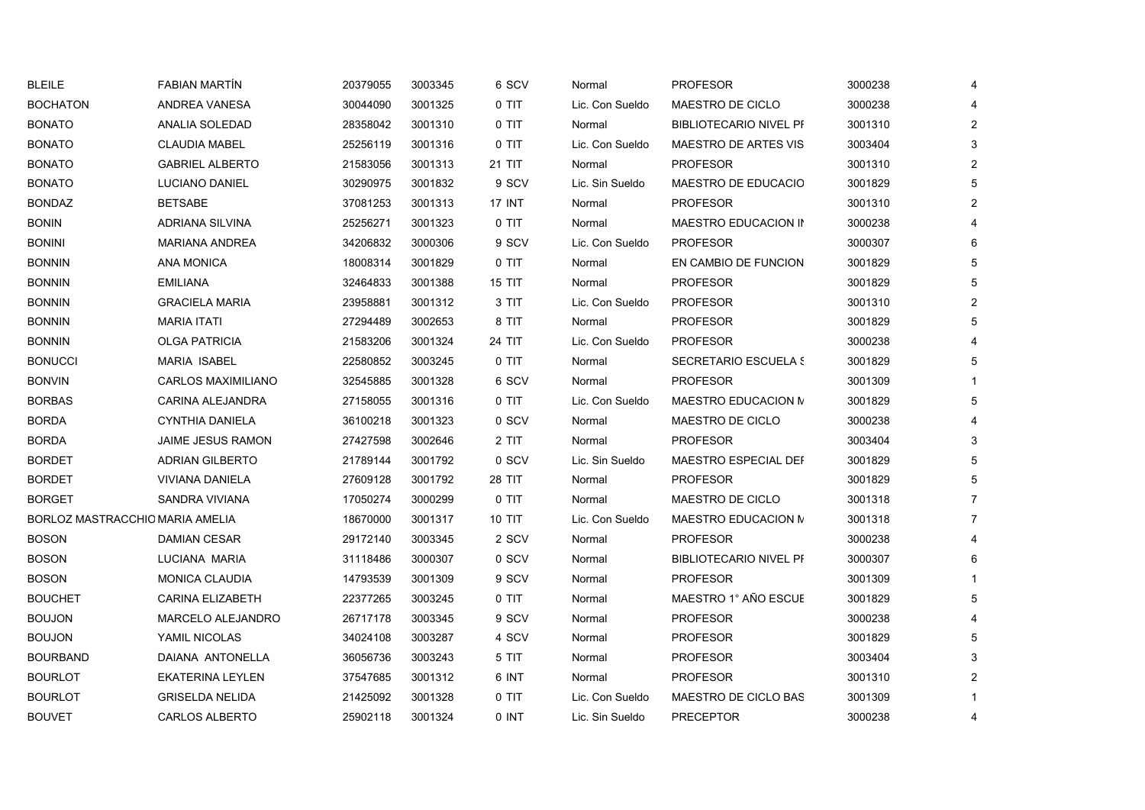| <b>BLEILE</b>   | <b>FABIAN MARTIN</b>            | 20379055 | 3003345 | 6 SCV         | Normal          | <b>PROFESOR</b>               | 3000238 | 4              |
|-----------------|---------------------------------|----------|---------|---------------|-----------------|-------------------------------|---------|----------------|
| <b>BOCHATON</b> | ANDREA VANESA                   | 30044090 | 3001325 | 0 TIT         | Lic. Con Sueldo | MAESTRO DE CICLO              | 3000238 | Δ              |
| <b>BONATO</b>   | ANALIA SOLEDAD                  | 28358042 | 3001310 | 0 TIT         | Normal          | <b>BIBLIOTECARIO NIVEL PF</b> | 3001310 | $\overline{2}$ |
| <b>BONATO</b>   | <b>CLAUDIA MABEL</b>            | 25256119 | 3001316 | 0 TIT         | Lic. Con Sueldo | <b>MAESTRO DE ARTES VIS</b>   | 3003404 | 3              |
| <b>BONATO</b>   | <b>GABRIEL ALBERTO</b>          | 21583056 | 3001313 | 21 TIT        | Normal          | <b>PROFESOR</b>               | 3001310 | $\overline{2}$ |
| <b>BONATO</b>   | LUCIANO DANIEL                  | 30290975 | 3001832 | 9 SCV         | Lic. Sin Sueldo | MAESTRO DE EDUCACIO           | 3001829 | 5              |
| <b>BONDAZ</b>   | <b>BETSABE</b>                  | 37081253 | 3001313 | 17 INT        | Normal          | <b>PROFESOR</b>               | 3001310 | $\overline{2}$ |
| <b>BONIN</b>    | ADRIANA SILVINA                 | 25256271 | 3001323 | 0 TIT         | Normal          | MAESTRO EDUCACION IN          | 3000238 |                |
| <b>BONINI</b>   | <b>MARIANA ANDREA</b>           | 34206832 | 3000306 | 9 SCV         | Lic. Con Sueldo | <b>PROFESOR</b>               | 3000307 | 6              |
| <b>BONNIN</b>   | <b>ANA MONICA</b>               | 18008314 | 3001829 | 0 TIT         | Normal          | EN CAMBIO DE FUNCION          | 3001829 | 5              |
| <b>BONNIN</b>   | <b>EMILIANA</b>                 | 32464833 | 3001388 | <b>15 TIT</b> | Normal          | <b>PROFESOR</b>               | 3001829 | 5              |
| <b>BONNIN</b>   | <b>GRACIELA MARIA</b>           | 23958881 | 3001312 | 3 TIT         | Lic. Con Sueldo | <b>PROFESOR</b>               | 3001310 | $\overline{c}$ |
| <b>BONNIN</b>   | <b>MARIA ITATI</b>              | 27294489 | 3002653 | 8 TIT         | Normal          | <b>PROFESOR</b>               | 3001829 | 5              |
| <b>BONNIN</b>   | <b>OLGA PATRICIA</b>            | 21583206 | 3001324 | 24 TIT        | Lic. Con Sueldo | <b>PROFESOR</b>               | 3000238 |                |
| <b>BONUCCI</b>  | <b>MARIA ISABEL</b>             | 22580852 | 3003245 | 0 TIT         | Normal          | <b>SECRETARIO ESCUELA S</b>   | 3001829 | 5              |
| <b>BONVIN</b>   | <b>CARLOS MAXIMILIANO</b>       | 32545885 | 3001328 | 6 SCV         | Normal          | <b>PROFESOR</b>               | 3001309 |                |
| <b>BORBAS</b>   | <b>CARINA ALEJANDRA</b>         | 27158055 | 3001316 | 0 TIT         | Lic. Con Sueldo | <b>MAESTRO EDUCACION M</b>    | 3001829 | 5              |
| <b>BORDA</b>    | <b>CYNTHIA DANIELA</b>          | 36100218 | 3001323 | 0 SCV         | Normal          | MAESTRO DE CICLO              | 3000238 | 4              |
| <b>BORDA</b>    | <b>JAIME JESUS RAMON</b>        | 27427598 | 3002646 | 2 TIT         | Normal          | <b>PROFESOR</b>               | 3003404 | 3              |
| <b>BORDET</b>   | <b>ADRIAN GILBERTO</b>          | 21789144 | 3001792 | 0 SCV         | Lic. Sin Sueldo | MAESTRO ESPECIAL DEF          | 3001829 | 5              |
| <b>BORDET</b>   | VIVIANA DANIELA                 | 27609128 | 3001792 | 28 TIT        | Normal          | <b>PROFESOR</b>               | 3001829 | 5              |
| <b>BORGET</b>   | SANDRA VIVIANA                  | 17050274 | 3000299 | 0 TIT         | Normal          | MAESTRO DE CICLO              | 3001318 | 7              |
|                 | BORLOZ MASTRACCHIO MARIA AMELIA | 18670000 | 3001317 | <b>10 TIT</b> | Lic. Con Sueldo | MAESTRO EDUCACION N           | 3001318 | $\overline{7}$ |
| <b>BOSON</b>    | DAMIAN CESAR                    | 29172140 | 3003345 | 2 SCV         | Normal          | <b>PROFESOR</b>               | 3000238 |                |
| <b>BOSON</b>    | LUCIANA MARIA                   | 31118486 | 3000307 | 0 SCV         | Normal          | <b>BIBLIOTECARIO NIVEL PF</b> | 3000307 | 6              |
| <b>BOSON</b>    | <b>MONICA CLAUDIA</b>           | 14793539 | 3001309 | 9 SCV         | Normal          | <b>PROFESOR</b>               | 3001309 |                |
| <b>BOUCHET</b>  | <b>CARINA ELIZABETH</b>         | 22377265 | 3003245 | 0 TIT         | Normal          | MAESTRO 1° AÑO ESCUE          | 3001829 | 5              |
| <b>BOUJON</b>   | MARCELO ALEJANDRO               | 26717178 | 3003345 | 9 SCV         | Normal          | <b>PROFESOR</b>               | 3000238 | 4              |
| <b>BOUJON</b>   | YAMIL NICOLAS                   | 34024108 | 3003287 | 4 SCV         | Normal          | <b>PROFESOR</b>               | 3001829 | 5              |
| <b>BOURBAND</b> | DAIANA ANTONELLA                | 36056736 | 3003243 | 5 TIT         | Normal          | <b>PROFESOR</b>               | 3003404 | 3              |
| <b>BOURLOT</b>  | <b>EKATERINA LEYLEN</b>         | 37547685 | 3001312 | 6 INT         | Normal          | <b>PROFESOR</b>               | 3001310 | 2              |
| <b>BOURLOT</b>  | <b>GRISELDA NELIDA</b>          | 21425092 | 3001328 | 0 TIT         | Lic. Con Sueldo | MAESTRO DE CICLO BAS          | 3001309 |                |
| <b>BOUVET</b>   | <b>CARLOS ALBERTO</b>           | 25902118 | 3001324 | 0 INT         | Lic. Sin Sueldo | <b>PRECEPTOR</b>              | 3000238 | 4              |
|                 |                                 |          |         |               |                 |                               |         |                |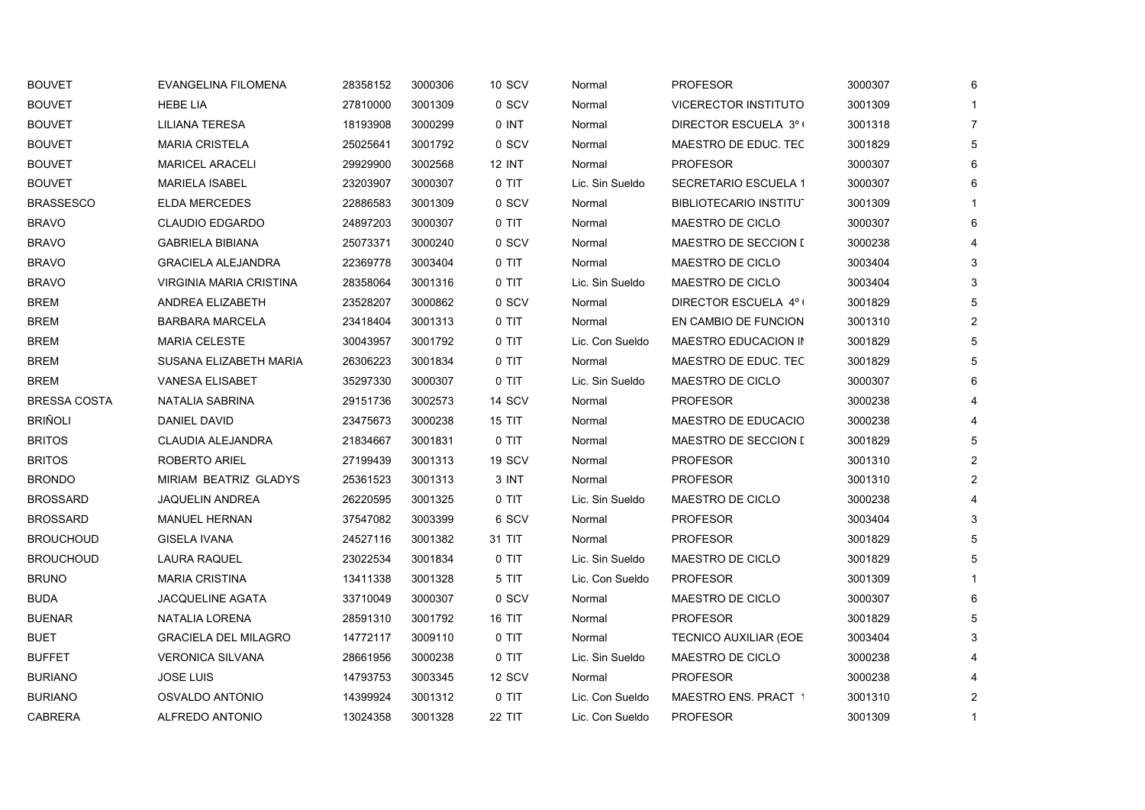| <b>BOUVET</b>       | <b>EVANGELINA FILOMENA</b>  | 28358152 | 3000306 | <b>10 SCV</b> | Normal          | <b>PROFESOR</b>               | 3000307 | 6 |
|---------------------|-----------------------------|----------|---------|---------------|-----------------|-------------------------------|---------|---|
| <b>BOUVET</b>       | <b>HEBE LIA</b>             | 27810000 | 3001309 | 0 SCV         | Normal          | VICERECTOR INSTITUTO          | 3001309 |   |
| <b>BOUVET</b>       | LILIANA TERESA              | 18193908 | 3000299 | $0$ INT       | Normal          | DIRECTOR ESCUELA 3º (         | 3001318 | 7 |
| <b>BOUVET</b>       | <b>MARIA CRISTELA</b>       | 25025641 | 3001792 | 0 SCV         | Normal          | MAESTRO DE EDUC. TEC          | 3001829 | 5 |
| <b>BOUVET</b>       | <b>MARICEL ARACELI</b>      | 29929900 | 3002568 | 12 INT        | Normal          | <b>PROFESOR</b>               | 3000307 | 6 |
| <b>BOUVET</b>       | <b>MARIELA ISABEL</b>       | 23203907 | 3000307 | 0 TIT         | Lic. Sin Sueldo | SECRETARIO ESCUELA 1          | 3000307 | Բ |
| <b>BRASSESCO</b>    | <b>ELDA MERCEDES</b>        | 22886583 | 3001309 | 0 SCV         | Normal          | <b>BIBLIOTECARIO INSTITUT</b> | 3001309 |   |
| <b>BRAVO</b>        | <b>CLAUDIO EDGARDO</b>      | 24897203 | 3000307 | 0 TIT         | Normal          | MAESTRO DE CICLO              | 3000307 |   |
| <b>BRAVO</b>        | <b>GABRIELA BIBIANA</b>     | 25073371 | 3000240 | 0 SCV         | Normal          | MAESTRO DE SECCION I          | 3000238 |   |
| <b>BRAVO</b>        | <b>GRACIELA ALEJANDRA</b>   | 22369778 | 3003404 | $0$ TIT       | Normal          | MAESTRO DE CICLO              | 3003404 | 3 |
| <b>BRAVO</b>        | VIRGINIA MARIA CRISTINA     | 28358064 | 3001316 | 0 TIT         | Lic. Sin Sueldo | MAESTRO DE CICLO              | 3003404 | 3 |
| <b>BREM</b>         | ANDREA ELIZABETH            | 23528207 | 3000862 | 0 SCV         | Normal          | DIRECTOR ESCUELA 4º (         | 3001829 | 5 |
| BREM                | <b>BARBARA MARCELA</b>      | 23418404 | 3001313 | 0 TIT         | Normal          | EN CAMBIO DE FUNCION          | 3001310 | 2 |
| <b>BREM</b>         | <b>MARIA CELESTE</b>        | 30043957 | 3001792 | $0$ TIT       | Lic. Con Sueldo | MAESTRO EDUCACION IN          | 3001829 | 5 |
| <b>BREM</b>         | SUSANA ELIZABETH MARIA      | 26306223 | 3001834 | 0 TIT         | Normal          | MAESTRO DE EDUC. TEC          | 3001829 | 5 |
| <b>BREM</b>         | <b>VANESA ELISABET</b>      | 35297330 | 3000307 | 0 TIT         | Lic. Sin Sueldo | <b>MAESTRO DE CICLO</b>       | 3000307 |   |
| <b>BRESSA COSTA</b> | NATALIA SABRINA             | 29151736 | 3002573 | 14 SCV        | Normal          | <b>PROFESOR</b>               | 3000238 |   |
| <b>BRIÑOLI</b>      | <b>DANIEL DAVID</b>         | 23475673 | 3000238 | 15 TIT        | Normal          | MAESTRO DE EDUCACIO           | 3000238 |   |
| <b>BRITOS</b>       | CLAUDIA ALEJANDRA           | 21834667 | 3001831 | 0 TIT         | Normal          | MAESTRO DE SECCION I          | 3001829 |   |
| <b>BRITOS</b>       | ROBERTO ARIEL               | 27199439 | 3001313 | <b>19 SCV</b> | Normal          | <b>PROFESOR</b>               | 3001310 | 2 |
| <b>BRONDO</b>       | MIRIAM BEATRIZ GLADYS       | 25361523 | 3001313 | 3 INT         | Normal          | <b>PROFESOR</b>               | 3001310 | 2 |
| <b>BROSSARD</b>     | <b>JAQUELIN ANDREA</b>      | 26220595 | 3001325 | 0 TIT         | Lic. Sin Sueldo | <b>MAESTRO DE CICLO</b>       | 3000238 |   |
| <b>BROSSARD</b>     | <b>MANUEL HERNAN</b>        | 37547082 | 3003399 | 6 SCV         | Normal          | <b>PROFESOR</b>               | 3003404 | 3 |
| <b>BROUCHOUD</b>    | GISELA IVANA                | 24527116 | 3001382 | 31 TIT        | Normal          | <b>PROFESOR</b>               | 3001829 | 5 |
| <b>BROUCHOUD</b>    | <b>LAURA RAQUEL</b>         | 23022534 | 3001834 | 0 TIT         | Lic. Sin Sueldo | MAESTRO DE CICLO              | 3001829 | 5 |
| <b>BRUNO</b>        | <b>MARIA CRISTINA</b>       | 13411338 | 3001328 | 5 TIT         | Lic. Con Sueldo | <b>PROFESOR</b>               | 3001309 |   |
| <b>BUDA</b>         | JACQUELINE AGATA            | 33710049 | 3000307 | 0 SCV         | Normal          | MAESTRO DE CICLO              | 3000307 | 6 |
| <b>BUENAR</b>       | NATALIA LORENA              | 28591310 | 3001792 | <b>16 TIT</b> | Normal          | <b>PROFESOR</b>               | 3001829 | 5 |
| <b>BUET</b>         | <b>GRACIELA DEL MILAGRO</b> | 14772117 | 3009110 | 0 TIT         | Normal          | <b>TECNICO AUXILIAR (EOE</b>  | 3003404 | 3 |
| <b>BUFFET</b>       | <b>VERONICA SILVANA</b>     | 28661956 | 3000238 | 0 TIT         | Lic. Sin Sueldo | MAESTRO DE CICLO              | 3000238 |   |
| <b>BURIANO</b>      | <b>JOSE LUIS</b>            | 14793753 | 3003345 | 12 SCV        | Normal          | <b>PROFESOR</b>               | 3000238 |   |
| <b>BURIANO</b>      | OSVALDO ANTONIO             | 14399924 | 3001312 | 0 TIT         | Lic. Con Sueldo | MAESTRO ENS. PRACT 1          | 3001310 | 2 |
| <b>CABRERA</b>      | ALFREDO ANTONIO             | 13024358 | 3001328 | <b>22 TIT</b> | Lic. Con Sueldo | <b>PROFESOR</b>               | 3001309 | 1 |
|                     |                             |          |         |               |                 |                               |         |   |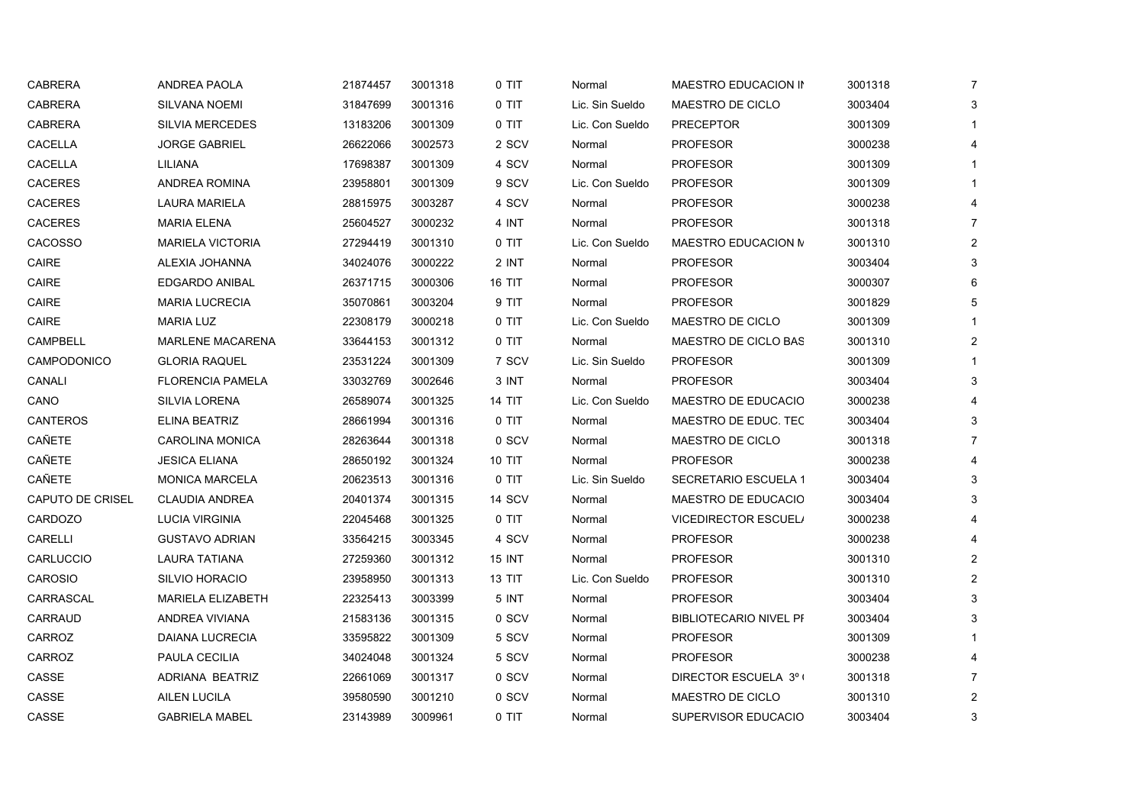| <b>CABRERA</b>   | <b>ANDREA PAOLA</b>      | 21874457 | 3001318 | 0 TIT         | Normal          | MAESTRO EDUCACION IN          | 3001318 | $\overline{7}$ |
|------------------|--------------------------|----------|---------|---------------|-----------------|-------------------------------|---------|----------------|
| <b>CABRERA</b>   | <b>SILVANA NOEMI</b>     | 31847699 | 3001316 | 0 TIT         | Lic. Sin Sueldo | MAESTRO DE CICLO              | 3003404 | 3              |
| <b>CABRERA</b>   | <b>SILVIA MERCEDES</b>   | 13183206 | 3001309 | 0 TIT         | Lic. Con Sueldo | <b>PRECEPTOR</b>              | 3001309 | 1              |
| CACELLA          | <b>JORGE GABRIEL</b>     | 26622066 | 3002573 | 2 SCV         | Normal          | <b>PROFESOR</b>               | 3000238 | 4              |
| CACELLA          | LILIANA                  | 17698387 | 3001309 | 4 SCV         | Normal          | <b>PROFESOR</b>               | 3001309 | $\mathbf{1}$   |
| <b>CACERES</b>   | ANDREA ROMINA            | 23958801 | 3001309 | 9 SCV         | Lic. Con Sueldo | <b>PROFESOR</b>               | 3001309 | 1              |
| <b>CACERES</b>   | <b>LAURA MARIELA</b>     | 28815975 | 3003287 | 4 SCV         | Normal          | <b>PROFESOR</b>               | 3000238 | 4              |
| <b>CACERES</b>   | <b>MARIA ELENA</b>       | 25604527 | 3000232 | 4 INT         | Normal          | <b>PROFESOR</b>               | 3001318 | $\overline{7}$ |
| <b>CACOSSO</b>   | <b>MARIELA VICTORIA</b>  | 27294419 | 3001310 | 0 TIT         | Lic. Con Sueldo | MAESTRO EDUCACION N           | 3001310 | $\overline{2}$ |
| CAIRE            | ALEXIA JOHANNA           | 34024076 | 3000222 | 2 INT         | Normal          | <b>PROFESOR</b>               | 3003404 | $\mathsf 3$    |
| CAIRE            | <b>EDGARDO ANIBAL</b>    | 26371715 | 3000306 | <b>16 TIT</b> | Normal          | <b>PROFESOR</b>               | 3000307 | 6              |
| CAIRE            | <b>MARIA LUCRECIA</b>    | 35070861 | 3003204 | 9 TIT         | Normal          | <b>PROFESOR</b>               | 3001829 | 5              |
| CAIRE            | <b>MARIA LUZ</b>         | 22308179 | 3000218 | 0 TIT         | Lic. Con Sueldo | MAESTRO DE CICLO              | 3001309 | 1              |
| CAMPBELL         | <b>MARLENE MACARENA</b>  | 33644153 | 3001312 | 0 TIT         | Normal          | MAESTRO DE CICLO BAS          | 3001310 | $\overline{2}$ |
| CAMPODONICO      | <b>GLORIA RAQUEL</b>     | 23531224 | 3001309 | 7 SCV         | Lic. Sin Sueldo | <b>PROFESOR</b>               | 3001309 | 1              |
| CANALI           | <b>FLORENCIA PAMELA</b>  | 33032769 | 3002646 | 3 INT         | Normal          | <b>PROFESOR</b>               | 3003404 | 3              |
| CANO             | <b>SILVIA LORENA</b>     | 26589074 | 3001325 | <b>14 TIT</b> | Lic. Con Sueldo | MAESTRO DE EDUCACIO           | 3000238 | 4              |
| CANTEROS         | ELINA BEATRIZ            | 28661994 | 3001316 | 0 TIT         | Normal          | MAESTRO DE EDUC. TEC          | 3003404 | 3              |
| CAÑETE           | <b>CAROLINA MONICA</b>   | 28263644 | 3001318 | 0 SCV         | Normal          | MAESTRO DE CICLO              | 3001318 | $\overline{7}$ |
| CAÑETE           | <b>JESICA ELIANA</b>     | 28650192 | 3001324 | 10 TIT        | Normal          | <b>PROFESOR</b>               | 3000238 | 4              |
| CAÑETE           | <b>MONICA MARCELA</b>    | 20623513 | 3001316 | 0 TIT         | Lic. Sin Sueldo | SECRETARIO ESCUELA 1          | 3003404 | 3              |
| CAPUTO DE CRISEL | <b>CLAUDIA ANDREA</b>    | 20401374 | 3001315 | 14 SCV        | Normal          | MAESTRO DE EDUCACIO           | 3003404 | 3              |
| CARDOZO          | <b>LUCIA VIRGINIA</b>    | 22045468 | 3001325 | 0 TIT         | Normal          | <b>VICEDIRECTOR ESCUEL/</b>   | 3000238 | 4              |
| <b>CARELLI</b>   | <b>GUSTAVO ADRIAN</b>    | 33564215 | 3003345 | 4 SCV         | Normal          | <b>PROFESOR</b>               | 3000238 | 4              |
| <b>CARLUCCIO</b> | <b>LAURA TATIANA</b>     | 27259360 | 3001312 | 15 INT        | Normal          | <b>PROFESOR</b>               | 3001310 | $\overline{c}$ |
| <b>CAROSIO</b>   | <b>SILVIO HORACIO</b>    | 23958950 | 3001313 | <b>13 TIT</b> | Lic. Con Sueldo | <b>PROFESOR</b>               | 3001310 | $\overline{2}$ |
| CARRASCAL        | <b>MARIELA ELIZABETH</b> | 22325413 | 3003399 | 5 INT         | Normal          | <b>PROFESOR</b>               | 3003404 | 3              |
| CARRAUD          | ANDREA VIVIANA           | 21583136 | 3001315 | 0 SCV         | Normal          | <b>BIBLIOTECARIO NIVEL PF</b> | 3003404 | 3              |
| CARROZ           | <b>DAIANA LUCRECIA</b>   | 33595822 | 3001309 | 5 SCV         | Normal          | <b>PROFESOR</b>               | 3001309 | 1              |
| CARROZ           | PAULA CECILIA            | 34024048 | 3001324 | 5 SCV         | Normal          | <b>PROFESOR</b>               | 3000238 | 4              |
| CASSE            | ADRIANA BEATRIZ          | 22661069 | 3001317 | 0 SCV         | Normal          | DIRECTOR ESCUELA 3° (         | 3001318 | $\overline{7}$ |
| CASSE            | <b>AILEN LUCILA</b>      | 39580590 | 3001210 | 0 SCV         | Normal          | MAESTRO DE CICLO              | 3001310 | 2              |
| CASSE            | <b>GABRIELA MABEL</b>    | 23143989 | 3009961 | 0 TIT         | Normal          | SUPERVISOR EDUCACIO           | 3003404 | 3              |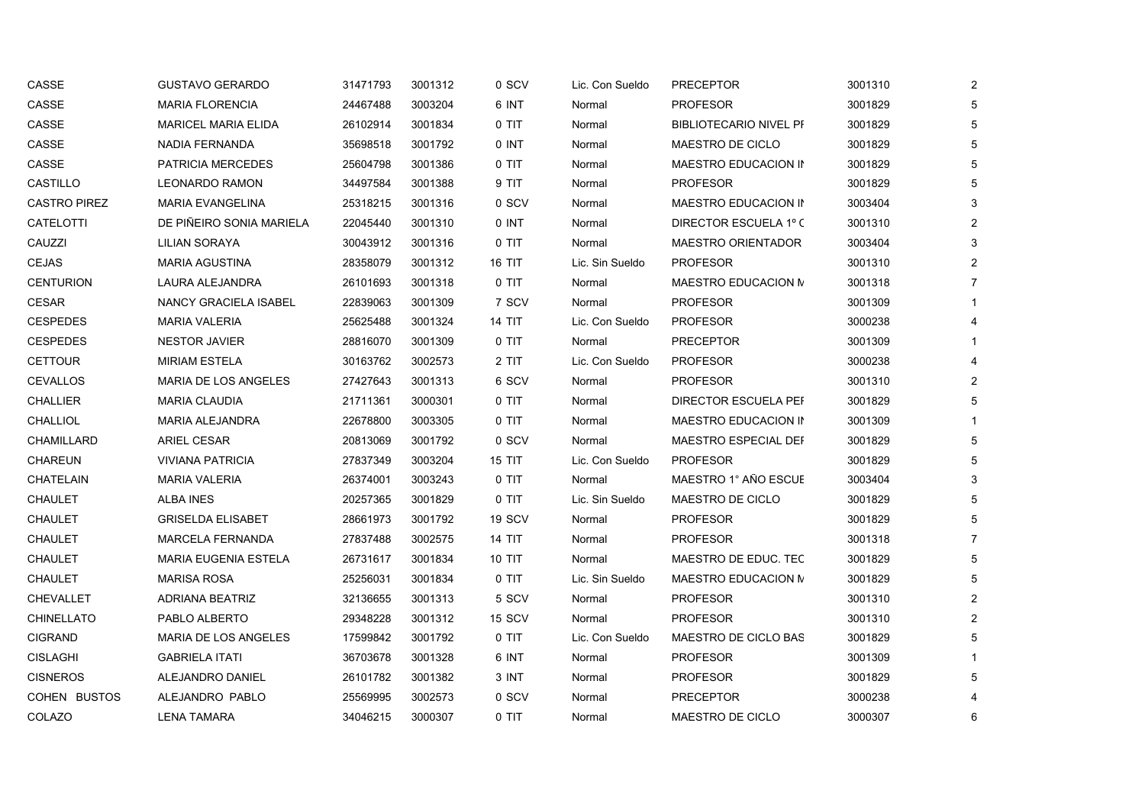| CASSE               | <b>GUSTAVO GERARDO</b>       | 31471793 | 3001312 | 0 SCV         | Lic. Con Sueldo | <b>PRECEPTOR</b>              | 3001310 | $\overline{2}$ |
|---------------------|------------------------------|----------|---------|---------------|-----------------|-------------------------------|---------|----------------|
| CASSE               | <b>MARIA FLORENCIA</b>       | 24467488 | 3003204 | 6 INT         | Normal          | <b>PROFESOR</b>               | 3001829 | 5              |
| CASSE               | <b>MARICEL MARIA ELIDA</b>   | 26102914 | 3001834 | 0 TIT         | Normal          | <b>BIBLIOTECARIO NIVEL PF</b> | 3001829 | 5              |
| CASSE               | NADIA FERNANDA               | 35698518 | 3001792 | 0 INT         | Normal          | MAESTRO DE CICLO              | 3001829 | 5              |
| CASSE               | <b>PATRICIA MERCEDES</b>     | 25604798 | 3001386 | 0 TIT         | Normal          | MAESTRO EDUCACION IN          | 3001829 | 5              |
| CASTILLO            | <b>LEONARDO RAMON</b>        | 34497584 | 3001388 | 9 TIT         | Normal          | <b>PROFESOR</b>               | 3001829 | 5              |
| <b>CASTRO PIREZ</b> | <b>MARIA EVANGELINA</b>      | 25318215 | 3001316 | 0 SCV         | Normal          | MAESTRO EDUCACION IN          | 3003404 | 3              |
| CATELOTTI           | DE PIÑEIRO SONIA MARIELA     | 22045440 | 3001310 | 0 INT         | Normal          | DIRECTOR ESCUELA 1º C         | 3001310 | $\overline{c}$ |
| CAUZZI              | LILIAN SORAYA                | 30043912 | 3001316 | 0 TIT         | Normal          | <b>MAESTRO ORIENTADOR</b>     | 3003404 | 3              |
| <b>CEJAS</b>        | <b>MARIA AGUSTINA</b>        | 28358079 | 3001312 | <b>16 TIT</b> | Lic. Sin Sueldo | <b>PROFESOR</b>               | 3001310 | $\overline{2}$ |
| <b>CENTURION</b>    | LAURA ALEJANDRA              | 26101693 | 3001318 | 0 TIT         | Normal          | MAESTRO EDUCACION M           | 3001318 | 7              |
| <b>CESAR</b>        | <b>NANCY GRACIELA ISABEL</b> | 22839063 | 3001309 | 7 SCV         | Normal          | <b>PROFESOR</b>               | 3001309 |                |
| <b>CESPEDES</b>     | <b>MARIA VALERIA</b>         | 25625488 | 3001324 | 14 TIT        | Lic. Con Sueldo | <b>PROFESOR</b>               | 3000238 |                |
| <b>CESPEDES</b>     | <b>NESTOR JAVIER</b>         | 28816070 | 3001309 | 0 TIT         | Normal          | <b>PRECEPTOR</b>              | 3001309 |                |
| <b>CETTOUR</b>      | <b>MIRIAM ESTELA</b>         | 30163762 | 3002573 | 2 TIT         | Lic. Con Sueldo | <b>PROFESOR</b>               | 3000238 | 4              |
| <b>CEVALLOS</b>     | MARIA DE LOS ANGELES         | 27427643 | 3001313 | 6 SCV         | Normal          | <b>PROFESOR</b>               | 3001310 | 2              |
| <b>CHALLIER</b>     | <b>MARIA CLAUDIA</b>         | 21711361 | 3000301 | 0 TIT         | Normal          | DIRECTOR ESCUELA PEF          | 3001829 | 5              |
| <b>CHALLIOL</b>     | <b>MARIA ALEJANDRA</b>       | 22678800 | 3003305 | 0 TIT         | Normal          | MAESTRO EDUCACION IN          | 3001309 |                |
| CHAMILLARD          | <b>ARIEL CESAR</b>           | 20813069 | 3001792 | 0 SCV         | Normal          | MAESTRO ESPECIAL DEF          | 3001829 | 5              |
| CHAREUN             | <b>VIVIANA PATRICIA</b>      | 27837349 | 3003204 | <b>15 TIT</b> | Lic. Con Sueldo | <b>PROFESOR</b>               | 3001829 | 5              |
| CHATELAIN           | <b>MARIA VALERIA</b>         | 26374001 | 3003243 | 0 TIT         | Normal          | MAESTRO 1° AÑO ESCUE          | 3003404 | 3              |
| <b>CHAULET</b>      | <b>ALBA INES</b>             | 20257365 | 3001829 | 0 TIT         | Lic. Sin Sueldo | MAESTRO DE CICLO              | 3001829 | 5              |
| CHAULET             | <b>GRISELDA ELISABET</b>     | 28661973 | 3001792 | 19 SCV        | Normal          | <b>PROFESOR</b>               | 3001829 |                |
| <b>CHAULET</b>      | MARCELA FERNANDA             | 27837488 | 3002575 | <b>14 TIT</b> | Normal          | <b>PROFESOR</b>               | 3001318 | $\overline{7}$ |
| <b>CHAULET</b>      | <b>MARIA EUGENIA ESTELA</b>  | 26731617 | 3001834 | <b>10 TIT</b> | Normal          | MAESTRO DE EDUC. TEC          | 3001829 | 5              |
| <b>CHAULET</b>      | <b>MARISA ROSA</b>           | 25256031 | 3001834 | 0 TIT         | Lic. Sin Sueldo | MAESTRO EDUCACION N           | 3001829 | 5              |
| <b>CHEVALLET</b>    | <b>ADRIANA BEATRIZ</b>       | 32136655 | 3001313 | 5 SCV         | Normal          | <b>PROFESOR</b>               | 3001310 | $\overline{2}$ |
| <b>CHINELLATO</b>   | PABLO ALBERTO                | 29348228 | 3001312 | 15 SCV        | Normal          | <b>PROFESOR</b>               | 3001310 | 2              |
| <b>CIGRAND</b>      | MARIA DE LOS ANGELES         | 17599842 | 3001792 | 0 TIT         | Lic. Con Sueldo | MAESTRO DE CICLO BAS          | 3001829 | 5              |
| <b>CISLAGHI</b>     | <b>GABRIELA ITATI</b>        | 36703678 | 3001328 | 6 INT         | Normal          | <b>PROFESOR</b>               | 3001309 |                |
| <b>CISNEROS</b>     | ALEJANDRO DANIEL             | 26101782 | 3001382 | 3 INT         | Normal          | <b>PROFESOR</b>               | 3001829 | 5              |
| <b>COHEN BUSTOS</b> | ALEJANDRO PABLO              | 25569995 | 3002573 | 0 SCV         | Normal          | <b>PRECEPTOR</b>              | 3000238 |                |
| COLAZO              | <b>LENA TAMARA</b>           | 34046215 | 3000307 | 0 TIT         | Normal          | MAESTRO DE CICLO              | 3000307 | 6              |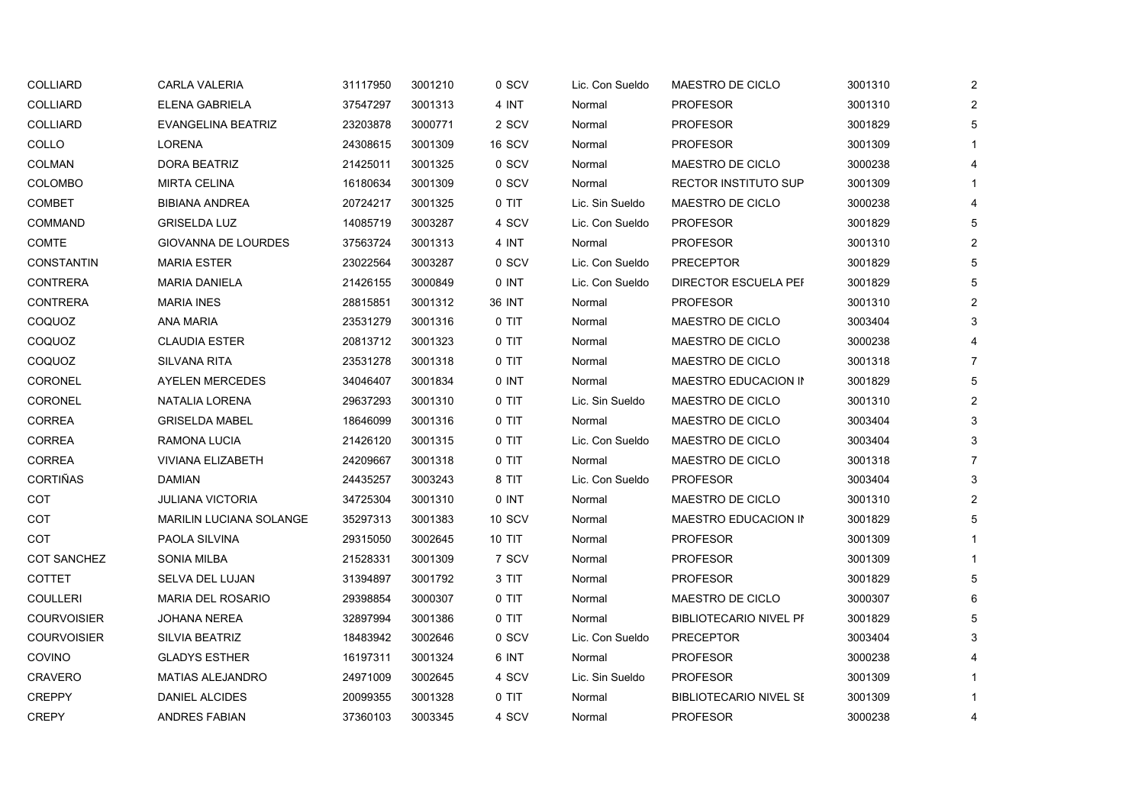| COLLIARD           | <b>CARLA VALERIA</b>           | 31117950 | 3001210 | 0 SCV  | Lic. Con Sueldo | MAESTRO DE CICLO              | 3001310 | $\overline{2}$ |
|--------------------|--------------------------------|----------|---------|--------|-----------------|-------------------------------|---------|----------------|
| COLLIARD           | ELENA GABRIELA                 | 37547297 | 3001313 | 4 INT  | Normal          | <b>PROFESOR</b>               | 3001310 | 2              |
| <b>COLLIARD</b>    | EVANGELINA BEATRIZ             | 23203878 | 3000771 | 2 SCV  | Normal          | <b>PROFESOR</b>               | 3001829 | 5              |
| COLLO              | <b>LORENA</b>                  | 24308615 | 3001309 | 16 SCV | Normal          | <b>PROFESOR</b>               | 3001309 |                |
| <b>COLMAN</b>      | DORA BEATRIZ                   | 21425011 | 3001325 | 0 SCV  | Normal          | MAESTRO DE CICLO              | 3000238 | 4              |
| <b>COLOMBO</b>     | <b>MIRTA CELINA</b>            | 16180634 | 3001309 | 0 SCV  | Normal          | <b>RECTOR INSTITUTO SUP</b>   | 3001309 |                |
| COMBET             | <b>BIBIANA ANDREA</b>          | 20724217 | 3001325 | 0 TIT  | Lic. Sin Sueldo | MAESTRO DE CICLO              | 3000238 | 4              |
| <b>COMMAND</b>     | <b>GRISELDA LUZ</b>            | 14085719 | 3003287 | 4 SCV  | Lic. Con Sueldo | <b>PROFESOR</b>               | 3001829 | 5              |
| COMTE              | GIOVANNA DE LOURDES            | 37563724 | 3001313 | 4 INT  | Normal          | <b>PROFESOR</b>               | 3001310 | $\overline{2}$ |
| <b>CONSTANTIN</b>  | <b>MARIA ESTER</b>             | 23022564 | 3003287 | 0 SCV  | Lic. Con Sueldo | <b>PRECEPTOR</b>              | 3001829 | 5              |
| <b>CONTRERA</b>    | <b>MARIA DANIELA</b>           | 21426155 | 3000849 | 0 INT  | Lic. Con Sueldo | DIRECTOR ESCUELA PEF          | 3001829 | 5              |
| <b>CONTRERA</b>    | <b>MARIA INES</b>              | 28815851 | 3001312 | 36 INT | Normal          | <b>PROFESOR</b>               | 3001310 | $\overline{2}$ |
| COQUOZ             | <b>ANA MARIA</b>               | 23531279 | 3001316 | 0 TIT  | Normal          | MAESTRO DE CICLO              | 3003404 | 3              |
| COQUOZ             | <b>CLAUDIA ESTER</b>           | 20813712 | 3001323 | 0 TIT  | Normal          | MAESTRO DE CICLO              | 3000238 |                |
| COQUOZ             | <b>SILVANA RITA</b>            | 23531278 | 3001318 | 0 TIT  | Normal          | MAESTRO DE CICLO              | 3001318 | $\overline{7}$ |
| CORONEL            | <b>AYELEN MERCEDES</b>         | 34046407 | 3001834 | 0 INT  | Normal          | MAESTRO EDUCACION IN          | 3001829 | 5              |
| CORONEL            | NATALIA LORENA                 | 29637293 | 3001310 | 0 TIT  | Lic. Sin Sueldo | MAESTRO DE CICLO              | 3001310 | 2              |
| CORREA             | <b>GRISELDA MABEL</b>          | 18646099 | 3001316 | 0 TIT  | Normal          | MAESTRO DE CICLO              | 3003404 | 3              |
| <b>CORREA</b>      | RAMONA LUCIA                   | 21426120 | 3001315 | 0 TIT  | Lic. Con Sueldo | MAESTRO DE CICLO              | 3003404 | 3              |
| <b>CORREA</b>      | <b>VIVIANA ELIZABETH</b>       | 24209667 | 3001318 | 0 TIT  | Normal          | MAESTRO DE CICLO              | 3001318 | $\overline{7}$ |
| CORTIÑAS           | <b>DAMIAN</b>                  | 24435257 | 3003243 | 8 TIT  | Lic. Con Sueldo | <b>PROFESOR</b>               | 3003404 | 3              |
| COT                | <b>JULIANA VICTORIA</b>        | 34725304 | 3001310 | 0 INT  | Normal          | MAESTRO DE CICLO              | 3001310 | 2              |
| COT                | <b>MARILIN LUCIANA SOLANGE</b> | 35297313 | 3001383 | 10 SCV | Normal          | MAESTRO EDUCACION IN          | 3001829 | 5              |
| COT                | PAOLA SILVINA                  | 29315050 | 3002645 | 10 TIT | Normal          | <b>PROFESOR</b>               | 3001309 |                |
| <b>COT SANCHEZ</b> | <b>SONIA MILBA</b>             | 21528331 | 3001309 | 7 SCV  | Normal          | <b>PROFESOR</b>               | 3001309 |                |
| <b>COTTET</b>      | SELVA DEL LUJAN                | 31394897 | 3001792 | 3 TIT  | Normal          | <b>PROFESOR</b>               | 3001829 | 5              |
| <b>COULLERI</b>    | <b>MARIA DEL ROSARIO</b>       | 29398854 | 3000307 | 0 TIT  | Normal          | MAESTRO DE CICLO              | 3000307 | 6              |
| <b>COURVOISIER</b> | JOHANA NEREA                   | 32897994 | 3001386 | 0 TIT  | Normal          | <b>BIBLIOTECARIO NIVEL PF</b> | 3001829 | 5              |
| <b>COURVOISIER</b> | <b>SILVIA BEATRIZ</b>          | 18483942 | 3002646 | 0 SCV  | Lic. Con Sueldo | <b>PRECEPTOR</b>              | 3003404 | 3              |
| COVINO             | <b>GLADYS ESTHER</b>           | 16197311 | 3001324 | 6 INT  | Normal          | <b>PROFESOR</b>               | 3000238 | 4              |
| CRAVERO            | <b>MATIAS ALEJANDRO</b>        | 24971009 | 3002645 | 4 SCV  | Lic. Sin Sueldo | <b>PROFESOR</b>               | 3001309 |                |
| <b>CREPPY</b>      | <b>DANIEL ALCIDES</b>          | 20099355 | 3001328 | 0 TIT  | Normal          | <b>BIBLIOTECARIO NIVEL SE</b> | 3001309 |                |
| <b>CREPY</b>       | <b>ANDRES FABIAN</b>           | 37360103 | 3003345 | 4 SCV  | Normal          | <b>PROFESOR</b>               | 3000238 | 4              |
|                    |                                |          |         |        |                 |                               |         |                |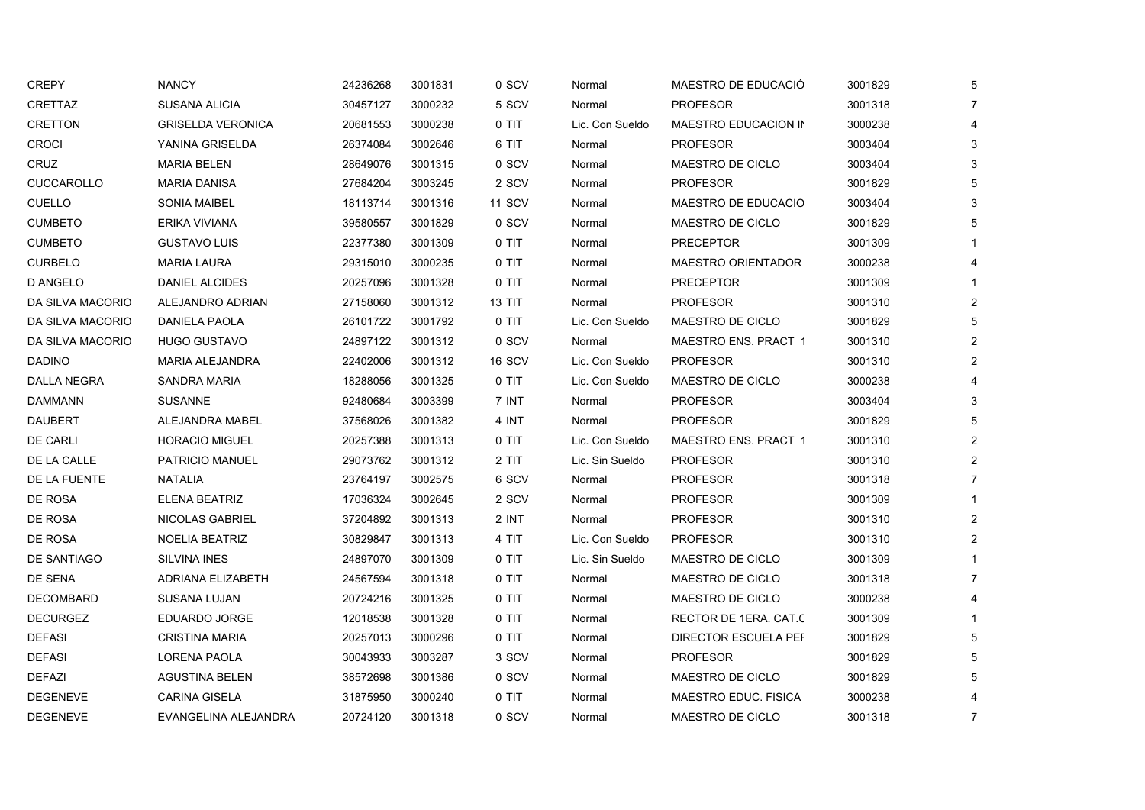| <b>CREPY</b>     | <b>NANCY</b>             | 24236268 | 3001831 | 0 SCV         | Normal          | MAESTRO DE EDUCACIÓ         | 3001829 | 5              |
|------------------|--------------------------|----------|---------|---------------|-----------------|-----------------------------|---------|----------------|
| CRETTAZ          | SUSANA ALICIA            | 30457127 | 3000232 | 5 SCV         | Normal          | <b>PROFESOR</b>             | 3001318 | -7             |
| <b>CRETTON</b>   | <b>GRISELDA VERONICA</b> | 20681553 | 3000238 | $0$ TIT       | Lic. Con Sueldo | MAESTRO EDUCACION IN        | 3000238 |                |
| <b>CROCI</b>     | YANINA GRISELDA          | 26374084 | 3002646 | 6 TIT         | Normal          | <b>PROFESOR</b>             | 3003404 | 3              |
| CRUZ             | <b>MARIA BELEN</b>       | 28649076 | 3001315 | 0 SCV         | Normal          | MAESTRO DE CICLO            | 3003404 | 3              |
| CUCCAROLLO       | <b>MARIA DANISA</b>      | 27684204 | 3003245 | 2 SCV         | Normal          | <b>PROFESOR</b>             | 3001829 | 5              |
| <b>CUELLO</b>    | <b>SONIA MAIBEL</b>      | 18113714 | 3001316 | <b>11 SCV</b> | Normal          | MAESTRO DE EDUCACIO         | 3003404 |                |
| <b>CUMBETO</b>   | ERIKA VIVIANA            | 39580557 | 3001829 | 0 SCV         | Normal          | MAESTRO DE CICLO            | 3001829 |                |
| <b>CUMBETO</b>   | <b>GUSTAVO LUIS</b>      | 22377380 | 3001309 | 0 TIT         | Normal          | <b>PRECEPTOR</b>            | 3001309 |                |
| <b>CURBELO</b>   | <b>MARIA LAURA</b>       | 29315010 | 3000235 | 0 TIT         | Normal          | <b>MAESTRO ORIENTADOR</b>   | 3000238 |                |
| D ANGELO         | DANIEL ALCIDES           | 20257096 | 3001328 | 0 TIT         | Normal          | <b>PRECEPTOR</b>            | 3001309 |                |
| DA SILVA MACORIO | ALEJANDRO ADRIAN         | 27158060 | 3001312 | <b>13 TIT</b> | Normal          | <b>PROFESOR</b>             | 3001310 | $\overline{2}$ |
| DA SILVA MACORIO | DANIELA PAOLA            | 26101722 | 3001792 | 0 TIT         | Lic. Con Sueldo | MAESTRO DE CICLO            | 3001829 | 5              |
| DA SILVA MACORIO | <b>HUGO GUSTAVO</b>      | 24897122 | 3001312 | 0 SCV         | Normal          | <b>MAESTRO ENS. PRACT 1</b> | 3001310 | $\overline{2}$ |
| <b>DADINO</b>    | MARIA ALEJANDRA          | 22402006 | 3001312 | 16 SCV        | Lic. Con Sueldo | <b>PROFESOR</b>             | 3001310 | 2              |
| DALLA NEGRA      | <b>SANDRA MARIA</b>      | 18288056 | 3001325 | 0 TIT         | Lic. Con Sueldo | MAESTRO DE CICLO            | 3000238 |                |
| <b>DAMMANN</b>   | <b>SUSANNE</b>           | 92480684 | 3003399 | 7 INT         | Normal          | <b>PROFESOR</b>             | 3003404 | 3              |
| <b>DAUBERT</b>   | ALEJANDRA MABEL          | 37568026 | 3001382 | 4 INT         | Normal          | <b>PROFESOR</b>             | 3001829 |                |
| <b>DE CARLI</b>  | <b>HORACIO MIGUEL</b>    | 20257388 | 3001313 | $0$ TIT       | Lic. Con Sueldo | <b>MAESTRO ENS. PRACT 1</b> | 3001310 | $\overline{2}$ |
| DE LA CALLE      | PATRICIO MANUEL          | 29073762 | 3001312 | 2 TIT         | Lic. Sin Sueldo | <b>PROFESOR</b>             | 3001310 | 2              |
| DE LA FUENTE     | NATALIA                  | 23764197 | 3002575 | 6 SCV         | Normal          | <b>PROFESOR</b>             | 3001318 | $\overline{7}$ |
| DE ROSA          | <b>ELENA BEATRIZ</b>     | 17036324 | 3002645 | 2 SCV         | Normal          | <b>PROFESOR</b>             | 3001309 |                |
| DE ROSA          | NICOLAS GABRIEL          | 37204892 | 3001313 | 2 INT         | Normal          | <b>PROFESOR</b>             | 3001310 | $\overline{2}$ |
| DE ROSA          | <b>NOELIA BEATRIZ</b>    | 30829847 | 3001313 | 4 TIT         | Lic. Con Sueldo | <b>PROFESOR</b>             | 3001310 | 2              |
| DE SANTIAGO      | <b>SILVINA INES</b>      | 24897070 | 3001309 | 0 TIT         | Lic. Sin Sueldo | MAESTRO DE CICLO            | 3001309 |                |
| DE SENA          | ADRIANA ELIZABETH        | 24567594 | 3001318 | 0 TIT         | Normal          | MAESTRO DE CICLO            | 3001318 | -7             |
| <b>DECOMBARD</b> | SUSANA LUJAN             | 20724216 | 3001325 | 0 TIT         | Normal          | MAESTRO DE CICLO            | 3000238 |                |
| <b>DECURGEZ</b>  | EDUARDO JORGE            | 12018538 | 3001328 | $0$ TIT       | Normal          | RECTOR DE 1ERA. CAT.C       | 3001309 |                |
| <b>DEFASI</b>    | <b>CRISTINA MARIA</b>    | 20257013 | 3000296 | 0 TIT         | Normal          | DIRECTOR ESCUELA PEF        | 3001829 |                |
| <b>DEFASI</b>    | <b>LORENA PAOLA</b>      | 30043933 | 3003287 | 3 SCV         | Normal          | <b>PROFESOR</b>             | 3001829 |                |
| <b>DEFAZI</b>    | <b>AGUSTINA BELEN</b>    | 38572698 | 3001386 | 0 SCV         | Normal          | MAESTRO DE CICLO            | 3001829 |                |
| <b>DEGENEVE</b>  | <b>CARINA GISELA</b>     | 31875950 | 3000240 | 0 TIT         | Normal          | MAESTRO EDUC. FISICA        | 3000238 |                |
| <b>DEGENEVE</b>  | EVANGELINA ALEJANDRA     | 20724120 | 3001318 | 0 SCV         | Normal          | MAESTRO DE CICLO            | 3001318 | $\overline{7}$ |
|                  |                          |          |         |               |                 |                             |         |                |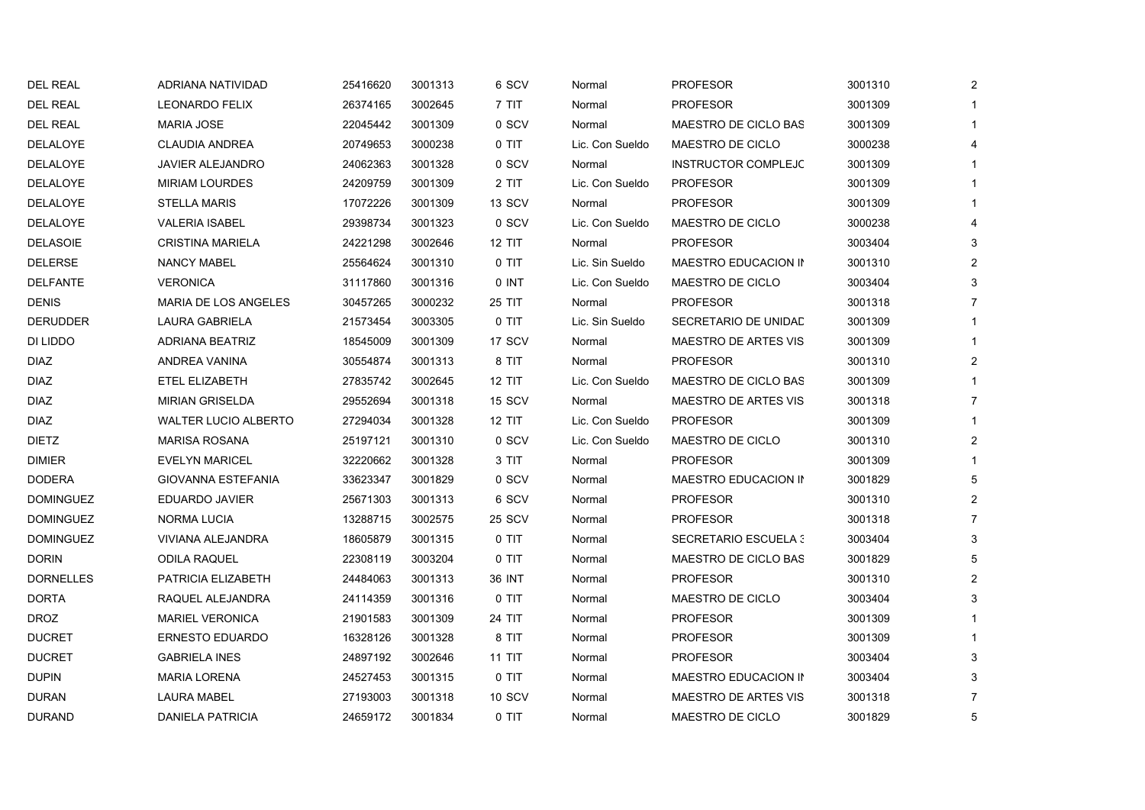| <b>DEL REAL</b>  | ADRIANA NATIVIDAD           | 25416620 | 3001313 | 6 SCV         | Normal          | <b>PROFESOR</b>             | 3001310 | 2              |
|------------------|-----------------------------|----------|---------|---------------|-----------------|-----------------------------|---------|----------------|
| <b>DEL REAL</b>  | <b>LEONARDO FELIX</b>       | 26374165 | 3002645 | 7 TIT         | Normal          | <b>PROFESOR</b>             | 3001309 |                |
| <b>DEL REAL</b>  | <b>MARIA JOSE</b>           | 22045442 | 3001309 | 0 SCV         | Normal          | MAESTRO DE CICLO BAS        | 3001309 |                |
| DELALOYE         | <b>CLAUDIA ANDREA</b>       | 20749653 | 3000238 | 0 TIT         | Lic. Con Sueldo | MAESTRO DE CICLO            | 3000238 | 4              |
| DELALOYE         | JAVIER ALEJANDRO            | 24062363 | 3001328 | 0 SCV         | Normal          | <b>INSTRUCTOR COMPLEJC</b>  | 3001309 |                |
| DELALOYE         | <b>MIRIAM LOURDES</b>       | 24209759 | 3001309 | 2 TIT         | Lic. Con Sueldo | <b>PROFESOR</b>             | 3001309 |                |
| DELALOYE         | <b>STELLA MARIS</b>         | 17072226 | 3001309 | 13 SCV        | Normal          | <b>PROFESOR</b>             | 3001309 |                |
| DELALOYE         | <b>VALERIA ISABEL</b>       | 29398734 | 3001323 | 0 SCV         | Lic. Con Sueldo | MAESTRO DE CICLO            | 3000238 |                |
| <b>DELASOIE</b>  | <b>CRISTINA MARIELA</b>     | 24221298 | 3002646 | <b>12 TIT</b> | Normal          | <b>PROFESOR</b>             | 3003404 | 3              |
| <b>DELERSE</b>   | <b>NANCY MABEL</b>          | 25564624 | 3001310 | 0 TIT         | Lic. Sin Sueldo | MAESTRO EDUCACION IN        | 3001310 | $\overline{2}$ |
| <b>DELFANTE</b>  | <b>VERONICA</b>             | 31117860 | 3001316 | 0 INT         | Lic. Con Sueldo | MAESTRO DE CICLO            | 3003404 | 3              |
| <b>DENIS</b>     | <b>MARIA DE LOS ANGELES</b> | 30457265 | 3000232 | 25 TIT        | Normal          | <b>PROFESOR</b>             | 3001318 | $\overline{7}$ |
| <b>DERUDDER</b>  | LAURA GABRIELA              | 21573454 | 3003305 | 0 TIT         | Lic. Sin Sueldo | SECRETARIO DE UNIDAD        | 3001309 |                |
| DI LIDDO         | <b>ADRIANA BEATRIZ</b>      | 18545009 | 3001309 | 17 SCV        | Normal          | <b>MAESTRO DE ARTES VIS</b> | 3001309 |                |
| <b>DIAZ</b>      | ANDREA VANINA               | 30554874 | 3001313 | 8 TIT         | Normal          | <b>PROFESOR</b>             | 3001310 | $\overline{2}$ |
| <b>DIAZ</b>      | ETEL ELIZABETH              | 27835742 | 3002645 | <b>12 TIT</b> | Lic. Con Sueldo | MAESTRO DE CICLO BAS        | 3001309 |                |
| <b>DIAZ</b>      | <b>MIRIAN GRISELDA</b>      | 29552694 | 3001318 | 15 SCV        | Normal          | <b>MAESTRO DE ARTES VIS</b> | 3001318 | $\overline{7}$ |
| <b>DIAZ</b>      | <b>WALTER LUCIO ALBERTO</b> | 27294034 | 3001328 | <b>12 TIT</b> | Lic. Con Sueldo | <b>PROFESOR</b>             | 3001309 |                |
| <b>DIETZ</b>     | <b>MARISA ROSANA</b>        | 25197121 | 3001310 | 0 SCV         | Lic. Con Sueldo | MAESTRO DE CICLO            | 3001310 | $\overline{2}$ |
| <b>DIMIER</b>    | <b>EVELYN MARICEL</b>       | 32220662 | 3001328 | 3 TIT         | Normal          | <b>PROFESOR</b>             | 3001309 |                |
| <b>DODERA</b>    | <b>GIOVANNA ESTEFANIA</b>   | 33623347 | 3001829 | 0 SCV         | Normal          | MAESTRO EDUCACION IN        | 3001829 | 5              |
| <b>DOMINGUEZ</b> | EDUARDO JAVIER              | 25671303 | 3001313 | 6 SCV         | Normal          | <b>PROFESOR</b>             | 3001310 | 2              |
| <b>DOMINGUEZ</b> | <b>NORMA LUCIA</b>          | 13288715 | 3002575 | 25 SCV        | Normal          | <b>PROFESOR</b>             | 3001318 | $\overline{7}$ |
| <b>DOMINGUEZ</b> | VIVIANA ALEJANDRA           | 18605879 | 3001315 | 0 TIT         | Normal          | <b>SECRETARIO ESCUELA 3</b> | 3003404 | 3              |
| <b>DORIN</b>     | <b>ODILA RAQUEL</b>         | 22308119 | 3003204 | 0 TIT         | Normal          | MAESTRO DE CICLO BAS        | 3001829 | 5              |
| <b>DORNELLES</b> | PATRICIA ELIZABETH          | 24484063 | 3001313 | 36 INT        | Normal          | <b>PROFESOR</b>             | 3001310 | 2              |
| <b>DORTA</b>     | RAQUEL ALEJANDRA            | 24114359 | 3001316 | 0 TIT         | Normal          | MAESTRO DE CICLO            | 3003404 | 3              |
| <b>DROZ</b>      | <b>MARIEL VERONICA</b>      | 21901583 | 3001309 | 24 TIT        | Normal          | <b>PROFESOR</b>             | 3001309 |                |
| <b>DUCRET</b>    | <b>ERNESTO EDUARDO</b>      | 16328126 | 3001328 | 8 TIT         | Normal          | <b>PROFESOR</b>             | 3001309 |                |
| <b>DUCRET</b>    | <b>GABRIELA INES</b>        | 24897192 | 3002646 | <b>11 TIT</b> | Normal          | <b>PROFESOR</b>             | 3003404 | 3              |
| <b>DUPIN</b>     | <b>MARIA LORENA</b>         | 24527453 | 3001315 | 0 TIT         | Normal          | MAESTRO EDUCACION IN        | 3003404 | 3              |
| <b>DURAN</b>     | <b>LAURA MABEL</b>          | 27193003 | 3001318 | 10 SCV        | Normal          | <b>MAESTRO DE ARTES VIS</b> | 3001318 | $\overline{7}$ |
| <b>DURAND</b>    | <b>DANIELA PATRICIA</b>     | 24659172 | 3001834 | 0 TIT         | Normal          | MAESTRO DE CICLO            | 3001829 | 5              |
|                  |                             |          |         |               |                 |                             |         |                |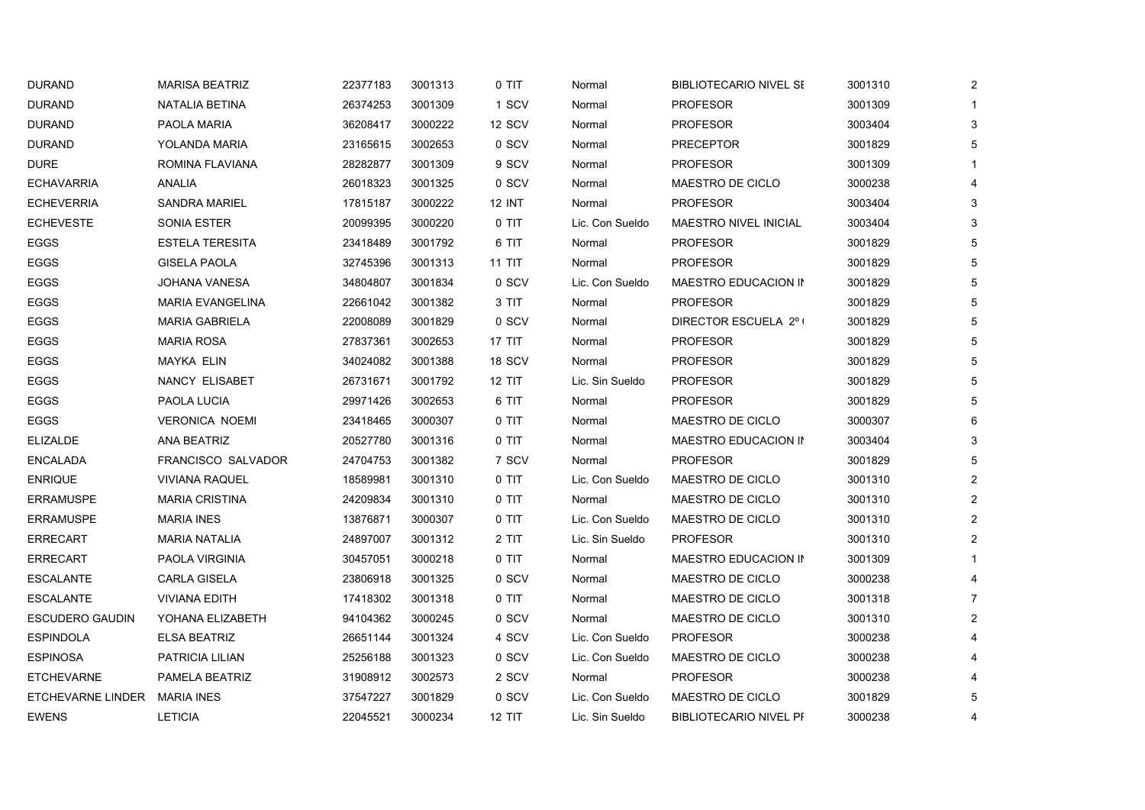| <b>DURAND</b>          | <b>MARISA BEATRIZ</b>     | 22377183 | 3001313 | 0 TIT         | Normal          | <b>BIBLIOTECARIO NIVEL SE</b> | 3001310 | $\mathbf{2}$   |
|------------------------|---------------------------|----------|---------|---------------|-----------------|-------------------------------|---------|----------------|
| <b>DURAND</b>          | NATALIA BETINA            | 26374253 | 3001309 | 1 SCV         | Normal          | <b>PROFESOR</b>               | 3001309 | 1              |
| <b>DURAND</b>          | PAOLA MARIA               | 36208417 | 3000222 | 12 SCV        | Normal          | <b>PROFESOR</b>               | 3003404 | 3              |
| <b>DURAND</b>          | YOLANDA MARIA             | 23165615 | 3002653 | 0 SCV         | Normal          | <b>PRECEPTOR</b>              | 3001829 | 5              |
| DURE                   | ROMINA FLAVIANA           | 28282877 | 3001309 | 9 SCV         | Normal          | <b>PROFESOR</b>               | 3001309 | 1              |
| <b>ECHAVARRIA</b>      | ANALIA                    | 26018323 | 3001325 | 0 SCV         | Normal          | MAESTRO DE CICLO              | 3000238 | 4              |
| <b>ECHEVERRIA</b>      | <b>SANDRA MARIEL</b>      | 17815187 | 3000222 | <b>12 INT</b> | Normal          | <b>PROFESOR</b>               | 3003404 | 3              |
| <b>ECHEVESTE</b>       | SONIA ESTER               | 20099395 | 3000220 | 0 TIT         | Lic. Con Sueldo | MAESTRO NIVEL INICIAL         | 3003404 | 3              |
| EGGS                   | <b>ESTELA TERESITA</b>    | 23418489 | 3001792 | 6 TIT         | Normal          | <b>PROFESOR</b>               | 3001829 | 5              |
| <b>EGGS</b>            | <b>GISELA PAOLA</b>       | 32745396 | 3001313 | 11 TIT        | Normal          | <b>PROFESOR</b>               | 3001829 | 5              |
| EGGS                   | <b>JOHANA VANESA</b>      | 34804807 | 3001834 | 0 SCV         | Lic. Con Sueldo | MAESTRO EDUCACION IN          | 3001829 | 5              |
| <b>EGGS</b>            | <b>MARIA EVANGELINA</b>   | 22661042 | 3001382 | 3 TIT         | Normal          | <b>PROFESOR</b>               | 3001829 | 5              |
| <b>EGGS</b>            | <b>MARIA GABRIELA</b>     | 22008089 | 3001829 | 0 SCV         | Normal          | DIRECTOR ESCUELA 2º (         | 3001829 | 5              |
| <b>EGGS</b>            | <b>MARIA ROSA</b>         | 27837361 | 3002653 | 17 TIT        | Normal          | <b>PROFESOR</b>               | 3001829 | 5              |
| <b>EGGS</b>            | <b>MAYKA ELIN</b>         | 34024082 | 3001388 | 18 SCV        | Normal          | <b>PROFESOR</b>               | 3001829 | 5              |
| EGGS                   | NANCY ELISABET            | 26731671 | 3001792 | <b>12 TIT</b> | Lic. Sin Sueldo | <b>PROFESOR</b>               | 3001829 | 5              |
| <b>EGGS</b>            | PAOLA LUCIA               | 29971426 | 3002653 | 6 TIT         | Normal          | <b>PROFESOR</b>               | 3001829 | 5              |
| <b>EGGS</b>            | <b>VERONICA NOEMI</b>     | 23418465 | 3000307 | 0 TIT         | Normal          | MAESTRO DE CICLO              | 3000307 | 6              |
| <b>ELIZALDE</b>        | ANA BEATRIZ               | 20527780 | 3001316 | $0$ TIT       | Normal          | MAESTRO EDUCACION IN          | 3003404 | 3              |
| <b>ENCALADA</b>        | <b>FRANCISCO SALVADOR</b> | 24704753 | 3001382 | 7 SCV         | Normal          | <b>PROFESOR</b>               | 3001829 | 5              |
| <b>ENRIQUE</b>         | <b>VIVIANA RAQUEL</b>     | 18589981 | 3001310 | 0 TIT         | Lic. Con Sueldo | MAESTRO DE CICLO              | 3001310 | $\overline{2}$ |
| ERRAMUSPE              | <b>MARIA CRISTINA</b>     | 24209834 | 3001310 | 0 TIT         | Normal          | MAESTRO DE CICLO              | 3001310 | $\overline{2}$ |
| <b>ERRAMUSPE</b>       | MARIA INES                | 13876871 | 3000307 | 0 TIT         | Lic. Con Sueldo | MAESTRO DE CICLO              | 3001310 | $\overline{2}$ |
| ERRECART               | <b>MARIA NATALIA</b>      | 24897007 | 3001312 | 2 TIT         | Lic. Sin Sueldo | <b>PROFESOR</b>               | 3001310 | $\overline{2}$ |
| <b>ERRECART</b>        | PAOLA VIRGINIA            | 30457051 | 3000218 | 0 TIT         | Normal          | MAESTRO EDUCACION IN          | 3001309 | $\mathbf{1}$   |
| ESCALANTE              | CARLA GISELA              | 23806918 | 3001325 | 0 SCV         | Normal          | MAESTRO DE CICLO              | 3000238 | $\overline{4}$ |
| <b>ESCALANTE</b>       | <b>VIVIANA EDITH</b>      | 17418302 | 3001318 | 0 TIT         | Normal          | MAESTRO DE CICLO              | 3001318 | $\overline{7}$ |
| <b>ESCUDERO GAUDIN</b> | YOHANA ELIZABETH          | 94104362 | 3000245 | 0 SCV         | Normal          | MAESTRO DE CICLO              | 3001310 | $\overline{2}$ |
| <b>ESPINDOLA</b>       | ELSA BEATRIZ              | 26651144 | 3001324 | 4 SCV         | Lic. Con Sueldo | <b>PROFESOR</b>               | 3000238 | 4              |
| <b>ESPINOSA</b>        | PATRICIA LILIAN           | 25256188 | 3001323 | 0 SCV         | Lic. Con Sueldo | MAESTRO DE CICLO              | 3000238 | 4              |
| <b>ETCHEVARNE</b>      | PAMELA BEATRIZ            | 31908912 | 3002573 | 2 SCV         | Normal          | <b>PROFESOR</b>               | 3000238 | 4              |
| ETCHEVARNE LINDER      | <b>MARIA INES</b>         | 37547227 | 3001829 | 0 SCV         | Lic. Con Sueldo | MAESTRO DE CICLO              | 3001829 | 5              |
| <b>EWENS</b>           | <b>LETICIA</b>            | 22045521 | 3000234 | <b>12 TIT</b> | Lic. Sin Sueldo | <b>BIBLIOTECARIO NIVEL PF</b> | 3000238 | 4              |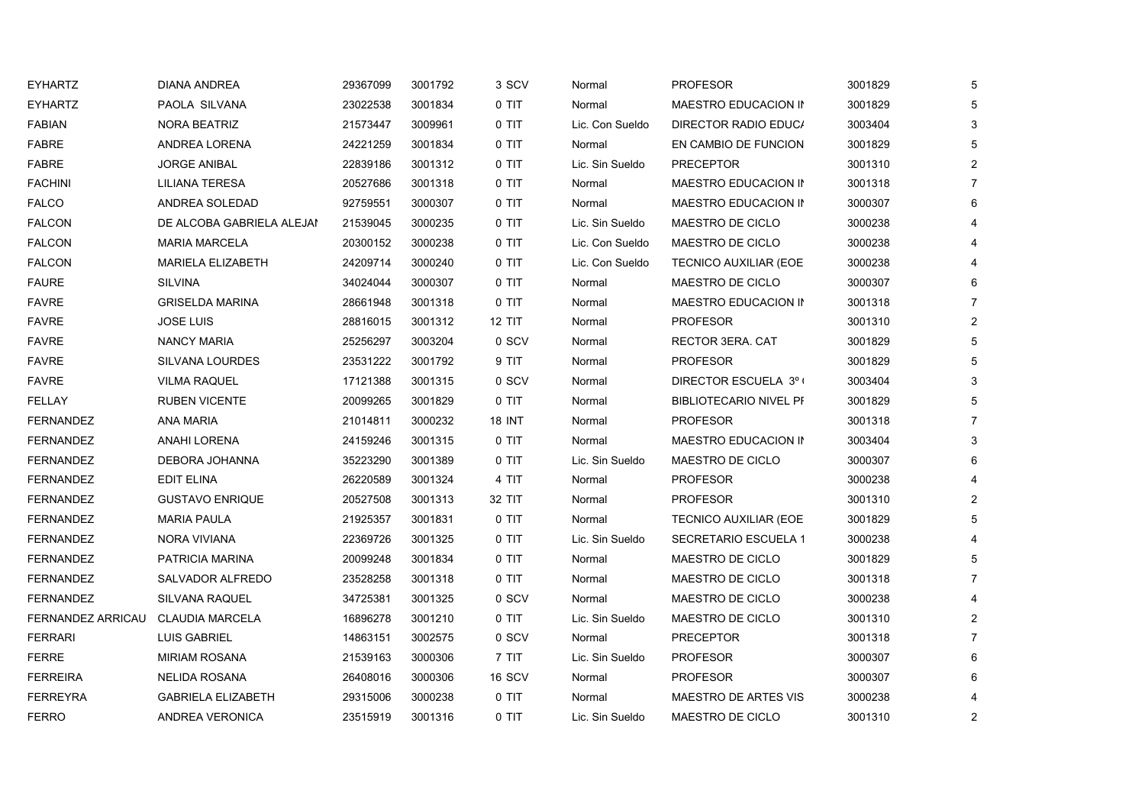| <b>EYHARTZ</b>    | <b>DIANA ANDREA</b>       | 29367099 | 3001792 | 3 SCV         | Normal          | <b>PROFESOR</b>               | 3001829 | 5 |
|-------------------|---------------------------|----------|---------|---------------|-----------------|-------------------------------|---------|---|
| <b>EYHARTZ</b>    | PAOLA SILVANA             | 23022538 | 3001834 | 0 TIT         | Normal          | MAESTRO EDUCACION IN          | 3001829 | 5 |
| <b>FABIAN</b>     | <b>NORA BEATRIZ</b>       | 21573447 | 3009961 | 0 TIT         | Lic. Con Sueldo | DIRECTOR RADIO EDUC/          | 3003404 | 3 |
| <b>FABRE</b>      | ANDREA LORENA             | 24221259 | 3001834 | 0 TIT         | Normal          | EN CAMBIO DE FUNCION          | 3001829 | 5 |
| <b>FABRE</b>      | <b>JORGE ANIBAL</b>       | 22839186 | 3001312 | 0 TIT         | Lic. Sin Sueldo | <b>PRECEPTOR</b>              | 3001310 | 2 |
| <b>FACHINI</b>    | LILIANA TERESA            | 20527686 | 3001318 | 0 TIT         | Normal          | MAESTRO EDUCACION IN          | 3001318 | 7 |
| <b>FALCO</b>      | ANDREA SOLEDAD            | 92759551 | 3000307 | 0 TIT         | Normal          | MAESTRO EDUCACION IN          | 3000307 | 6 |
| <b>FALCON</b>     | DE ALCOBA GABRIELA ALEJAN | 21539045 | 3000235 | 0 TIT         | Lic. Sin Sueldo | MAESTRO DE CICLO              | 3000238 |   |
| <b>FALCON</b>     | <b>MARIA MARCELA</b>      | 20300152 | 3000238 | 0 TIT         | Lic. Con Sueldo | MAESTRO DE CICLO              | 3000238 |   |
| <b>FALCON</b>     | <b>MARIELA ELIZABETH</b>  | 24209714 | 3000240 | 0 TIT         | Lic. Con Sueldo | <b>TECNICO AUXILIAR (EOE</b>  | 3000238 |   |
| <b>FAURE</b>      | <b>SILVINA</b>            | 34024044 | 3000307 | 0 TIT         | Normal          | MAESTRO DE CICLO              | 3000307 |   |
| <b>FAVRE</b>      | <b>GRISELDA MARINA</b>    | 28661948 | 3001318 | 0 TIT         | Normal          | MAESTRO EDUCACION IN          | 3001318 |   |
| <b>FAVRE</b>      | <b>JOSE LUIS</b>          | 28816015 | 3001312 | <b>12 TIT</b> | Normal          | <b>PROFESOR</b>               | 3001310 | 2 |
| <b>FAVRE</b>      | <b>NANCY MARIA</b>        | 25256297 | 3003204 | 0 SCV         | Normal          | RECTOR 3ERA. CAT              | 3001829 | 5 |
| <b>FAVRE</b>      | <b>SILVANA LOURDES</b>    | 23531222 | 3001792 | 9 TIT         | Normal          | <b>PROFESOR</b>               | 3001829 |   |
| <b>FAVRE</b>      | <b>VILMA RAQUEL</b>       | 17121388 | 3001315 | 0 SCV         | Normal          | DIRECTOR ESCUELA 3° (         | 3003404 | 3 |
| <b>FELLAY</b>     | <b>RUBEN VICENTE</b>      | 20099265 | 3001829 | 0 TIT         | Normal          | <b>BIBLIOTECARIO NIVEL PF</b> | 3001829 | 5 |
| <b>FERNANDEZ</b>  | <b>ANA MARIA</b>          | 21014811 | 3000232 | <b>18 INT</b> | Normal          | <b>PROFESOR</b>               | 3001318 |   |
| <b>FERNANDEZ</b>  | <b>ANAHI LORENA</b>       | 24159246 | 3001315 | 0 TIT         | Normal          | MAESTRO EDUCACION IN          | 3003404 | 3 |
| <b>FERNANDEZ</b>  | DEBORA JOHANNA            | 35223290 | 3001389 | 0 TIT         | Lic. Sin Sueldo | MAESTRO DE CICLO              | 3000307 | 6 |
| <b>FERNANDEZ</b>  | EDIT ELINA                | 26220589 | 3001324 | 4 TIT         | Normal          | <b>PROFESOR</b>               | 3000238 |   |
| <b>FERNANDEZ</b>  | <b>GUSTAVO ENRIQUE</b>    | 20527508 | 3001313 | 32 TIT        | Normal          | <b>PROFESOR</b>               | 3001310 | 2 |
| <b>FERNANDEZ</b>  | <b>MARIA PAULA</b>        | 21925357 | 3001831 | 0 TIT         | Normal          | <b>TECNICO AUXILIAR (EOE</b>  | 3001829 | 5 |
| <b>FERNANDEZ</b>  | NORA VIVIANA              | 22369726 | 3001325 | 0 TIT         | Lic. Sin Sueldo | SECRETARIO ESCUELA 1          | 3000238 |   |
| <b>FERNANDEZ</b>  | PATRICIA MARINA           | 20099248 | 3001834 | 0 TIT         | Normal          | MAESTRO DE CICLO              | 3001829 | 5 |
| <b>FERNANDEZ</b>  | SALVADOR ALFREDO          | 23528258 | 3001318 | 0 TIT         | Normal          | MAESTRO DE CICLO              | 3001318 | 7 |
| <b>FERNANDEZ</b>  | <b>SILVANA RAQUEL</b>     | 34725381 | 3001325 | 0 SCV         | Normal          | MAESTRO DE CICLO              | 3000238 |   |
| FERNANDEZ ARRICAU | CLAUDIA MARCELA           | 16896278 | 3001210 | 0 TIT         | Lic. Sin Sueldo | MAESTRO DE CICLO              | 3001310 | 2 |
| <b>FERRARI</b>    | <b>LUIS GABRIEL</b>       | 14863151 | 3002575 | 0 SCV         | Normal          | <b>PRECEPTOR</b>              | 3001318 |   |
| FERRE             | <b>MIRIAM ROSANA</b>      | 21539163 | 3000306 | 7 TIT         | Lic. Sin Sueldo | <b>PROFESOR</b>               | 3000307 | 6 |
| <b>FERREIRA</b>   | <b>NELIDA ROSANA</b>      | 26408016 | 3000306 | 16 SCV        | Normal          | <b>PROFESOR</b>               | 3000307 | 6 |
| <b>FERREYRA</b>   | <b>GABRIELA ELIZABETH</b> | 29315006 | 3000238 | 0 TIT         | Normal          | <b>MAESTRO DE ARTES VIS</b>   | 3000238 |   |
| <b>FERRO</b>      | ANDREA VERONICA           | 23515919 | 3001316 | 0 TIT         | Lic. Sin Sueldo | MAESTRO DE CICLO              | 3001310 | 2 |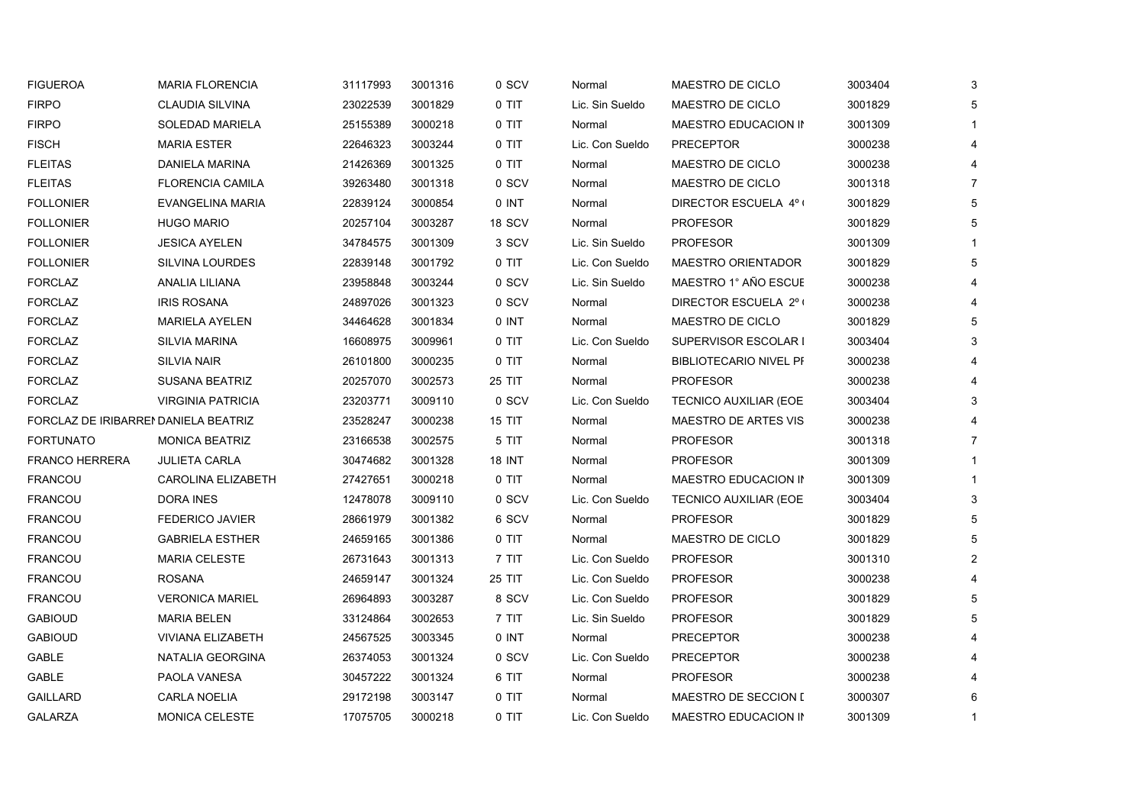| <b>FIGUEROA</b>                      | <b>MARIA FLORENCIA</b>    | 31117993 | 3001316 | 0 SCV         | Normal          | MAESTRO DE CICLO              | 3003404 | 3              |
|--------------------------------------|---------------------------|----------|---------|---------------|-----------------|-------------------------------|---------|----------------|
| <b>FIRPO</b>                         | <b>CLAUDIA SILVINA</b>    | 23022539 | 3001829 | 0 TIT         | Lic. Sin Sueldo | MAESTRO DE CICLO              | 3001829 | 5              |
| <b>FIRPO</b>                         | <b>SOLEDAD MARIELA</b>    | 25155389 | 3000218 | 0 TIT         | Normal          | MAESTRO EDUCACION IN          | 3001309 |                |
| <b>FISCH</b>                         | <b>MARIA ESTER</b>        | 22646323 | 3003244 | 0 TIT         | Lic. Con Sueldo | <b>PRECEPTOR</b>              | 3000238 |                |
| <b>FLEITAS</b>                       | DANIELA MARINA            | 21426369 | 3001325 | 0 TIT         | Normal          | MAESTRO DE CICLO              | 3000238 |                |
| <b>FLEITAS</b>                       | <b>FLORENCIA CAMILA</b>   | 39263480 | 3001318 | 0 SCV         | Normal          | MAESTRO DE CICLO              | 3001318 |                |
| <b>FOLLONIER</b>                     | EVANGELINA MARIA          | 22839124 | 3000854 | $0$ INT       | Normal          | DIRECTOR ESCUELA 4° (         | 3001829 | 5              |
| <b>FOLLONIER</b>                     | <b>HUGO MARIO</b>         | 20257104 | 3003287 | 18 SCV        | Normal          | <b>PROFESOR</b>               | 3001829 | 5              |
| <b>FOLLONIER</b>                     | <b>JESICA AYELEN</b>      | 34784575 | 3001309 | 3 SCV         | Lic. Sin Sueldo | <b>PROFESOR</b>               | 3001309 |                |
| <b>FOLLONIER</b>                     | <b>SILVINA LOURDES</b>    | 22839148 | 3001792 | $0$ TIT       | Lic. Con Sueldo | <b>MAESTRO ORIENTADOR</b>     | 3001829 | 5              |
| <b>FORCLAZ</b>                       | ANALIA LILIANA            | 23958848 | 3003244 | 0 SCV         | Lic. Sin Sueldo | MAESTRO 1° AÑO ESCUE          | 3000238 |                |
| <b>FORCLAZ</b>                       | <b>IRIS ROSANA</b>        | 24897026 | 3001323 | 0 SCV         | Normal          | DIRECTOR ESCUELA 2º (         | 3000238 |                |
| <b>FORCLAZ</b>                       | <b>MARIELA AYELEN</b>     | 34464628 | 3001834 | 0 INT         | Normal          | MAESTRO DE CICLO              | 3001829 | 5              |
| <b>FORCLAZ</b>                       | <b>SILVIA MARINA</b>      | 16608975 | 3009961 | 0 TIT         | Lic. Con Sueldo | SUPERVISOR ESCOLAR I          | 3003404 | 3              |
| <b>FORCLAZ</b>                       | <b>SILVIA NAIR</b>        | 26101800 | 3000235 | 0 TIT         | Normal          | <b>BIBLIOTECARIO NIVEL PF</b> | 3000238 |                |
| <b>FORCLAZ</b>                       | <b>SUSANA BEATRIZ</b>     | 20257070 | 3002573 | 25 TIT        | Normal          | <b>PROFESOR</b>               | 3000238 |                |
| <b>FORCLAZ</b>                       | <b>VIRGINIA PATRICIA</b>  | 23203771 | 3009110 | 0 SCV         | Lic. Con Sueldo | TECNICO AUXILIAR (EOE         | 3003404 | 3              |
| FORCLAZ DE IRIBARREI DANIELA BEATRIZ |                           | 23528247 | 3000238 | <b>15 TIT</b> | Normal          | <b>MAESTRO DE ARTES VIS</b>   | 3000238 |                |
| <b>FORTUNATO</b>                     | <b>MONICA BEATRIZ</b>     | 23166538 | 3002575 | 5 TIT         | Normal          | <b>PROFESOR</b>               | 3001318 | $\overline{7}$ |
| <b>FRANCO HERRERA</b>                | <b>JULIETA CARLA</b>      | 30474682 | 3001328 | 18 INT        | Normal          | <b>PROFESOR</b>               | 3001309 |                |
| <b>FRANCOU</b>                       | <b>CAROLINA ELIZABETH</b> | 27427651 | 3000218 | 0 TIT         | Normal          | MAESTRO EDUCACION IN          | 3001309 |                |
| FRANCOU                              | <b>DORA INES</b>          | 12478078 | 3009110 | 0 SCV         | Lic. Con Sueldo | <b>TECNICO AUXILIAR (EOE</b>  | 3003404 | 3              |
| FRANCOU                              | <b>FEDERICO JAVIER</b>    | 28661979 | 3001382 | 6 SCV         | Normal          | <b>PROFESOR</b>               | 3001829 | 5              |
| <b>FRANCOU</b>                       | <b>GABRIELA ESTHER</b>    | 24659165 | 3001386 | 0 TIT         | Normal          | MAESTRO DE CICLO              | 3001829 | 5              |
| FRANCOU                              | <b>MARIA CELESTE</b>      | 26731643 | 3001313 | 7 TIT         | Lic. Con Sueldo | <b>PROFESOR</b>               | 3001310 | $\overline{2}$ |
| <b>FRANCOU</b>                       | <b>ROSANA</b>             | 24659147 | 3001324 | <b>25 TIT</b> | Lic. Con Sueldo | <b>PROFESOR</b>               | 3000238 |                |
| FRANCOU                              | <b>VERONICA MARIEL</b>    | 26964893 | 3003287 | 8 SCV         | Lic. Con Sueldo | <b>PROFESOR</b>               | 3001829 | 5              |
| <b>GABIOUD</b>                       | <b>MARIA BELEN</b>        | 33124864 | 3002653 | 7 TIT         | Lic. Sin Sueldo | <b>PROFESOR</b>               | 3001829 | 5              |
| <b>GABIOUD</b>                       | <b>VIVIANA ELIZABETH</b>  | 24567525 | 3003345 | $0$ INT       | Normal          | <b>PRECEPTOR</b>              | 3000238 |                |
| <b>GABLE</b>                         | NATALIA GEORGINA          | 26374053 | 3001324 | 0 SCV         | Lic. Con Sueldo | <b>PRECEPTOR</b>              | 3000238 |                |
| GABLE                                | PAOLA VANESA              | 30457222 | 3001324 | 6 TIT         | Normal          | <b>PROFESOR</b>               | 3000238 |                |
| <b>GAILLARD</b>                      | <b>CARLA NOELIA</b>       | 29172198 | 3003147 | 0 TIT         | Normal          | <b>MAESTRO DE SECCION I</b>   | 3000307 |                |
| <b>GALARZA</b>                       | <b>MONICA CELESTE</b>     | 17075705 | 3000218 | 0 TIT         | Lic. Con Sueldo | MAESTRO EDUCACION IN          | 3001309 | $\mathbf 1$    |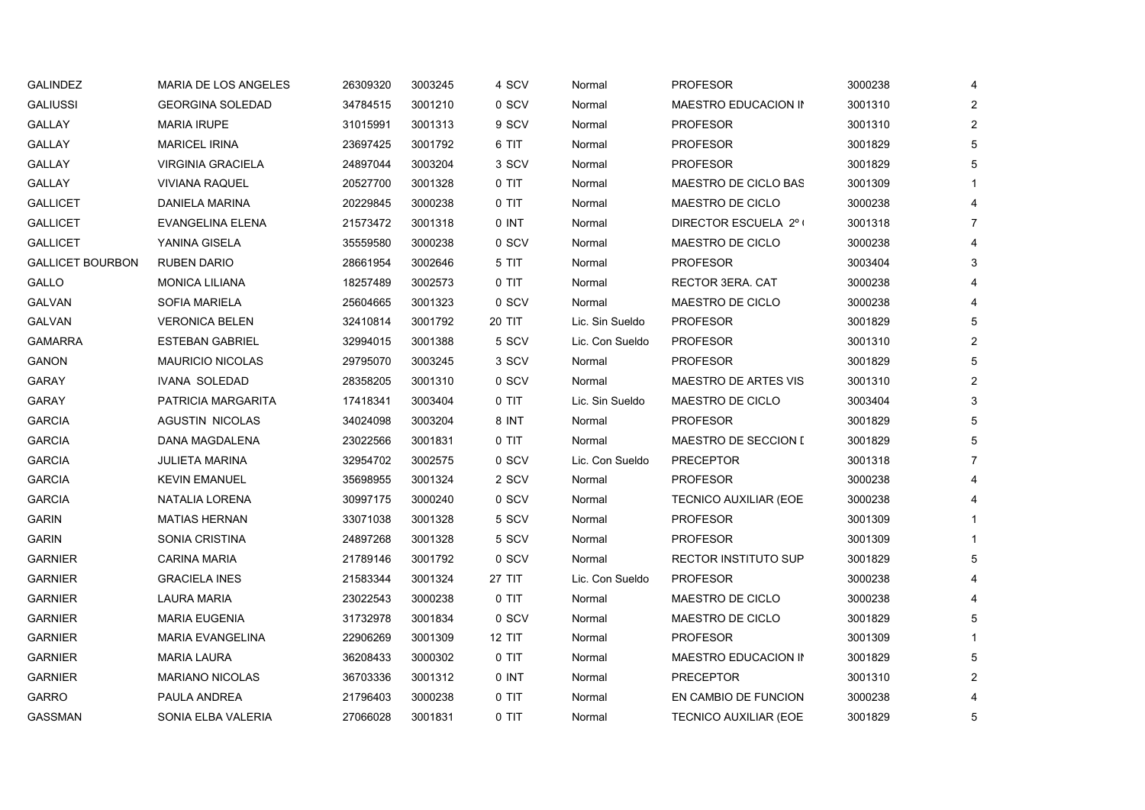| <b>GALINDEZ</b>         | <b>MARIA DE LOS ANGELES</b> | 26309320 | 3003245 | 4 SCV         | Normal          | <b>PROFESOR</b>              | 3000238 | 4              |
|-------------------------|-----------------------------|----------|---------|---------------|-----------------|------------------------------|---------|----------------|
| <b>GALIUSSI</b>         | <b>GEORGINA SOLEDAD</b>     | 34784515 | 3001210 | 0 SCV         | Normal          | MAESTRO EDUCACION IN         | 3001310 | $\overline{2}$ |
| <b>GALLAY</b>           | <b>MARIA IRUPE</b>          | 31015991 | 3001313 | 9 SCV         | Normal          | <b>PROFESOR</b>              | 3001310 | $\overline{2}$ |
| GALLAY                  | <b>MARICEL IRINA</b>        | 23697425 | 3001792 | 6 TIT         | Normal          | <b>PROFESOR</b>              | 3001829 | 5              |
| <b>GALLAY</b>           | <b>VIRGINIA GRACIELA</b>    | 24897044 | 3003204 | 3 SCV         | Normal          | <b>PROFESOR</b>              | 3001829 | 5              |
| <b>GALLAY</b>           | <b>VIVIANA RAQUEL</b>       | 20527700 | 3001328 | 0 TIT         | Normal          | MAESTRO DE CICLO BAS         | 3001309 |                |
| <b>GALLICET</b>         | DANIELA MARINA              | 20229845 | 3000238 | 0 TIT         | Normal          | MAESTRO DE CICLO             | 3000238 | 4              |
| <b>GALLICET</b>         | EVANGELINA ELENA            | 21573472 | 3001318 | 0 INT         | Normal          | DIRECTOR ESCUELA 2° (        | 3001318 |                |
| <b>GALLICET</b>         | YANINA GISELA               | 35559580 | 3000238 | 0 SCV         | Normal          | MAESTRO DE CICLO             | 3000238 |                |
| <b>GALLICET BOURBON</b> | <b>RUBEN DARIO</b>          | 28661954 | 3002646 | 5 TIT         | Normal          | <b>PROFESOR</b>              | 3003404 | 3              |
| GALLO                   | <b>MONICA LILIANA</b>       | 18257489 | 3002573 | 0 TIT         | Normal          | RECTOR 3ERA. CAT             | 3000238 |                |
| GALVAN                  | <b>SOFIA MARIELA</b>        | 25604665 | 3001323 | 0 SCV         | Normal          | MAESTRO DE CICLO             | 3000238 |                |
| GALVAN                  | <b>VERONICA BELEN</b>       | 32410814 | 3001792 | 20 TIT        | Lic. Sin Sueldo | <b>PROFESOR</b>              | 3001829 | 5              |
| <b>GAMARRA</b>          | <b>ESTEBAN GABRIEL</b>      | 32994015 | 3001388 | 5 SCV         | Lic. Con Sueldo | <b>PROFESOR</b>              | 3001310 | $\overline{2}$ |
| <b>GANON</b>            | <b>MAURICIO NICOLAS</b>     | 29795070 | 3003245 | 3 SCV         | Normal          | <b>PROFESOR</b>              | 3001829 | 5              |
| <b>GARAY</b>            | <b>IVANA SOLEDAD</b>        | 28358205 | 3001310 | 0 SCV         | Normal          | <b>MAESTRO DE ARTES VIS</b>  | 3001310 | $\overline{2}$ |
| GARAY                   | PATRICIA MARGARITA          | 17418341 | 3003404 | 0 TIT         | Lic. Sin Sueldo | MAESTRO DE CICLO             | 3003404 | 3              |
| <b>GARCIA</b>           | <b>AGUSTIN NICOLAS</b>      | 34024098 | 3003204 | 8 INT         | Normal          | <b>PROFESOR</b>              | 3001829 | 5              |
| <b>GARCIA</b>           | DANA MAGDALENA              | 23022566 | 3001831 | 0 TIT         | Normal          | <b>MAESTRO DE SECCION I</b>  | 3001829 | 5              |
| <b>GARCIA</b>           | <b>JULIETA MARINA</b>       | 32954702 | 3002575 | 0 SCV         | Lic. Con Sueldo | <b>PRECEPTOR</b>             | 3001318 |                |
| <b>GARCIA</b>           | <b>KEVIN EMANUEL</b>        | 35698955 | 3001324 | 2 SCV         | Normal          | <b>PROFESOR</b>              | 3000238 |                |
| <b>GARCIA</b>           | NATALIA LORENA              | 30997175 | 3000240 | 0 SCV         | Normal          | <b>TECNICO AUXILIAR (EOE</b> | 3000238 |                |
| <b>GARIN</b>            | <b>MATIAS HERNAN</b>        | 33071038 | 3001328 | 5 SCV         | Normal          | <b>PROFESOR</b>              | 3001309 |                |
| <b>GARIN</b>            | SONIA CRISTINA              | 24897268 | 3001328 | 5 SCV         | Normal          | <b>PROFESOR</b>              | 3001309 |                |
| <b>GARNIER</b>          | <b>CARINA MARIA</b>         | 21789146 | 3001792 | 0 SCV         | Normal          | RECTOR INSTITUTO SUP         | 3001829 | 5              |
| <b>GARNIER</b>          | <b>GRACIELA INES</b>        | 21583344 | 3001324 | 27 TIT        | Lic. Con Sueldo | <b>PROFESOR</b>              | 3000238 |                |
| <b>GARNIER</b>          | <b>LAURA MARIA</b>          | 23022543 | 3000238 | 0 TIT         | Normal          | MAESTRO DE CICLO             | 3000238 |                |
| <b>GARNIER</b>          | <b>MARIA EUGENIA</b>        | 31732978 | 3001834 | 0 SCV         | Normal          | MAESTRO DE CICLO             | 3001829 | 5              |
| <b>GARNIER</b>          | <b>MARIA EVANGELINA</b>     | 22906269 | 3001309 | <b>12 TIT</b> | Normal          | <b>PROFESOR</b>              | 3001309 |                |
| <b>GARNIER</b>          | <b>MARIA LAURA</b>          | 36208433 | 3000302 | 0 TIT         | Normal          | MAESTRO EDUCACION IN         | 3001829 | 5              |
| <b>GARNIER</b>          | <b>MARIANO NICOLAS</b>      | 36703336 | 3001312 | 0 INT         | Normal          | <b>PRECEPTOR</b>             | 3001310 | 2              |
| <b>GARRO</b>            | PAULA ANDREA                | 21796403 | 3000238 | 0 TIT         | Normal          | EN CAMBIO DE FUNCION         | 3000238 |                |
| <b>GASSMAN</b>          | SONIA ELBA VALERIA          | 27066028 | 3001831 | 0 TIT         | Normal          | <b>TECNICO AUXILIAR (EOE</b> | 3001829 | 5              |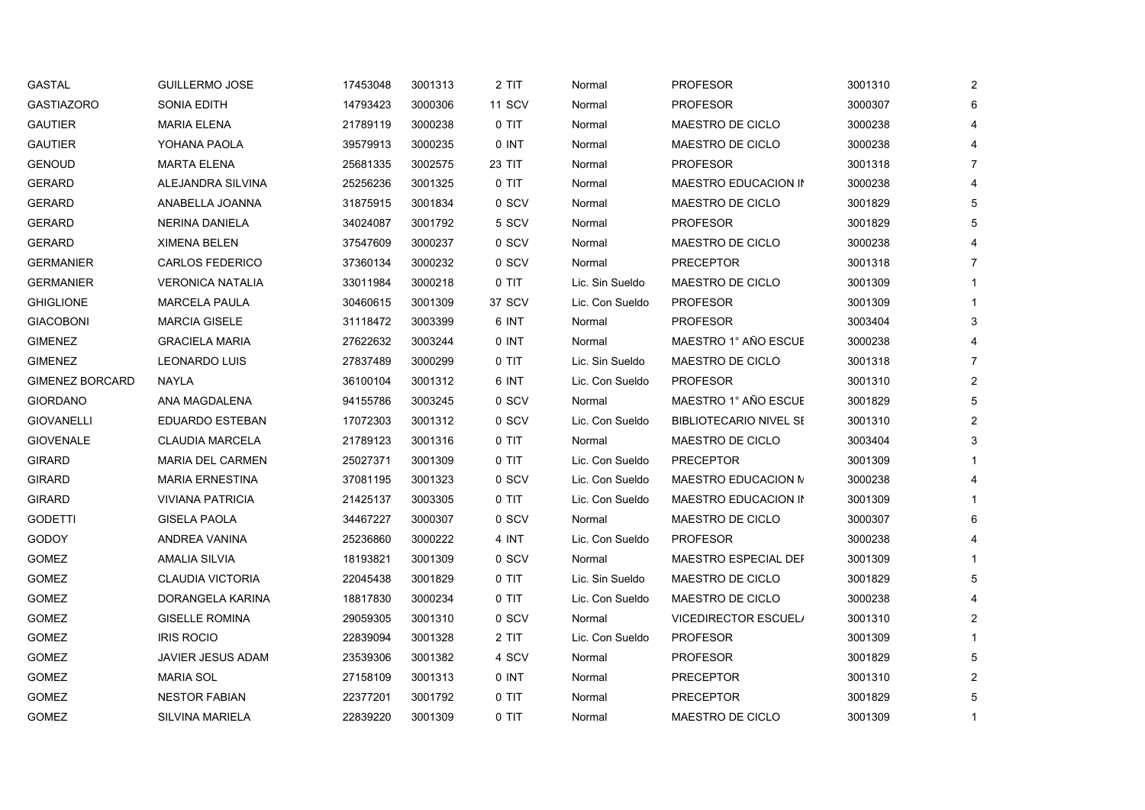| <b>GASTAL</b>          | <b>GUILLERMO JOSE</b>    | 17453048 | 3001313 | 2 TIT  | Normal          | <b>PROFESOR</b>               | 3001310 | $\mathbf{2}$   |
|------------------------|--------------------------|----------|---------|--------|-----------------|-------------------------------|---------|----------------|
| <b>GASTIAZORO</b>      | SONIA EDITH              | 14793423 | 3000306 | 11 SCV | Normal          | <b>PROFESOR</b>               | 3000307 | 6              |
| <b>GAUTIER</b>         | <b>MARIA ELENA</b>       | 21789119 | 3000238 | 0 TIT  | Normal          | MAESTRO DE CICLO              | 3000238 |                |
| <b>GAUTIER</b>         | YOHANA PAOLA             | 39579913 | 3000235 | 0 INT  | Normal          | MAESTRO DE CICLO              | 3000238 |                |
| <b>GENOUD</b>          | <b>MARTA ELENA</b>       | 25681335 | 3002575 | 23 TIT | Normal          | <b>PROFESOR</b>               | 3001318 | 7              |
| <b>GERARD</b>          | ALEJANDRA SILVINA        | 25256236 | 3001325 | 0 TIT  | Normal          | MAESTRO EDUCACION IN          | 3000238 |                |
| <b>GERARD</b>          | ANABELLA JOANNA          | 31875915 | 3001834 | 0 SCV  | Normal          | MAESTRO DE CICLO              | 3001829 | 5              |
| <b>GERARD</b>          | <b>NERINA DANIELA</b>    | 34024087 | 3001792 | 5 SCV  | Normal          | <b>PROFESOR</b>               | 3001829 |                |
| <b>GERARD</b>          | <b>XIMENA BELEN</b>      | 37547609 | 3000237 | 0 SCV  | Normal          | MAESTRO DE CICLO              | 3000238 |                |
| <b>GERMANIER</b>       | <b>CARLOS FEDERICO</b>   | 37360134 | 3000232 | 0 SCV  | Normal          | <b>PRECEPTOR</b>              | 3001318 | $\overline{7}$ |
| <b>GERMANIER</b>       | <b>VERONICA NATALIA</b>  | 33011984 | 3000218 | 0 TIT  | Lic. Sin Sueldo | MAESTRO DE CICLO              | 3001309 |                |
| <b>GHIGLIONE</b>       | <b>MARCELA PAULA</b>     | 30460615 | 3001309 | 37 SCV | Lic. Con Sueldo | <b>PROFESOR</b>               | 3001309 |                |
| <b>GIACOBONI</b>       | <b>MARCIA GISELE</b>     | 31118472 | 3003399 | 6 INT  | Normal          | <b>PROFESOR</b>               | 3003404 | 3              |
| <b>GIMENEZ</b>         | <b>GRACIELA MARIA</b>    | 27622632 | 3003244 | 0 INT  | Normal          | MAESTRO 1° AÑO ESCUE          | 3000238 |                |
| <b>GIMENEZ</b>         | <b>LEONARDO LUIS</b>     | 27837489 | 3000299 | 0 TIT  | Lic. Sin Sueldo | MAESTRO DE CICLO              | 3001318 | $\overline{7}$ |
| <b>GIMENEZ BORCARD</b> | NAYLA                    | 36100104 | 3001312 | 6 INT  | Lic. Con Sueldo | <b>PROFESOR</b>               | 3001310 | $\overline{2}$ |
| <b>GIORDANO</b>        | ANA MAGDALENA            | 94155786 | 3003245 | 0 SCV  | Normal          | MAESTRO 1° AÑO ESCUE          | 3001829 | 5              |
| <b>GIOVANELLI</b>      | <b>EDUARDO ESTEBAN</b>   | 17072303 | 3001312 | 0 SCV  | Lic. Con Sueldo | <b>BIBLIOTECARIO NIVEL SE</b> | 3001310 | $\overline{2}$ |
| <b>GIOVENALE</b>       | <b>CLAUDIA MARCELA</b>   | 21789123 | 3001316 | 0 TIT  | Normal          | MAESTRO DE CICLO              | 3003404 | 3              |
| <b>GIRARD</b>          | <b>MARIA DEL CARMEN</b>  | 25027371 | 3001309 | 0 TIT  | Lic. Con Sueldo | <b>PRECEPTOR</b>              | 3001309 |                |
| <b>GIRARD</b>          | <b>MARIA ERNESTINA</b>   | 37081195 | 3001323 | 0 SCV  | Lic. Con Sueldo | MAESTRO EDUCACION N           | 3000238 |                |
| <b>GIRARD</b>          | <b>VIVIANA PATRICIA</b>  | 21425137 | 3003305 | 0 TIT  | Lic. Con Sueldo | MAESTRO EDUCACION IN          | 3001309 |                |
| GODETTI                | <b>GISELA PAOLA</b>      | 34467227 | 3000307 | 0 SCV  | Normal          | MAESTRO DE CICLO              | 3000307 | 6              |
| GODOY                  | ANDREA VANINA            | 25236860 | 3000222 | 4 INT  | Lic. Con Sueldo | <b>PROFESOR</b>               | 3000238 |                |
| GOMEZ                  | <b>AMALIA SILVIA</b>     | 18193821 | 3001309 | 0 SCV  | Normal          | <b>MAESTRO ESPECIAL DEF</b>   | 3001309 |                |
| <b>GOMEZ</b>           | <b>CLAUDIA VICTORIA</b>  | 22045438 | 3001829 | 0 TIT  | Lic. Sin Sueldo | MAESTRO DE CICLO              | 3001829 | 5              |
| GOMEZ                  | DORANGELA KARINA         | 18817830 | 3000234 | 0 TIT  | Lic. Con Sueldo | MAESTRO DE CICLO              | 3000238 |                |
| GOMEZ                  | <b>GISELLE ROMINA</b>    | 29059305 | 3001310 | 0 SCV  | Normal          | <b>VICEDIRECTOR ESCUEL/</b>   | 3001310 | $\overline{2}$ |
| GOMEZ                  | <b>IRIS ROCIO</b>        | 22839094 | 3001328 | 2 TIT  | Lic. Con Sueldo | <b>PROFESOR</b>               | 3001309 |                |
| GOMEZ                  | <b>JAVIER JESUS ADAM</b> | 23539306 | 3001382 | 4 SCV  | Normal          | <b>PROFESOR</b>               | 3001829 | 5              |
| GOMEZ                  | <b>MARIA SOL</b>         | 27158109 | 3001313 | 0 INT  | Normal          | <b>PRECEPTOR</b>              | 3001310 | $\mathbf{2}$   |
| GOMEZ                  | <b>NESTOR FABIAN</b>     | 22377201 | 3001792 | 0 TIT  | Normal          | <b>PRECEPTOR</b>              | 3001829 | 5              |
| GOMEZ                  | SILVINA MARIELA          | 22839220 | 3001309 | 0 TIT  | Normal          | MAESTRO DE CICLO              | 3001309 | 1              |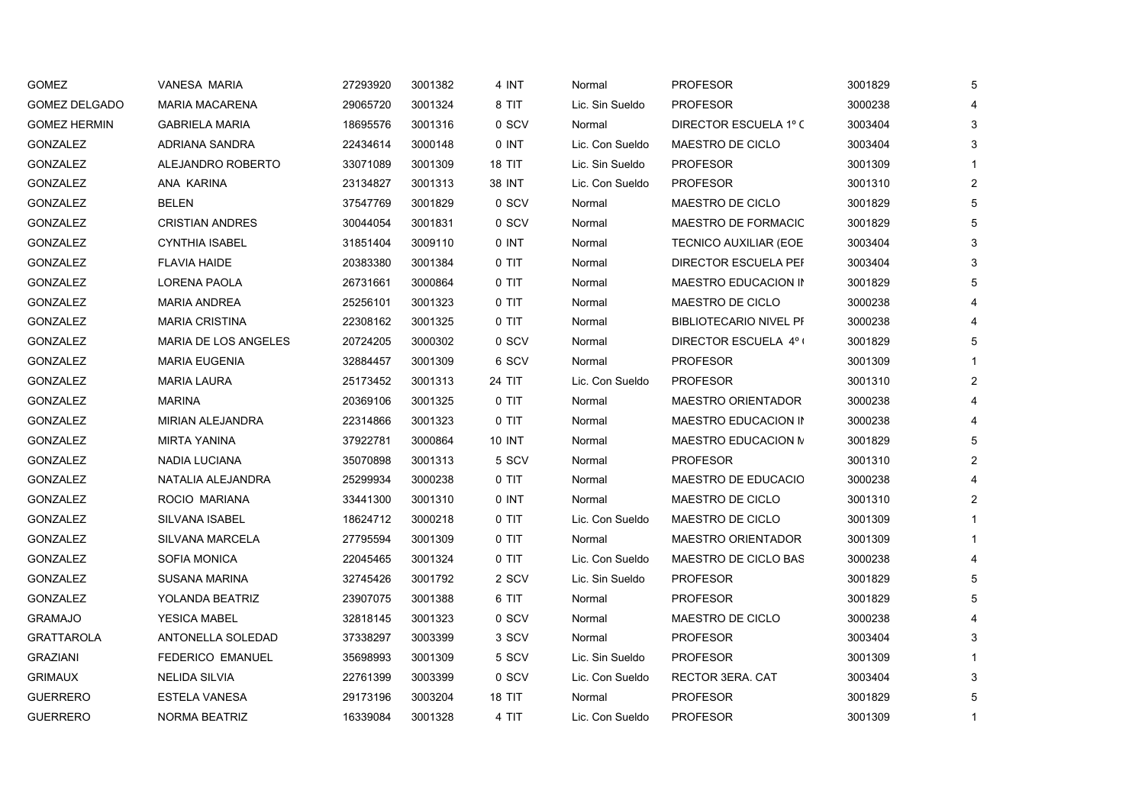| <b>GOMEZ</b>         | VANESA MARIA                | 27293920 | 3001382 | 4 INT         | Normal          | <b>PROFESOR</b>               | 3001829 | 5              |
|----------------------|-----------------------------|----------|---------|---------------|-----------------|-------------------------------|---------|----------------|
| <b>GOMEZ DELGADO</b> | <b>MARIA MACARENA</b>       | 29065720 | 3001324 | 8 TIT         | Lic. Sin Sueldo | <b>PROFESOR</b>               | 3000238 | 4              |
| <b>GOMEZ HERMIN</b>  | <b>GABRIELA MARIA</b>       | 18695576 | 3001316 | 0 SCV         | Normal          | DIRECTOR ESCUELA 1º C         | 3003404 | 3              |
| <b>GONZALEZ</b>      | ADRIANA SANDRA              | 22434614 | 3000148 | 0 INT         | Lic. Con Sueldo | MAESTRO DE CICLO              | 3003404 | 3              |
| <b>GONZALEZ</b>      | ALEJANDRO ROBERTO           | 33071089 | 3001309 | 18 TIT        | Lic. Sin Sueldo | <b>PROFESOR</b>               | 3001309 |                |
| <b>GONZALEZ</b>      | ANA KARINA                  | 23134827 | 3001313 | 38 INT        | Lic. Con Sueldo | <b>PROFESOR</b>               | 3001310 | $\overline{2}$ |
| GONZALEZ             | <b>BELEN</b>                | 37547769 | 3001829 | 0 SCV         | Normal          | MAESTRO DE CICLO              | 3001829 | 5              |
| GONZALEZ             | <b>CRISTIAN ANDRES</b>      | 30044054 | 3001831 | 0 SCV         | Normal          | MAESTRO DE FORMACIC           | 3001829 | 5              |
| <b>GONZALEZ</b>      | <b>CYNTHIA ISABEL</b>       | 31851404 | 3009110 | 0 INT         | Normal          | <b>TECNICO AUXILIAR (EOE</b>  | 3003404 | 3              |
| GONZALEZ             | <b>FLAVIA HAIDE</b>         | 20383380 | 3001384 | 0 TIT         | Normal          | DIRECTOR ESCUELA PEF          | 3003404 | 3              |
| <b>GONZALEZ</b>      | LORENA PAOLA                | 26731661 | 3000864 | 0 TIT         | Normal          | MAESTRO EDUCACION IN          | 3001829 | 5              |
| <b>GONZALEZ</b>      | <b>MARIA ANDREA</b>         | 25256101 | 3001323 | 0 TIT         | Normal          | <b>MAESTRO DE CICLO</b>       | 3000238 |                |
| GONZALEZ             | <b>MARIA CRISTINA</b>       | 22308162 | 3001325 | 0 TIT         | Normal          | <b>BIBLIOTECARIO NIVEL PF</b> | 3000238 |                |
| <b>GONZALEZ</b>      | <b>MARIA DE LOS ANGELES</b> | 20724205 | 3000302 | 0 SCV         | Normal          | DIRECTOR ESCUELA 4° (         | 3001829 | 5              |
| GONZALEZ             | <b>MARIA EUGENIA</b>        | 32884457 | 3001309 | 6 SCV         | Normal          | <b>PROFESOR</b>               | 3001309 |                |
| <b>GONZALEZ</b>      | <b>MARIA LAURA</b>          | 25173452 | 3001313 | 24 TIT        | Lic. Con Sueldo | <b>PROFESOR</b>               | 3001310 | $\overline{2}$ |
| GONZALEZ             | MARINA                      | 20369106 | 3001325 | 0 TIT         | Normal          | <b>MAESTRO ORIENTADOR</b>     | 3000238 |                |
| <b>GONZALEZ</b>      | <b>MIRIAN ALEJANDRA</b>     | 22314866 | 3001323 | 0 TIT         | Normal          | <b>MAESTRO EDUCACION IN</b>   | 3000238 |                |
| GONZALEZ             | <b>MIRTA YANINA</b>         | 37922781 | 3000864 | <b>10 INT</b> | Normal          | MAESTRO EDUCACION N           | 3001829 | 5              |
| GONZALEZ             | NADIA LUCIANA               | 35070898 | 3001313 | 5 SCV         | Normal          | <b>PROFESOR</b>               | 3001310 | $\overline{2}$ |
| GONZALEZ             | NATALIA ALEJANDRA           | 25299934 | 3000238 | 0 TIT         | Normal          | MAESTRO DE EDUCACIO           | 3000238 |                |
| GONZALEZ             | ROCIO MARIANA               | 33441300 | 3001310 | 0 INT         | Normal          | MAESTRO DE CICLO              | 3001310 | $\overline{2}$ |
| <b>GONZALEZ</b>      | SILVANA ISABEL              | 18624712 | 3000218 | 0 TIT         | Lic. Con Sueldo | MAESTRO DE CICLO              | 3001309 |                |
| GONZALEZ             | SILVANA MARCELA             | 27795594 | 3001309 | 0 TIT         | Normal          | <b>MAESTRO ORIENTADOR</b>     | 3001309 |                |
| GONZALEZ             | <b>SOFIA MONICA</b>         | 22045465 | 3001324 | 0 TIT         | Lic. Con Sueldo | MAESTRO DE CICLO BAS          | 3000238 |                |
| GONZALEZ             | <b>SUSANA MARINA</b>        | 32745426 | 3001792 | 2 SCV         | Lic. Sin Sueldo | <b>PROFESOR</b>               | 3001829 | 5              |
| GONZALEZ             | YOLANDA BEATRIZ             | 23907075 | 3001388 | 6 TIT         | Normal          | <b>PROFESOR</b>               | 3001829 | 5              |
| <b>GRAMAJO</b>       | <b>YESICA MABEL</b>         | 32818145 | 3001323 | 0 SCV         | Normal          | MAESTRO DE CICLO              | 3000238 |                |
| <b>GRATTAROLA</b>    | ANTONELLA SOLEDAD           | 37338297 | 3003399 | 3 SCV         | Normal          | <b>PROFESOR</b>               | 3003404 | 3              |
| <b>GRAZIANI</b>      | <b>FEDERICO EMANUEL</b>     | 35698993 | 3001309 | 5 SCV         | Lic. Sin Sueldo | <b>PROFESOR</b>               | 3001309 |                |
| <b>GRIMAUX</b>       | <b>NELIDA SILVIA</b>        | 22761399 | 3003399 | 0 SCV         | Lic. Con Sueldo | RECTOR 3ERA. CAT              | 3003404 | 3              |
| <b>GUERRERO</b>      | <b>ESTELA VANESA</b>        | 29173196 | 3003204 | 18 TIT        | Normal          | <b>PROFESOR</b>               | 3001829 | 5              |
| <b>GUERRERO</b>      | NORMA BEATRIZ               | 16339084 | 3001328 | 4 TIT         | Lic. Con Sueldo | <b>PROFESOR</b>               | 3001309 |                |
|                      |                             |          |         |               |                 |                               |         |                |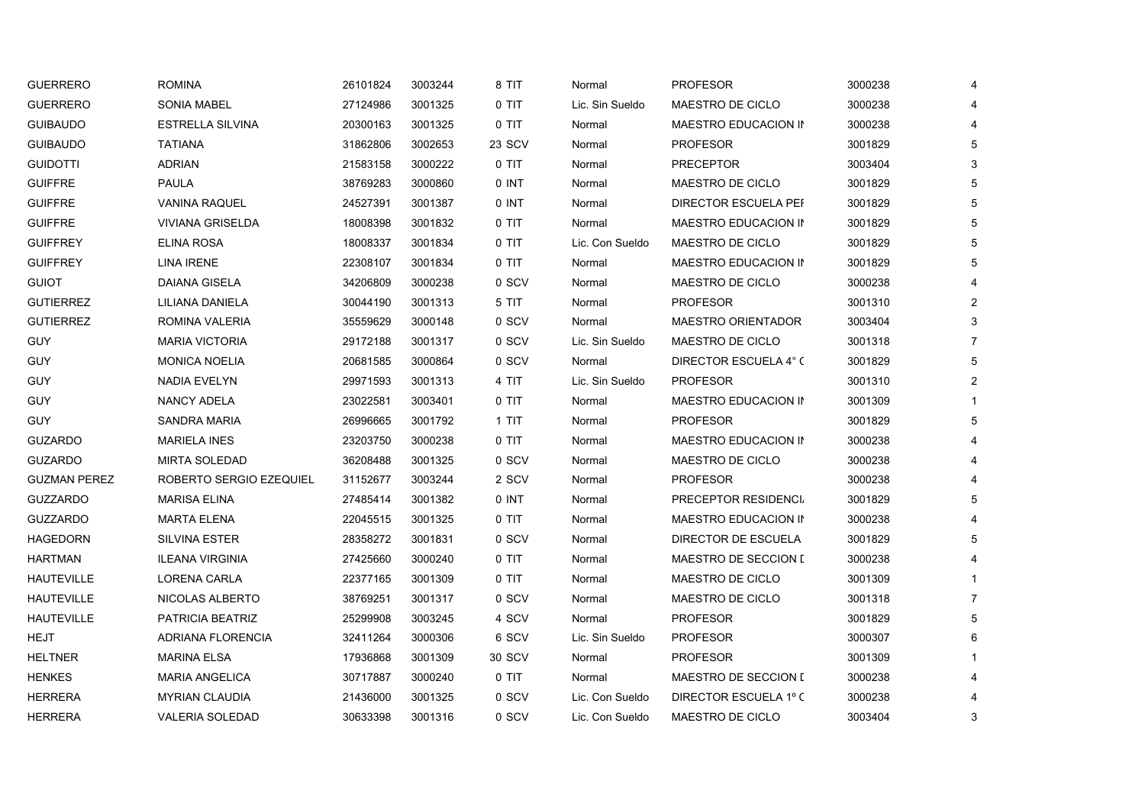| <b>ROMINA</b>            | 26101824 | 3003244 | 8 TIT  | Normal          | <b>PROFESOR</b>             | 3000238 | 4                       |
|--------------------------|----------|---------|--------|-----------------|-----------------------------|---------|-------------------------|
| <b>SONIA MABEL</b>       | 27124986 | 3001325 | 0 TIT  | Lic. Sin Sueldo | MAESTRO DE CICLO            | 3000238 | 4                       |
| <b>ESTRELLA SILVINA</b>  | 20300163 | 3001325 | 0 TIT  | Normal          | MAESTRO EDUCACION IN        | 3000238 | 4                       |
| <b>TATIANA</b>           | 31862806 | 3002653 | 23 SCV | Normal          | <b>PROFESOR</b>             | 3001829 | 5                       |
| <b>ADRIAN</b>            | 21583158 | 3000222 | 0 TIT  | Normal          | <b>PRECEPTOR</b>            | 3003404 | 3                       |
| <b>PAULA</b>             | 38769283 | 3000860 | 0 INT  | Normal          | MAESTRO DE CICLO            | 3001829 | 5                       |
| <b>VANINA RAQUEL</b>     | 24527391 | 3001387 | 0 INT  | Normal          | <b>DIRECTOR ESCUELA PEF</b> | 3001829 | 5                       |
| <b>VIVIANA GRISELDA</b>  | 18008398 | 3001832 | 0 TIT  | Normal          | MAESTRO EDUCACION IN        | 3001829 | 5                       |
| <b>ELINA ROSA</b>        | 18008337 | 3001834 | 0 TIT  | Lic. Con Sueldo | MAESTRO DE CICLO            | 3001829 | 5                       |
| <b>LINA IRENE</b>        | 22308107 | 3001834 | 0 TIT  | Normal          | MAESTRO EDUCACION IN        | 3001829 | 5                       |
| DAIANA GISELA            | 34206809 | 3000238 | 0 SCV  | Normal          | MAESTRO DE CICLO            | 3000238 | 4                       |
| LILIANA DANIELA          | 30044190 | 3001313 | 5 TIT  | Normal          | <b>PROFESOR</b>             | 3001310 | 2                       |
| ROMINA VALERIA           | 35559629 | 3000148 | 0 SCV  | Normal          | <b>MAESTRO ORIENTADOR</b>   | 3003404 | 3                       |
| <b>MARIA VICTORIA</b>    | 29172188 | 3001317 | 0 SCV  | Lic. Sin Sueldo | MAESTRO DE CICLO            | 3001318 | $\overline{7}$          |
| <b>MONICA NOELIA</b>     | 20681585 | 3000864 | 0 SCV  | Normal          | DIRECTOR ESCUELA 4° C       | 3001829 | 5                       |
| NADIA EVELYN             | 29971593 | 3001313 | 4 TIT  | Lic. Sin Sueldo | <b>PROFESOR</b>             | 3001310 | $\overline{2}$          |
| <b>NANCY ADELA</b>       | 23022581 | 3003401 | 0 TIT  | Normal          | MAESTRO EDUCACION IN        | 3001309 |                         |
| <b>SANDRA MARIA</b>      | 26996665 | 3001792 | 1 TIT  | Normal          | <b>PROFESOR</b>             | 3001829 | 5                       |
| <b>MARIELA INES</b>      | 23203750 | 3000238 | 0 TIT  | Normal          | MAESTRO EDUCACION IN        | 3000238 | $\overline{\mathbf{4}}$ |
| <b>MIRTA SOLEDAD</b>     | 36208488 | 3001325 | 0 SCV  | Normal          | MAESTRO DE CICLO            | 3000238 | 4                       |
| ROBERTO SERGIO EZEQUIEL  | 31152677 | 3003244 | 2 SCV  | Normal          | <b>PROFESOR</b>             | 3000238 |                         |
| <b>MARISA ELINA</b>      | 27485414 | 3001382 | 0 INT  | Normal          | PRECEPTOR RESIDENCI         | 3001829 | 5                       |
| <b>MARTA ELENA</b>       | 22045515 | 3001325 | 0 TIT  | Normal          | MAESTRO EDUCACION IN        | 3000238 |                         |
| <b>SILVINA ESTER</b>     | 28358272 | 3001831 | 0 SCV  | Normal          | DIRECTOR DE ESCUELA         | 3001829 | 5                       |
| <b>ILEANA VIRGINIA</b>   | 27425660 | 3000240 | 0 TIT  | Normal          | <b>MAESTRO DE SECCION [</b> | 3000238 |                         |
| LORENA CARLA             | 22377165 | 3001309 | 0 TIT  | Normal          | MAESTRO DE CICLO            | 3001309 |                         |
| NICOLAS ALBERTO          | 38769251 | 3001317 | 0 SCV  | Normal          | MAESTRO DE CICLO            | 3001318 | $\overline{7}$          |
| PATRICIA BEATRIZ         | 25299908 | 3003245 | 4 SCV  | Normal          | <b>PROFESOR</b>             | 3001829 | 5                       |
| <b>ADRIANA FLORENCIA</b> | 32411264 | 3000306 | 6 SCV  | Lic. Sin Sueldo | <b>PROFESOR</b>             | 3000307 | 6                       |
| <b>MARINA ELSA</b>       | 17936868 | 3001309 | 30 SCV | Normal          | <b>PROFESOR</b>             | 3001309 |                         |
| <b>MARIA ANGELICA</b>    | 30717887 | 3000240 | 0 TIT  | Normal          | <b>MAESTRO DE SECCION [</b> | 3000238 | 4                       |
| <b>MYRIAN CLAUDIA</b>    | 21436000 | 3001325 | 0 SCV  | Lic. Con Sueldo | DIRECTOR ESCUELA 1º C       | 3000238 | 4                       |
| <b>VALERIA SOLEDAD</b>   | 30633398 | 3001316 | 0 SCV  | Lic. Con Sueldo | MAESTRO DE CICLO            | 3003404 | 3                       |
|                          |          |         |        |                 |                             |         |                         |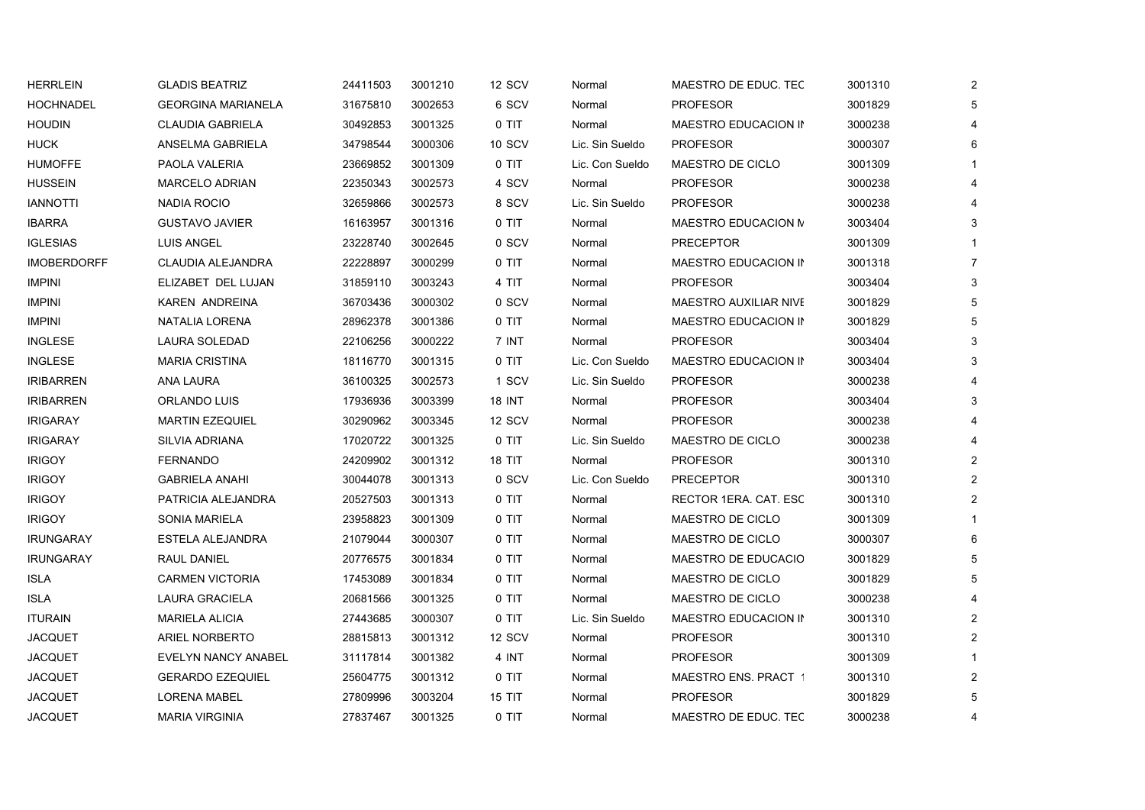| <b>HERRLEIN</b>    | <b>GLADIS BEATRIZ</b>      | 24411503 | 3001210 | 12 SCV        | Normal          | MAESTRO DE EDUC. TEC  | 3001310 | $\overline{2}$          |
|--------------------|----------------------------|----------|---------|---------------|-----------------|-----------------------|---------|-------------------------|
| <b>HOCHNADEL</b>   | <b>GEORGINA MARIANELA</b>  | 31675810 | 3002653 | 6 SCV         | Normal          | <b>PROFESOR</b>       | 3001829 | 5                       |
| <b>HOUDIN</b>      | <b>CLAUDIA GABRIELA</b>    | 30492853 | 3001325 | 0 TIT         | Normal          | MAESTRO EDUCACION IN  | 3000238 | $\overline{4}$          |
| <b>HUCK</b>        | ANSELMA GABRIELA           | 34798544 | 3000306 | <b>10 SCV</b> | Lic. Sin Sueldo | <b>PROFESOR</b>       | 3000307 | 6                       |
| <b>HUMOFFE</b>     | PAOLA VALERIA              | 23669852 | 3001309 | 0 TIT         | Lic. Con Sueldo | MAESTRO DE CICLO      | 3001309 | 1                       |
| <b>HUSSEIN</b>     | MARCELO ADRIAN             | 22350343 | 3002573 | 4 SCV         | Normal          | <b>PROFESOR</b>       | 3000238 | 4                       |
| <b>IANNOTTI</b>    | NADIA ROCIO                | 32659866 | 3002573 | 8 SCV         | Lic. Sin Sueldo | <b>PROFESOR</b>       | 3000238 | 4                       |
| <b>IBARRA</b>      | <b>GUSTAVO JAVIER</b>      | 16163957 | 3001316 | 0 TIT         | Normal          | MAESTRO EDUCACION M   | 3003404 | 3                       |
| <b>IGLESIAS</b>    | <b>LUIS ANGEL</b>          | 23228740 | 3002645 | 0 SCV         | Normal          | <b>PRECEPTOR</b>      | 3001309 | 1                       |
| <b>IMOBERDORFF</b> | CLAUDIA ALEJANDRA          | 22228897 | 3000299 | 0 TIT         | Normal          | MAESTRO EDUCACION IN  | 3001318 | $\overline{7}$          |
| <b>IMPINI</b>      | ELIZABET DEL LUJAN         | 31859110 | 3003243 | 4 TIT         | Normal          | <b>PROFESOR</b>       | 3003404 | 3                       |
| <b>IMPINI</b>      | KAREN ANDREINA             | 36703436 | 3000302 | 0 SCV         | Normal          | MAESTRO AUXILIAR NIVE | 3001829 | 5                       |
| <b>IMPINI</b>      | NATALIA LORENA             | 28962378 | 3001386 | 0 TIT         | Normal          | MAESTRO EDUCACION IN  | 3001829 | 5                       |
| <b>INGLESE</b>     | LAURA SOLEDAD              | 22106256 | 3000222 | 7 INT         | Normal          | <b>PROFESOR</b>       | 3003404 | 3                       |
| <b>INGLESE</b>     | <b>MARIA CRISTINA</b>      | 18116770 | 3001315 | $0$ TIT       | Lic. Con Sueldo | MAESTRO EDUCACION IN  | 3003404 | 3                       |
| <b>IRIBARREN</b>   | ANA LAURA                  | 36100325 | 3002573 | 1 SCV         | Lic. Sin Sueldo | <b>PROFESOR</b>       | 3000238 | 4                       |
| <b>IRIBARREN</b>   | ORLANDO LUIS               | 17936936 | 3003399 | <b>18 INT</b> | Normal          | <b>PROFESOR</b>       | 3003404 | 3                       |
| <b>IRIGARAY</b>    | <b>MARTIN EZEQUIEL</b>     | 30290962 | 3003345 | 12 SCV        | Normal          | <b>PROFESOR</b>       | 3000238 | 4                       |
| <b>IRIGARAY</b>    | <b>SILVIA ADRIANA</b>      | 17020722 | 3001325 | 0 TIT         | Lic. Sin Sueldo | MAESTRO DE CICLO      | 3000238 | 4                       |
| <b>IRIGOY</b>      | <b>FERNANDO</b>            | 24209902 | 3001312 | <b>18 TIT</b> | Normal          | <b>PROFESOR</b>       | 3001310 | $\overline{2}$          |
| <b>IRIGOY</b>      | <b>GABRIELA ANAHI</b>      | 30044078 | 3001313 | 0 SCV         | Lic. Con Sueldo | <b>PRECEPTOR</b>      | 3001310 | $\overline{2}$          |
| <b>IRIGOY</b>      | PATRICIA ALEJANDRA         | 20527503 | 3001313 | 0 TIT         | Normal          | RECTOR 1ERA. CAT. ESC | 3001310 | $\overline{2}$          |
| <b>IRIGOY</b>      | <b>SONIA MARIELA</b>       | 23958823 | 3001309 | 0 TIT         | Normal          | MAESTRO DE CICLO      | 3001309 |                         |
| <b>IRUNGARAY</b>   | ESTELA ALEJANDRA           | 21079044 | 3000307 | 0 TIT         | Normal          | MAESTRO DE CICLO      | 3000307 | 6                       |
| <b>IRUNGARAY</b>   | RAUL DANIEL                | 20776575 | 3001834 | 0 TIT         | Normal          | MAESTRO DE EDUCACIO   | 3001829 | 5                       |
| <b>ISLA</b>        | <b>CARMEN VICTORIA</b>     | 17453089 | 3001834 | 0 TIT         | Normal          | MAESTRO DE CICLO      | 3001829 | 5                       |
| <b>ISLA</b>        | LAURA GRACIELA             | 20681566 | 3001325 | 0 TIT         | Normal          | MAESTRO DE CICLO      | 3000238 | 4                       |
| <b>ITURAIN</b>     | <b>MARIELA ALICIA</b>      | 27443685 | 3000307 | 0 TIT         | Lic. Sin Sueldo | MAESTRO EDUCACION IN  | 3001310 | $\overline{\mathbf{c}}$ |
| <b>JACQUET</b>     | <b>ARIEL NORBERTO</b>      | 28815813 | 3001312 | 12 SCV        | Normal          | <b>PROFESOR</b>       | 3001310 | $\overline{2}$          |
| <b>JACQUET</b>     | <b>EVELYN NANCY ANABEL</b> | 31117814 | 3001382 | 4 INT         | Normal          | <b>PROFESOR</b>       | 3001309 |                         |
| <b>JACQUET</b>     | <b>GERARDO EZEQUIEL</b>    | 25604775 | 3001312 | 0 TIT         | Normal          | MAESTRO ENS. PRACT 1  | 3001310 | $\overline{c}$          |
| <b>JACQUET</b>     | <b>LORENA MABEL</b>        | 27809996 | 3003204 | <b>15 TIT</b> | Normal          | <b>PROFESOR</b>       | 3001829 | 5                       |
| JACQUET            | <b>MARIA VIRGINIA</b>      | 27837467 | 3001325 | 0 TIT         | Normal          | MAESTRO DE EDUC. TEC  | 3000238 | 4                       |
|                    |                            |          |         |               |                 |                       |         |                         |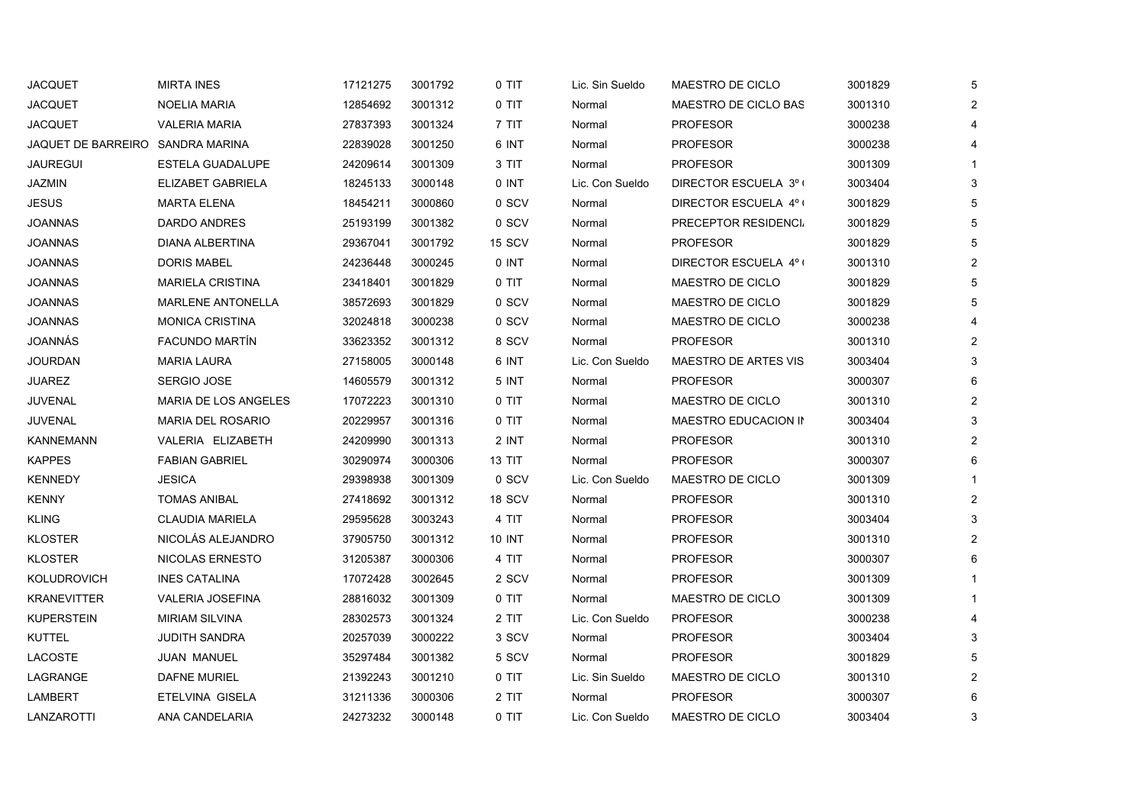| <b>JACQUET</b>                   | <b>MIRTA INES</b>           | 17121275 | 3001792 | 0 TIT         | Lic. Sin Sueldo | MAESTRO DE CICLO            | 3001829 | 5              |
|----------------------------------|-----------------------------|----------|---------|---------------|-----------------|-----------------------------|---------|----------------|
| <b>JACQUET</b>                   | NOELIA MARIA                | 12854692 | 3001312 | 0 TIT         | Normal          | MAESTRO DE CICLO BAS        | 3001310 | $\overline{c}$ |
| <b>JACQUET</b>                   | <b>VALERIA MARIA</b>        | 27837393 | 3001324 | 7 TIT         | Normal          | <b>PROFESOR</b>             | 3000238 | 4              |
| JAQUET DE BARREIRO SANDRA MARINA |                             | 22839028 | 3001250 | 6 INT         | Normal          | <b>PROFESOR</b>             | 3000238 | 4              |
| JAUREGUI                         | ESTELA GUADALUPE            | 24209614 | 3001309 | 3 TIT         | Normal          | <b>PROFESOR</b>             | 3001309 | -1             |
| <b>JAZMIN</b>                    | <b>ELIZABET GABRIELA</b>    | 18245133 | 3000148 | 0 INT         | Lic. Con Sueldo | DIRECTOR ESCUELA 3º (       | 3003404 | 3              |
| <b>JESUS</b>                     | <b>MARTA ELENA</b>          | 18454211 | 3000860 | 0 SCV         | Normal          | DIRECTOR ESCUELA 4º (       | 3001829 | 5              |
| <b>JOANNAS</b>                   | <b>DARDO ANDRES</b>         | 25193199 | 3001382 | 0 SCV         | Normal          | PRECEPTOR RESIDENCI         | 3001829 | 5              |
| <b>JOANNAS</b>                   | DIANA ALBERTINA             | 29367041 | 3001792 | 15 SCV        | Normal          | <b>PROFESOR</b>             | 3001829 | 5              |
| <b>JOANNAS</b>                   | <b>DORIS MABEL</b>          | 24236448 | 3000245 | 0 INT         | Normal          | DIRECTOR ESCUELA 4º (       | 3001310 | $\overline{2}$ |
| <b>JOANNAS</b>                   | <b>MARIELA CRISTINA</b>     | 23418401 | 3001829 | 0 TIT         | Normal          | MAESTRO DE CICLO            | 3001829 | 5              |
| JOANNAS                          | MARLENE ANTONELLA           | 38572693 | 3001829 | 0 SCV         | Normal          | MAESTRO DE CICLO            | 3001829 | 5              |
| <b>JOANNAS</b>                   | <b>MONICA CRISTINA</b>      | 32024818 | 3000238 | 0 SCV         | Normal          | MAESTRO DE CICLO            | 3000238 | 4              |
| JOANNÁS                          | <b>FACUNDO MARTIN</b>       | 33623352 | 3001312 | 8 SCV         | Normal          | <b>PROFESOR</b>             | 3001310 | $\overline{2}$ |
| <b>JOURDAN</b>                   | <b>MARIA LAURA</b>          | 27158005 | 3000148 | 6 INT         | Lic. Con Sueldo | <b>MAESTRO DE ARTES VIS</b> | 3003404 | 3              |
| <b>JUAREZ</b>                    | <b>SERGIO JOSE</b>          | 14605579 | 3001312 | 5 INT         | Normal          | <b>PROFESOR</b>             | 3000307 | 6              |
| JUVENAL                          | <b>MARIA DE LOS ANGELES</b> | 17072223 | 3001310 | 0 TIT         | Normal          | MAESTRO DE CICLO            | 3001310 | $\overline{2}$ |
| <b>JUVENAL</b>                   | <b>MARIA DEL ROSARIO</b>    | 20229957 | 3001316 | 0 TIT         | Normal          | MAESTRO EDUCACION IN        | 3003404 | 3              |
| <b>KANNEMANN</b>                 | VALERIA ELIZABETH           | 24209990 | 3001313 | 2 INT         | Normal          | <b>PROFESOR</b>             | 3001310 | $\overline{2}$ |
| <b>KAPPES</b>                    | <b>FABIAN GABRIEL</b>       | 30290974 | 3000306 | <b>13 TIT</b> | Normal          | <b>PROFESOR</b>             | 3000307 | 6              |
| <b>KENNEDY</b>                   | <b>JESICA</b>               | 29398938 | 3001309 | 0 SCV         | Lic. Con Sueldo | MAESTRO DE CICLO            | 3001309 |                |
| <b>KENNY</b>                     | <b>TOMAS ANIBAL</b>         | 27418692 | 3001312 | 18 SCV        | Normal          | <b>PROFESOR</b>             | 3001310 | $\overline{2}$ |
| <b>KLING</b>                     | <b>CLAUDIA MARIELA</b>      | 29595628 | 3003243 | 4 TIT         | Normal          | <b>PROFESOR</b>             | 3003404 | 3              |
| <b>KLOSTER</b>                   | NICOLÁS ALEJANDRO           | 37905750 | 3001312 | <b>10 INT</b> | Normal          | PROFESOR                    | 3001310 | $\overline{2}$ |
| <b>KLOSTER</b>                   | <b>NICOLAS ERNESTO</b>      | 31205387 | 3000306 | 4 TIT         | Normal          | <b>PROFESOR</b>             | 3000307 | 6              |
| KOLUDROVICH                      | <b>INES CATALINA</b>        | 17072428 | 3002645 | 2 SCV         | Normal          | <b>PROFESOR</b>             | 3001309 |                |
| <b>KRANEVITTER</b>               | <b>VALERIA JOSEFINA</b>     | 28816032 | 3001309 | 0 TIT         | Normal          | MAESTRO DE CICLO            | 3001309 |                |
| <b>KUPERSTEIN</b>                | <b>MIRIAM SILVINA</b>       | 28302573 | 3001324 | 2 TIT         | Lic. Con Sueldo | <b>PROFESOR</b>             | 3000238 | 4              |
| <b>KUTTEL</b>                    | <b>JUDITH SANDRA</b>        | 20257039 | 3000222 | 3 SCV         | Normal          | <b>PROFESOR</b>             | 3003404 | 3              |
| LACOSTE                          | <b>JUAN MANUEL</b>          | 35297484 | 3001382 | 5 SCV         | Normal          | <b>PROFESOR</b>             | 3001829 | 5              |
| LAGRANGE                         | <b>DAFNE MURIEL</b>         | 21392243 | 3001210 | 0 TIT         | Lic. Sin Sueldo | MAESTRO DE CICLO            | 3001310 | $\overline{2}$ |
| <b>LAMBERT</b>                   | ETELVINA GISELA             | 31211336 | 3000306 | 2 TIT         | Normal          | <b>PROFESOR</b>             | 3000307 | 6              |
| LANZAROTTI                       | ANA CANDELARIA              | 24273232 | 3000148 | 0 TIT         | Lic. Con Sueldo | MAESTRO DE CICLO            | 3003404 | 3              |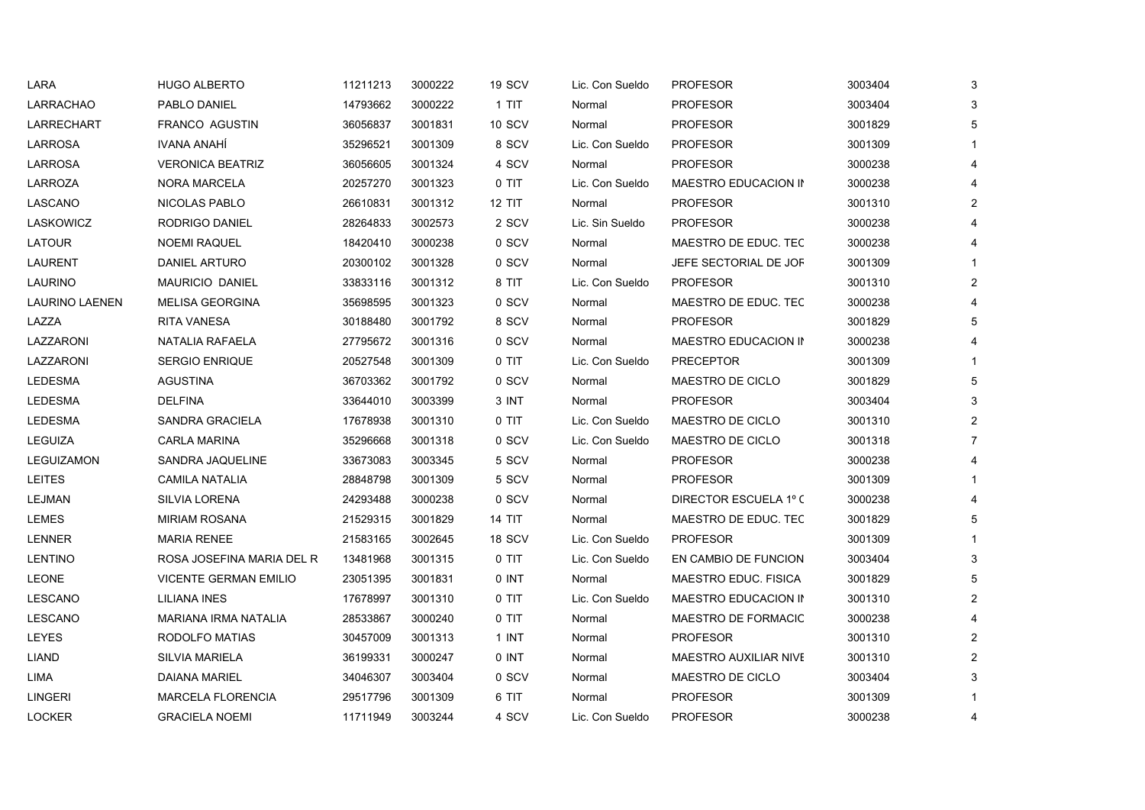| LARA                  | <b>HUGO ALBERTO</b>          | 11211213 | 3000222 | 19 SCV        | Lic. Con Sueldo | <b>PROFESOR</b>              | 3003404 | 3                     |
|-----------------------|------------------------------|----------|---------|---------------|-----------------|------------------------------|---------|-----------------------|
| LARRACHAO             | PABLO DANIEL                 | 14793662 | 3000222 | 1 TIT         | Normal          | <b>PROFESOR</b>              | 3003404 | 3                     |
| <b>LARRECHART</b>     | FRANCO AGUSTIN               | 36056837 | 3001831 | <b>10 SCV</b> | Normal          | <b>PROFESOR</b>              | 3001829 | 5                     |
| LARROSA               | IVANA ANAHÍ                  | 35296521 | 3001309 | 8 SCV         | Lic. Con Sueldo | <b>PROFESOR</b>              | 3001309 |                       |
| LARROSA               | <b>VERONICA BEATRIZ</b>      | 36056605 | 3001324 | 4 SCV         | Normal          | <b>PROFESOR</b>              | 3000238 |                       |
| LARROZA               | <b>NORA MARCELA</b>          | 20257270 | 3001323 | 0 TIT         | Lic. Con Sueldo | MAESTRO EDUCACION IN         | 3000238 |                       |
| LASCANO               | NICOLAS PABLO                | 26610831 | 3001312 | 12 TIT        | Normal          | <b>PROFESOR</b>              | 3001310 | $\overline{2}$        |
| LASKOWICZ             | RODRIGO DANIEL               | 28264833 | 3002573 | 2 SCV         | Lic. Sin Sueldo | <b>PROFESOR</b>              | 3000238 |                       |
| LATOUR                | <b>NOEMI RAQUEL</b>          | 18420410 | 3000238 | 0 SCV         | Normal          | MAESTRO DE EDUC. TEC         | 3000238 |                       |
| <b>LAURENT</b>        | <b>DANIEL ARTURO</b>         | 20300102 | 3001328 | 0 SCV         | Normal          | JEFE SECTORIAL DE JOF        | 3001309 |                       |
| LAURINO               | <b>MAURICIO DANIEL</b>       | 33833116 | 3001312 | 8 TIT         | Lic. Con Sueldo | <b>PROFESOR</b>              | 3001310 | 2                     |
| <b>LAURINO LAENEN</b> | <b>MELISA GEORGINA</b>       | 35698595 | 3001323 | 0 SCV         | Normal          | MAESTRO DE EDUC. TEC         | 3000238 |                       |
| LAZZA                 | RITA VANESA                  | 30188480 | 3001792 | 8 SCV         | Normal          | <b>PROFESOR</b>              | 3001829 | 5                     |
| LAZZARONI             | NATALIA RAFAELA              | 27795672 | 3001316 | 0 SCV         | Normal          | MAESTRO EDUCACION IN         | 3000238 |                       |
| LAZZARONI             | <b>SERGIO ENRIQUE</b>        | 20527548 | 3001309 | 0 TIT         | Lic. Con Sueldo | <b>PRECEPTOR</b>             | 3001309 |                       |
| <b>LEDESMA</b>        | <b>AGUSTINA</b>              | 36703362 | 3001792 | 0 SCV         | Normal          | MAESTRO DE CICLO             | 3001829 | 5                     |
| <b>LEDESMA</b>        | <b>DELFINA</b>               | 33644010 | 3003399 | 3 INT         | Normal          | <b>PROFESOR</b>              | 3003404 | 3                     |
| <b>LEDESMA</b>        | <b>SANDRA GRACIELA</b>       | 17678938 | 3001310 | 0 TIT         | Lic. Con Sueldo | MAESTRO DE CICLO             | 3001310 | $\overline{2}$        |
| <b>LEGUIZA</b>        | <b>CARLA MARINA</b>          | 35296668 | 3001318 | 0 SCV         | Lic. Con Sueldo | MAESTRO DE CICLO             | 3001318 | $\overline{7}$        |
| LEGUIZAMON            | SANDRA JAQUELINE             | 33673083 | 3003345 | 5 SCV         | Normal          | <b>PROFESOR</b>              | 3000238 |                       |
| <b>LEITES</b>         | <b>CAMILA NATALIA</b>        | 28848798 | 3001309 | 5 SCV         | Normal          | <b>PROFESOR</b>              | 3001309 |                       |
| LEJMAN                | <b>SILVIA LORENA</b>         | 24293488 | 3000238 | 0 SCV         | Normal          | DIRECTOR ESCUELA 1º C        | 3000238 |                       |
| LEMES                 | <b>MIRIAM ROSANA</b>         | 21529315 | 3001829 | <b>14 TIT</b> | Normal          | MAESTRO DE EDUC. TEC         | 3001829 | 5                     |
| LENNER                | <b>MARIA RENEE</b>           | 21583165 | 3002645 | 18 SCV        | Lic. Con Sueldo | <b>PROFESOR</b>              | 3001309 |                       |
| <b>LENTINO</b>        | ROSA JOSEFINA MARIA DEL R    | 13481968 | 3001315 | 0 TIT         | Lic. Con Sueldo | EN CAMBIO DE FUNCION         | 3003404 | 3                     |
| <b>LEONE</b>          | <b>VICENTE GERMAN EMILIO</b> | 23051395 | 3001831 | 0 INT         | Normal          | MAESTRO EDUC. FISICA         | 3001829 | 5                     |
| LESCANO               | LILIANA INES                 | 17678997 | 3001310 | 0 TIT         | Lic. Con Sueldo | MAESTRO EDUCACION IN         | 3001310 | $\overline{2}$        |
| LESCANO               | MARIANA IRMA NATALIA         | 28533867 | 3000240 | $0$ TIT       | Normal          | MAESTRO DE FORMACIC          | 3000238 | $\boldsymbol{\Delta}$ |
| LEYES                 | RODOLFO MATIAS               | 30457009 | 3001313 | 1 INT         | Normal          | <b>PROFESOR</b>              | 3001310 | $\overline{2}$        |
| LIAND                 | <b>SILVIA MARIELA</b>        | 36199331 | 3000247 | 0 INT         | Normal          | <b>MAESTRO AUXILIAR NIVE</b> | 3001310 | $\overline{2}$        |
| LIMA                  | DAIANA MARIEL                | 34046307 | 3003404 | 0 SCV         | Normal          | MAESTRO DE CICLO             | 3003404 | 3                     |
| <b>LINGERI</b>        | <b>MARCELA FLORENCIA</b>     | 29517796 | 3001309 | 6 TIT         | Normal          | <b>PROFESOR</b>              | 3001309 |                       |
| <b>LOCKER</b>         | <b>GRACIELA NOEMI</b>        | 11711949 | 3003244 | 4 SCV         | Lic. Con Sueldo | <b>PROFESOR</b>              | 3000238 | 4                     |
|                       |                              |          |         |               |                 |                              |         |                       |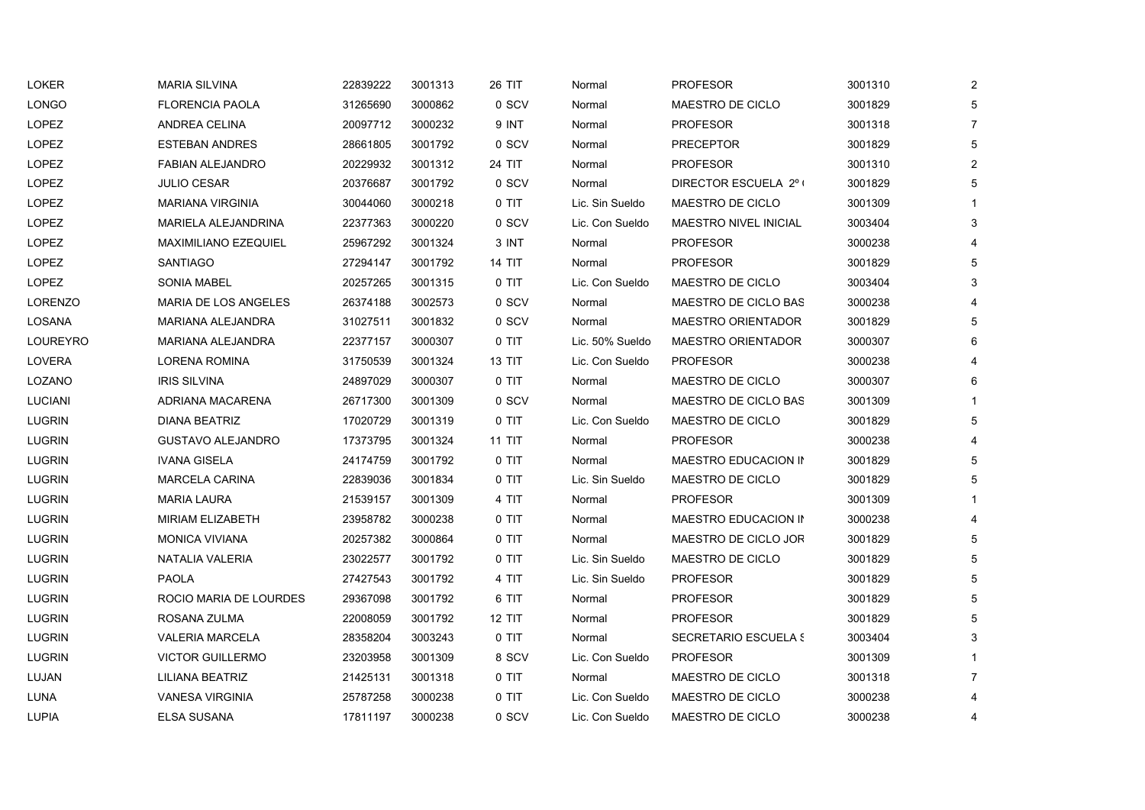| LOKER          | <b>MARIA SILVINA</b>        | 22839222 | 3001313 | 26 TIT        | Normal          | <b>PROFESOR</b>              | 3001310 | $\overline{2}$ |
|----------------|-----------------------------|----------|---------|---------------|-----------------|------------------------------|---------|----------------|
| <b>LONGO</b>   | <b>FLORENCIA PAOLA</b>      | 31265690 | 3000862 | 0 SCV         | Normal          | <b>MAESTRO DE CICLO</b>      | 3001829 | 5              |
| LOPEZ          | <b>ANDREA CELINA</b>        | 20097712 | 3000232 | 9 INT         | Normal          | <b>PROFESOR</b>              | 3001318 | $\overline{7}$ |
| <b>LOPEZ</b>   | <b>ESTEBAN ANDRES</b>       | 28661805 | 3001792 | 0 SCV         | Normal          | <b>PRECEPTOR</b>             | 3001829 | 5              |
| LOPEZ          | <b>FABIAN ALEJANDRO</b>     | 20229932 | 3001312 | 24 TIT        | Normal          | <b>PROFESOR</b>              | 3001310 | 2              |
| LOPEZ          | <b>JULIO CESAR</b>          | 20376687 | 3001792 | 0 SCV         | Normal          | DIRECTOR ESCUELA 2° (        | 3001829 | 5              |
| LOPEZ          | <b>MARIANA VIRGINIA</b>     | 30044060 | 3000218 | 0 TIT         | Lic. Sin Sueldo | MAESTRO DE CICLO             | 3001309 | $\mathbf{1}$   |
| <b>LOPEZ</b>   | MARIELA ALEJANDRINA         | 22377363 | 3000220 | 0 SCV         | Lic. Con Sueldo | <b>MAESTRO NIVEL INICIAL</b> | 3003404 | 3              |
| LOPEZ          | <b>MAXIMILIANO EZEQUIEL</b> | 25967292 | 3001324 | 3 INT         | Normal          | <b>PROFESOR</b>              | 3000238 | 4              |
| <b>LOPEZ</b>   | SANTIAGO                    | 27294147 | 3001792 | <b>14 TIT</b> | Normal          | <b>PROFESOR</b>              | 3001829 | 5              |
| <b>LOPEZ</b>   | <b>SONIA MABEL</b>          | 20257265 | 3001315 | $0$ TIT       | Lic. Con Sueldo | MAESTRO DE CICLO             | 3003404 | 3              |
| <b>LORENZO</b> | <b>MARIA DE LOS ANGELES</b> | 26374188 | 3002573 | 0 SCV         | Normal          | MAESTRO DE CICLO BAS         | 3000238 | $\overline{4}$ |
| LOSANA         | MARIANA ALEJANDRA           | 31027511 | 3001832 | 0 SCV         | Normal          | <b>MAESTRO ORIENTADOR</b>    | 3001829 | 5              |
| LOUREYRO       | <b>MARIANA ALEJANDRA</b>    | 22377157 | 3000307 | 0 TIT         | Lic. 50% Sueldo | <b>MAESTRO ORIENTADOR</b>    | 3000307 | 6              |
| LOVERA         | LORENA ROMINA               | 31750539 | 3001324 | 13 TIT        | Lic. Con Sueldo | <b>PROFESOR</b>              | 3000238 | 4              |
| LOZANO         | <b>IRIS SILVINA</b>         | 24897029 | 3000307 | $0$ TIT       | Normal          | MAESTRO DE CICLO             | 3000307 | 6              |
| <b>LUCIANI</b> | ADRIANA MACARENA            | 26717300 | 3001309 | 0 SCV         | Normal          | <b>MAESTRO DE CICLO BAS</b>  | 3001309 | $\mathbf{1}$   |
| <b>LUGRIN</b>  | DIANA BEATRIZ               | 17020729 | 3001319 | 0 TIT         | Lic. Con Sueldo | MAESTRO DE CICLO             | 3001829 | 5              |
| <b>LUGRIN</b>  | <b>GUSTAVO ALEJANDRO</b>    | 17373795 | 3001324 | <b>11 TIT</b> | Normal          | <b>PROFESOR</b>              | 3000238 | $\overline{4}$ |
| <b>LUGRIN</b>  | <b>IVANA GISELA</b>         | 24174759 | 3001792 | 0 TIT         | Normal          | MAESTRO EDUCACION IN         | 3001829 | 5              |
| <b>LUGRIN</b>  | <b>MARCELA CARINA</b>       | 22839036 | 3001834 | 0 TIT         | Lic. Sin Sueldo | <b>MAESTRO DE CICLO</b>      | 3001829 | 5              |
| <b>LUGRIN</b>  | <b>MARIA LAURA</b>          | 21539157 | 3001309 | 4 TIT         | Normal          | <b>PROFESOR</b>              | 3001309 | $\mathbf{1}$   |
| <b>LUGRIN</b>  | MIRIAM ELIZABETH            | 23958782 | 3000238 | 0 TIT         | Normal          | MAESTRO EDUCACION IN         | 3000238 | $\overline{4}$ |
| <b>LUGRIN</b>  | <b>MONICA VIVIANA</b>       | 20257382 | 3000864 | 0 TIT         | Normal          | MAESTRO DE CICLO JOR         | 3001829 | 5              |
| <b>LUGRIN</b>  | NATALIA VALERIA             | 23022577 | 3001792 | 0 TIT         | Lic. Sin Sueldo | MAESTRO DE CICLO             | 3001829 | 5              |
| <b>LUGRIN</b>  | <b>PAOLA</b>                | 27427543 | 3001792 | 4 TIT         | Lic. Sin Sueldo | <b>PROFESOR</b>              | 3001829 | 5              |
| <b>LUGRIN</b>  | ROCIO MARIA DE LOURDES      | 29367098 | 3001792 | 6 TIT         | Normal          | <b>PROFESOR</b>              | 3001829 | 5              |
| <b>LUGRIN</b>  | ROSANA ZULMA                | 22008059 | 3001792 | <b>12 TIT</b> | Normal          | <b>PROFESOR</b>              | 3001829 | 5              |
| <b>LUGRIN</b>  | <b>VALERIA MARCELA</b>      | 28358204 | 3003243 | 0 TIT         | Normal          | <b>SECRETARIO ESCUELA S</b>  | 3003404 | 3              |
| <b>LUGRIN</b>  | <b>VICTOR GUILLERMO</b>     | 23203958 | 3001309 | 8 SCV         | Lic. Con Sueldo | <b>PROFESOR</b>              | 3001309 | $\mathbf{1}$   |
| LUJAN          | LILIANA BEATRIZ             | 21425131 | 3001318 | $0$ TIT       | Normal          | MAESTRO DE CICLO             | 3001318 | $\overline{7}$ |
| LUNA           | <b>VANESA VIRGINIA</b>      | 25787258 | 3000238 | 0 TIT         | Lic. Con Sueldo | MAESTRO DE CICLO             | 3000238 | 4              |
| <b>LUPIA</b>   | ELSA SUSANA                 | 17811197 | 3000238 | 0 SCV         | Lic. Con Sueldo | MAESTRO DE CICLO             | 3000238 | 4              |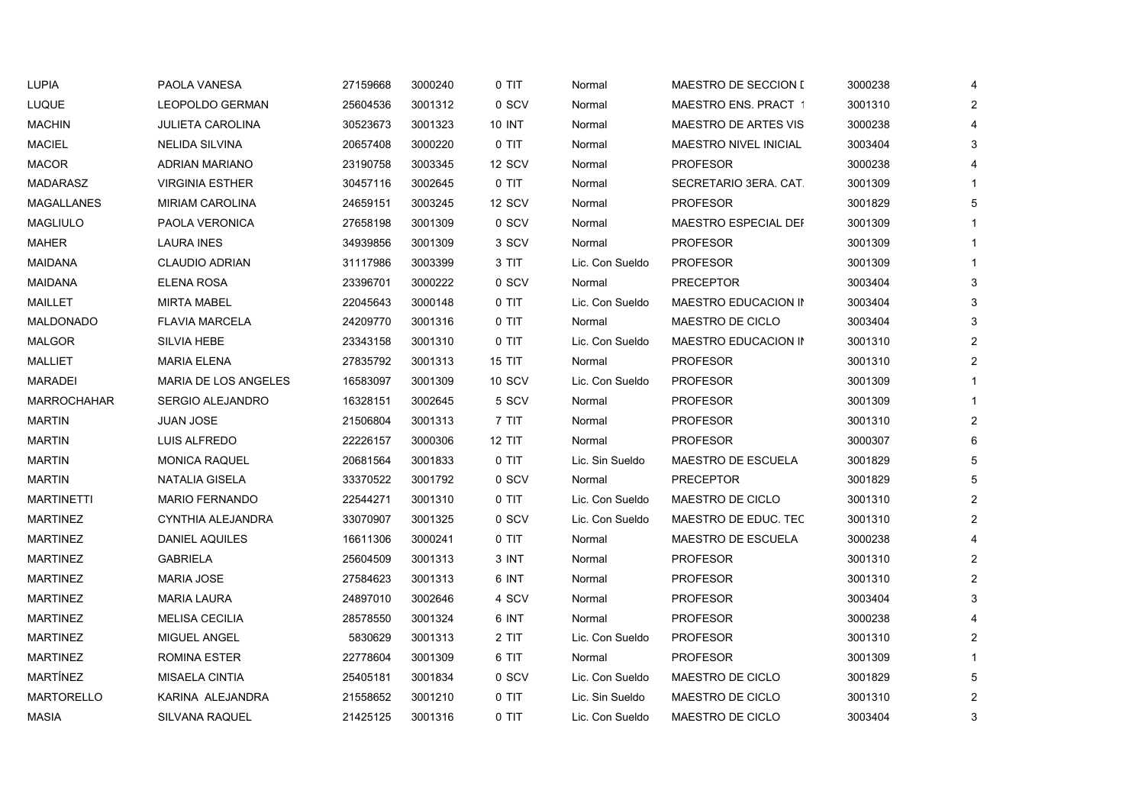| <b>LUPIA</b>       | PAOLA VANESA                | 27159668 | 3000240 | 0 TIT         | Normal          | <b>MAESTRO DE SECCION [</b>  | 3000238 | 4              |
|--------------------|-----------------------------|----------|---------|---------------|-----------------|------------------------------|---------|----------------|
| LUQUE              | <b>LEOPOLDO GERMAN</b>      | 25604536 | 3001312 | 0 SCV         | Normal          | <b>MAESTRO ENS. PRACT 1</b>  | 3001310 | $\mathbf{2}$   |
| <b>MACHIN</b>      | <b>JULIETA CAROLINA</b>     | 30523673 | 3001323 | <b>10 INT</b> | Normal          | <b>MAESTRO DE ARTES VIS</b>  | 3000238 | 4              |
| <b>MACIEL</b>      | <b>NELIDA SILVINA</b>       | 20657408 | 3000220 | $0$ TIT       | Normal          | <b>MAESTRO NIVEL INICIAL</b> | 3003404 | 3              |
| <b>MACOR</b>       | <b>ADRIAN MARIANO</b>       | 23190758 | 3003345 | 12 SCV        | Normal          | <b>PROFESOR</b>              | 3000238 | 4              |
| MADARASZ           | <b>VIRGINIA ESTHER</b>      | 30457116 | 3002645 | 0 TIT         | Normal          | SECRETARIO 3ERA CAT          | 3001309 |                |
| MAGALLANES         | <b>MIRIAM CAROLINA</b>      | 24659151 | 3003245 | 12 SCV        | Normal          | <b>PROFESOR</b>              | 3001829 | 5              |
| <b>MAGLIULO</b>    | PAOLA VERONICA              | 27658198 | 3001309 | 0 SCV         | Normal          | MAESTRO ESPECIAL DEF         | 3001309 |                |
| <b>MAHER</b>       | <b>LAURA INES</b>           | 34939856 | 3001309 | 3 SCV         | Normal          | <b>PROFESOR</b>              | 3001309 |                |
| <b>MAIDANA</b>     | <b>CLAUDIO ADRIAN</b>       | 31117986 | 3003399 | 3 TIT         | Lic. Con Sueldo | <b>PROFESOR</b>              | 3001309 | $\mathbf{1}$   |
| <b>MAIDANA</b>     | ELENA ROSA                  | 23396701 | 3000222 | 0 SCV         | Normal          | <b>PRECEPTOR</b>             | 3003404 | 3              |
| MAILLET            | <b>MIRTA MABEL</b>          | 22045643 | 3000148 | $0$ TIT       | Lic. Con Sueldo | MAESTRO EDUCACION IN         | 3003404 | 3              |
| MALDONADO          | FLAVIA MARCELA              | 24209770 | 3001316 | 0 TIT         | Normal          | MAESTRO DE CICLO             | 3003404 | 3              |
| <b>MALGOR</b>      | SILVIA HEBE                 | 23343158 | 3001310 | $0$ TIT       | Lic. Con Sueldo | MAESTRO EDUCACION IN         | 3001310 | $\overline{2}$ |
| <b>MALLIET</b>     | <b>MARIA ELENA</b>          | 27835792 | 3001313 | 15 TIT        | Normal          | <b>PROFESOR</b>              | 3001310 | $\overline{2}$ |
| <b>MARADEI</b>     | <b>MARIA DE LOS ANGELES</b> | 16583097 | 3001309 | <b>10 SCV</b> | Lic. Con Sueldo | <b>PROFESOR</b>              | 3001309 | $\mathbf{1}$   |
| <b>MARROCHAHAR</b> | SERGIO ALEJANDRO            | 16328151 | 3002645 | 5 SCV         | Normal          | <b>PROFESOR</b>              | 3001309 | $\mathbf{1}$   |
| <b>MARTIN</b>      | <b>JUAN JOSE</b>            | 21506804 | 3001313 | 7 TIT         | Normal          | <b>PROFESOR</b>              | 3001310 | $\overline{2}$ |
| <b>MARTIN</b>      | LUIS ALFREDO                | 22226157 | 3000306 | <b>12 TIT</b> | Normal          | <b>PROFESOR</b>              | 3000307 | 6              |
| <b>MARTIN</b>      | <b>MONICA RAQUEL</b>        | 20681564 | 3001833 | $0$ TIT       | Lic. Sin Sueldo | MAESTRO DE ESCUELA           | 3001829 | 5              |
| <b>MARTIN</b>      | <b>NATALIA GISELA</b>       | 33370522 | 3001792 | 0 SCV         | Normal          | <b>PRECEPTOR</b>             | 3001829 | 5              |
| <b>MARTINETTI</b>  | <b>MARIO FERNANDO</b>       | 22544271 | 3001310 | 0 TIT         | Lic. Con Sueldo | MAESTRO DE CICLO             | 3001310 | $\overline{2}$ |
| <b>MARTINEZ</b>    | CYNTHIA ALEJANDRA           | 33070907 | 3001325 | 0 SCV         | Lic. Con Sueldo | MAESTRO DE EDUC. TEC         | 3001310 | $\overline{2}$ |
| <b>MARTINEZ</b>    | DANIEL AQUILES              | 16611306 | 3000241 | 0 TIT         | Normal          | MAESTRO DE ESCUELA           | 3000238 | 4              |
| <b>MARTINEZ</b>    | <b>GABRIELA</b>             | 25604509 | 3001313 | 3 INT         | Normal          | <b>PROFESOR</b>              | 3001310 | $\overline{2}$ |
| <b>MARTINEZ</b>    | <b>MARIA JOSE</b>           | 27584623 | 3001313 | 6 INT         | Normal          | <b>PROFESOR</b>              | 3001310 | $\overline{2}$ |
| <b>MARTINEZ</b>    | <b>MARIA LAURA</b>          | 24897010 | 3002646 | 4 SCV         | Normal          | <b>PROFESOR</b>              | 3003404 | 3              |
| <b>MARTINEZ</b>    | <b>MELISA CECILIA</b>       | 28578550 | 3001324 | 6 INT         | Normal          | <b>PROFESOR</b>              | 3000238 | $\overline{4}$ |
| <b>MARTINEZ</b>    | MIGUEL ANGEL                | 5830629  | 3001313 | 2 TIT         | Lic. Con Sueldo | <b>PROFESOR</b>              | 3001310 | $\overline{2}$ |
| <b>MARTINEZ</b>    | <b>ROMINA ESTER</b>         | 22778604 | 3001309 | 6 TIT         | Normal          | <b>PROFESOR</b>              | 3001309 | $\mathbf{1}$   |
| MARTÍNEZ           | MISAELA CINTIA              | 25405181 | 3001834 | 0 SCV         | Lic. Con Sueldo | MAESTRO DE CICLO             | 3001829 | 5              |
| <b>MARTORELLO</b>  | KARINA ALEJANDRA            | 21558652 | 3001210 | $0$ TIT       | Lic. Sin Sueldo | MAESTRO DE CICLO             | 3001310 | $\overline{2}$ |
| <b>MASIA</b>       | SILVANA RAQUEL              | 21425125 | 3001316 | 0 TIT         | Lic. Con Sueldo | MAESTRO DE CICLO             | 3003404 | 3              |
|                    |                             |          |         |               |                 |                              |         |                |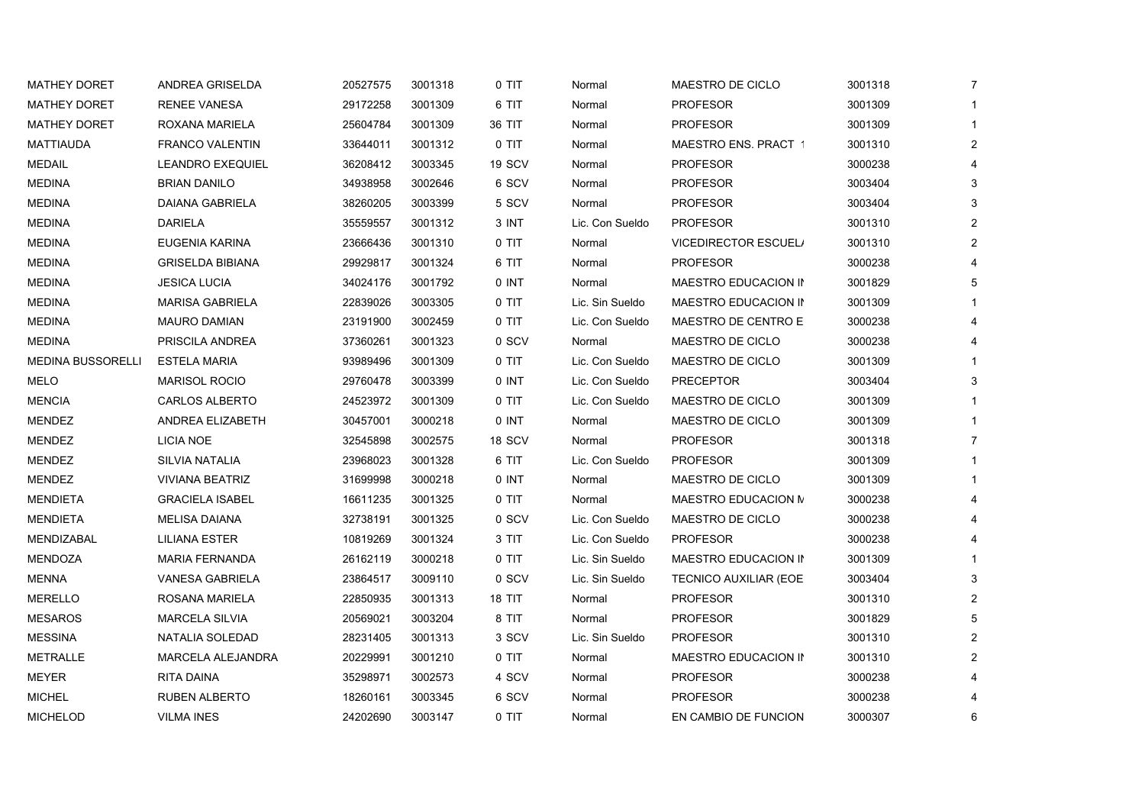| <b>MATHEY DORET</b>      | ANDREA GRISELDA          | 20527575 | 3001318 | 0 TIT  | Normal          | MAESTRO DE CICLO            | 3001318 | $\overline{7}$ |
|--------------------------|--------------------------|----------|---------|--------|-----------------|-----------------------------|---------|----------------|
| <b>MATHEY DORET</b>      | <b>RENEE VANESA</b>      | 29172258 | 3001309 | 6 TIT  | Normal          | <b>PROFESOR</b>             | 3001309 |                |
| <b>MATHEY DORET</b>      | ROXANA MARIELA           | 25604784 | 3001309 | 36 TIT | Normal          | <b>PROFESOR</b>             | 3001309 |                |
| <b>MATTIAUDA</b>         | FRANCO VALENTIN          | 33644011 | 3001312 | 0 TIT  | Normal          | MAESTRO ENS. PRACT 1        | 3001310 | 2              |
| <b>MEDAIL</b>            | <b>LEANDRO EXEQUIEL</b>  | 36208412 | 3003345 | 19 SCV | Normal          | <b>PROFESOR</b>             | 3000238 |                |
| <b>MEDINA</b>            | <b>BRIAN DANILO</b>      | 34938958 | 3002646 | 6 SCV  | Normal          | <b>PROFESOR</b>             | 3003404 | 3              |
| <b>MEDINA</b>            | DAIANA GABRIELA          | 38260205 | 3003399 | 5 SCV  | Normal          | <b>PROFESOR</b>             | 3003404 | 3              |
| <b>MEDINA</b>            | <b>DARIELA</b>           | 35559557 | 3001312 | 3 INT  | Lic. Con Sueldo | <b>PROFESOR</b>             | 3001310 |                |
| <b>MEDINA</b>            | EUGENIA KARINA           | 23666436 | 3001310 | 0 TIT  | Normal          | <b>VICEDIRECTOR ESCUEL/</b> | 3001310 | 2              |
| <b>MEDINA</b>            | <b>GRISELDA BIBIANA</b>  | 29929817 | 3001324 | 6 TIT  | Normal          | <b>PROFESOR</b>             | 3000238 |                |
| <b>MEDINA</b>            | <b>JESICA LUCIA</b>      | 34024176 | 3001792 | 0 INT  | Normal          | MAESTRO EDUCACION IN        | 3001829 | 5              |
| <b>MEDINA</b>            | <b>MARISA GABRIELA</b>   | 22839026 | 3003305 | 0 TIT  | Lic. Sin Sueldo | MAESTRO EDUCACION IN        | 3001309 |                |
| <b>MEDINA</b>            | <b>MAURO DAMIAN</b>      | 23191900 | 3002459 | 0 TIT  | Lic. Con Sueldo | MAESTRO DE CENTRO E         | 3000238 |                |
| <b>MEDINA</b>            | PRISCILA ANDREA          | 37360261 | 3001323 | 0 SCV  | Normal          | MAESTRO DE CICLO            | 3000238 |                |
| <b>MEDINA BUSSORELLI</b> | <b>ESTELA MARIA</b>      | 93989496 | 3001309 | 0 TIT  | Lic. Con Sueldo | MAESTRO DE CICLO            | 3001309 |                |
| MELO                     | <b>MARISOL ROCIO</b>     | 29760478 | 3003399 | 0 INT  | Lic. Con Sueldo | <b>PRECEPTOR</b>            | 3003404 | 3              |
| <b>MENCIA</b>            | CARLOS ALBERTO           | 24523972 | 3001309 | 0 TIT  | Lic. Con Sueldo | MAESTRO DE CICLO            | 3001309 |                |
| <b>MENDEZ</b>            | ANDREA ELIZABETH         | 30457001 | 3000218 | 0 INT  | Normal          | MAESTRO DE CICLO            | 3001309 |                |
| MENDEZ                   | LICIA NOE                | 32545898 | 3002575 | 18 SCV | Normal          | <b>PROFESOR</b>             | 3001318 |                |
| MENDEZ                   | SILVIA NATALIA           | 23968023 | 3001328 | 6 TIT  | Lic. Con Sueldo | <b>PROFESOR</b>             | 3001309 |                |
| MENDEZ                   | <b>VIVIANA BEATRIZ</b>   | 31699998 | 3000218 | 0 INT  | Normal          | MAESTRO DE CICLO            | 3001309 |                |
| <b>MENDIETA</b>          | <b>GRACIELA ISABEL</b>   | 16611235 | 3001325 | 0 TIT  | Normal          | MAESTRO EDUCACION N         | 3000238 |                |
| <b>MENDIETA</b>          | <b>MELISA DAIANA</b>     | 32738191 | 3001325 | 0 SCV  | Lic. Con Sueldo | MAESTRO DE CICLO            | 3000238 |                |
| MENDIZABAL               | <b>LILIANA ESTER</b>     | 10819269 | 3001324 | 3 TIT  | Lic. Con Sueldo | <b>PROFESOR</b>             | 3000238 |                |
| MENDOZA                  | <b>MARIA FERNANDA</b>    | 26162119 | 3000218 | 0 TIT  | Lic. Sin Sueldo | MAESTRO EDUCACION IN        | 3001309 |                |
| MENNA                    | <b>VANESA GABRIELA</b>   | 23864517 | 3009110 | 0 SCV  | Lic. Sin Sueldo | TECNICO AUXILIAR (EOE       | 3003404 | 3              |
| MERELLO                  | ROSANA MARIELA           | 22850935 | 3001313 | 18 TIT | Normal          | <b>PROFESOR</b>             | 3001310 | 2              |
| <b>MESAROS</b>           | <b>MARCELA SILVIA</b>    | 20569021 | 3003204 | 8 TIT  | Normal          | <b>PROFESOR</b>             | 3001829 | 5              |
| <b>MESSINA</b>           | NATALIA SOLEDAD          | 28231405 | 3001313 | 3 SCV  | Lic. Sin Sueldo | <b>PROFESOR</b>             | 3001310 | 2              |
| <b>METRALLE</b>          | <b>MARCELA ALEJANDRA</b> | 20229991 | 3001210 | 0 TIT  | Normal          | MAESTRO EDUCACION IN        | 3001310 |                |
| <b>MEYER</b>             | RITA DAINA               | 35298971 | 3002573 | 4 SCV  | Normal          | <b>PROFESOR</b>             | 3000238 |                |
| <b>MICHEL</b>            | RUBEN ALBERTO            | 18260161 | 3003345 | 6 SCV  | Normal          | <b>PROFESOR</b>             | 3000238 |                |
| <b>MICHELOD</b>          | <b>VILMA INES</b>        | 24202690 | 3003147 | 0 TIT  | Normal          | EN CAMBIO DE FUNCION        | 3000307 | 6              |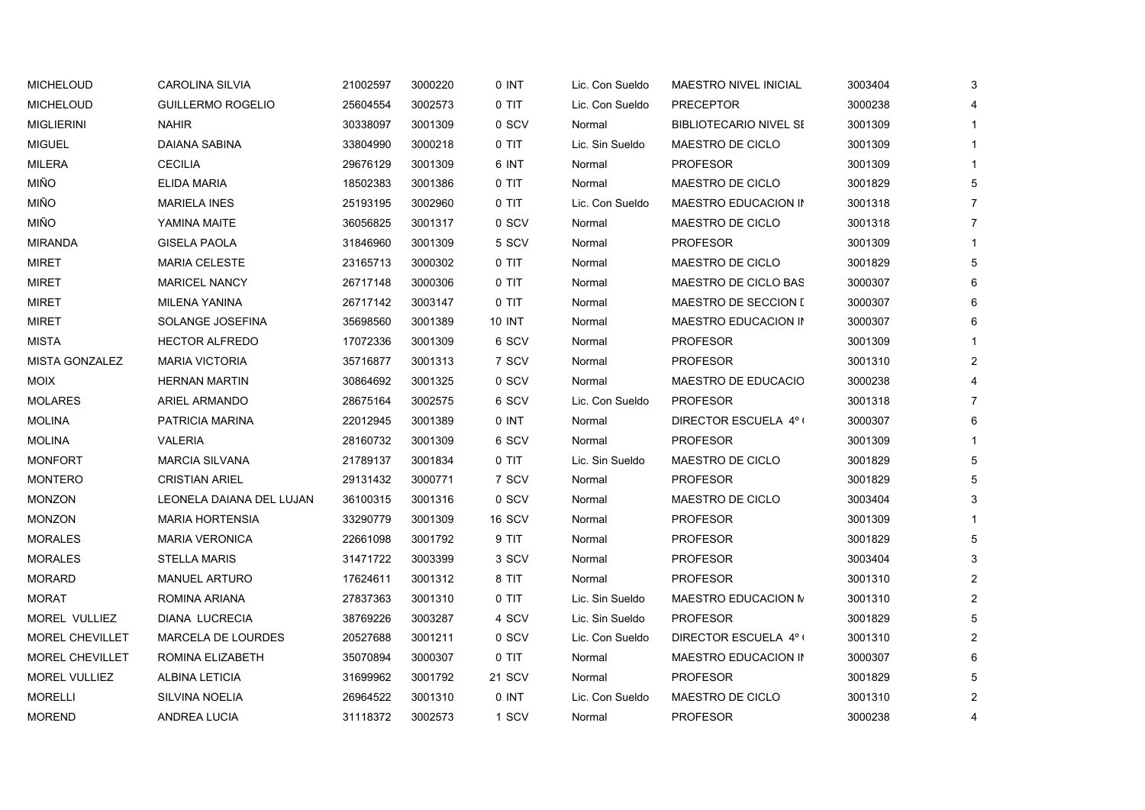| <b>MICHELOUD</b>       | <b>CAROLINA SILVIA</b>    | 21002597 | 3000220 | 0 INT   | Lic. Con Sueldo | MAESTRO NIVEL INICIAL         | 3003404 | 3              |
|------------------------|---------------------------|----------|---------|---------|-----------------|-------------------------------|---------|----------------|
| <b>MICHELOUD</b>       | GUILLERMO ROGELIO         | 25604554 | 3002573 | 0 TIT   | Lic. Con Sueldo | <b>PRECEPTOR</b>              | 3000238 | 4              |
| <b>MIGLIERINI</b>      | <b>NAHIR</b>              | 30338097 | 3001309 | 0 SCV   | Normal          | <b>BIBLIOTECARIO NIVEL SE</b> | 3001309 | $\mathbf{1}$   |
| <b>MIGUEL</b>          | DAIANA SABINA             | 33804990 | 3000218 | 0 TIT   | Lic. Sin Sueldo | MAESTRO DE CICLO              | 3001309 | $\mathbf{1}$   |
| <b>MILERA</b>          | <b>CECILIA</b>            | 29676129 | 3001309 | 6 INT   | Normal          | <b>PROFESOR</b>               | 3001309 | $\mathbf{1}$   |
| <b>MIÑO</b>            | ELIDA MARIA               | 18502383 | 3001386 | 0 TIT   | Normal          | MAESTRO DE CICLO              | 3001829 | 5              |
| <b>MIÑO</b>            | <b>MARIELA INES</b>       | 25193195 | 3002960 | 0 TIT   | Lic. Con Sueldo | MAESTRO EDUCACION IN          | 3001318 | $\overline{7}$ |
| <b>MIÑO</b>            | YAMINA MAITE              | 36056825 | 3001317 | 0 SCV   | Normal          | MAESTRO DE CICLO              | 3001318 | $\overline{7}$ |
| <b>MIRANDA</b>         | <b>GISELA PAOLA</b>       | 31846960 | 3001309 | 5 SCV   | Normal          | <b>PROFESOR</b>               | 3001309 | $\mathbf{1}$   |
| <b>MIRET</b>           | <b>MARIA CELESTE</b>      | 23165713 | 3000302 | 0 TIT   | Normal          | MAESTRO DE CICLO              | 3001829 | 5              |
| MIRET                  | <b>MARICEL NANCY</b>      | 26717148 | 3000306 | 0 TIT   | Normal          | MAESTRO DE CICLO BAS          | 3000307 | 6              |
| <b>MIRET</b>           | MILENA YANINA             | 26717142 | 3003147 | $0$ TIT | Normal          | <b>MAESTRO DE SECCION [</b>   | 3000307 | 6              |
| <b>MIRET</b>           | SOLANGE JOSEFINA          | 35698560 | 3001389 | 10 INT  | Normal          | MAESTRO EDUCACION IN          | 3000307 | 6              |
| <b>MISTA</b>           | <b>HECTOR ALFREDO</b>     | 17072336 | 3001309 | 6 SCV   | Normal          | <b>PROFESOR</b>               | 3001309 | $\mathbf{1}$   |
| <b>MISTA GONZALEZ</b>  | <b>MARIA VICTORIA</b>     | 35716877 | 3001313 | 7 SCV   | Normal          | <b>PROFESOR</b>               | 3001310 | $\overline{2}$ |
| <b>MOIX</b>            | <b>HERNAN MARTIN</b>      | 30864692 | 3001325 | 0 SCV   | Normal          | MAESTRO DE EDUCACIO           | 3000238 | $\overline{4}$ |
| <b>MOLARES</b>         | <b>ARIEL ARMANDO</b>      | 28675164 | 3002575 | 6 SCV   | Lic. Con Sueldo | <b>PROFESOR</b>               | 3001318 | $\overline{7}$ |
| <b>MOLINA</b>          | PATRICIA MARINA           | 22012945 | 3001389 | 0 INT   | Normal          | DIRECTOR ESCUELA 4° (         | 3000307 | 6              |
| <b>MOLINA</b>          | <b>VALERIA</b>            | 28160732 | 3001309 | 6 SCV   | Normal          | <b>PROFESOR</b>               | 3001309 | $\mathbf{1}$   |
| <b>MONFORT</b>         | <b>MARCIA SILVANA</b>     | 21789137 | 3001834 | $0$ TIT | Lic. Sin Sueldo | MAESTRO DE CICLO              | 3001829 | 5              |
| <b>MONTERO</b>         | <b>CRISTIAN ARIEL</b>     | 29131432 | 3000771 | 7 SCV   | Normal          | <b>PROFESOR</b>               | 3001829 | 5              |
| MONZON                 | LEONELA DAIANA DEL LUJAN  | 36100315 | 3001316 | 0 SCV   | Normal          | MAESTRO DE CICLO              | 3003404 | 3              |
| <b>MONZON</b>          | <b>MARIA HORTENSIA</b>    | 33290779 | 3001309 | 16 SCV  | Normal          | <b>PROFESOR</b>               | 3001309 |                |
| <b>MORALES</b>         | <b>MARIA VERONICA</b>     | 22661098 | 3001792 | 9 TIT   | Normal          | <b>PROFESOR</b>               | 3001829 | 5              |
| <b>MORALES</b>         | <b>STELLA MARIS</b>       | 31471722 | 3003399 | 3 SCV   | Normal          | <b>PROFESOR</b>               | 3003404 | 3              |
| <b>MORARD</b>          | <b>MANUEL ARTURO</b>      | 17624611 | 3001312 | 8 TIT   | Normal          | <b>PROFESOR</b>               | 3001310 | $\overline{2}$ |
| <b>MORAT</b>           | ROMINA ARIANA             | 27837363 | 3001310 | $0$ TIT | Lic. Sin Sueldo | MAESTRO EDUCACION N           | 3001310 | $\overline{2}$ |
| MOREL VULLIEZ          | <b>DIANA LUCRECIA</b>     | 38769226 | 3003287 | 4 SCV   | Lic. Sin Sueldo | <b>PROFESOR</b>               | 3001829 | 5              |
| <b>MOREL CHEVILLET</b> | <b>MARCELA DE LOURDES</b> | 20527688 | 3001211 | 0 SCV   | Lic. Con Sueldo | DIRECTOR ESCUELA 4º (         | 3001310 | $\overline{2}$ |
| MOREL CHEVILLET        | ROMINA ELIZABETH          | 35070894 | 3000307 | $0$ TIT | Normal          | MAESTRO EDUCACION IN          | 3000307 | 6              |
| MOREL VULLIEZ          | ALBINA LETICIA            | 31699962 | 3001792 | 21 SCV  | Normal          | <b>PROFESOR</b>               | 3001829 | 5              |
| <b>MORELLI</b>         | <b>SILVINA NOELIA</b>     | 26964522 | 3001310 | 0 INT   | Lic. Con Sueldo | MAESTRO DE CICLO              | 3001310 | $\overline{2}$ |
| <b>MOREND</b>          | <b>ANDREA LUCIA</b>       | 31118372 | 3002573 | 1 SCV   | Normal          | <b>PROFESOR</b>               | 3000238 | 4              |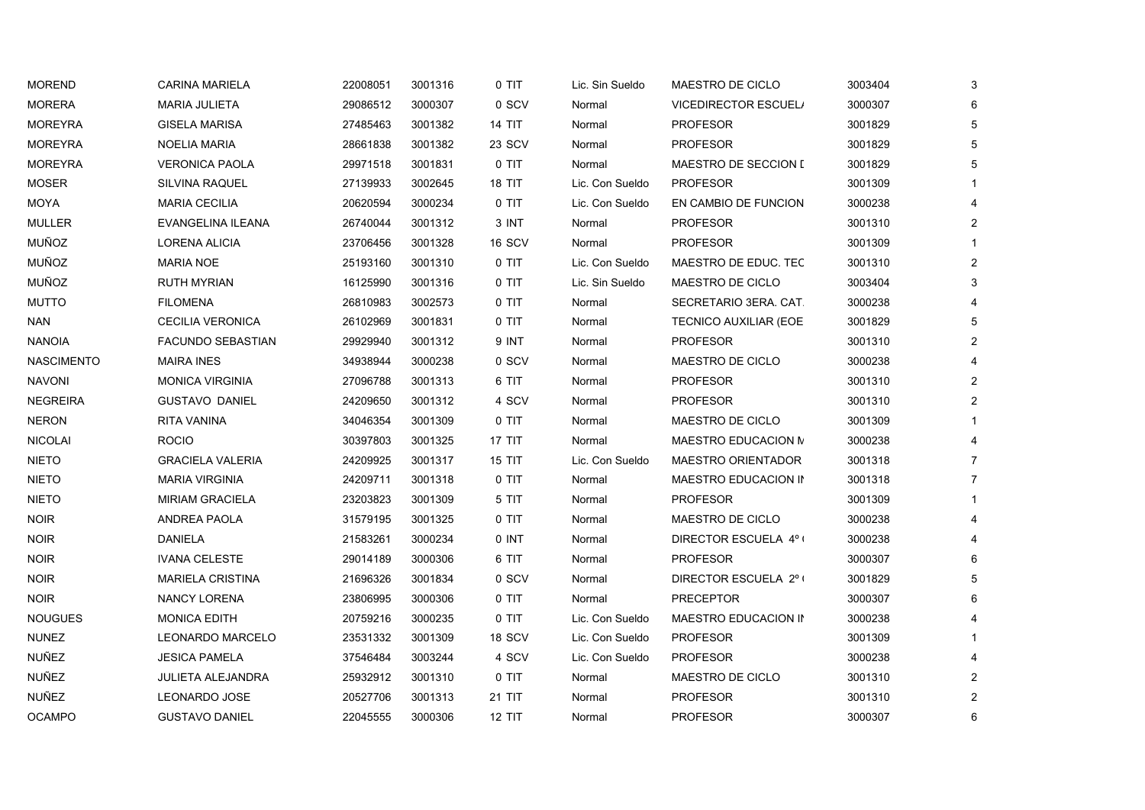| <b>MOREND</b>     | <b>CARINA MARIELA</b>    | 22008051 | 3001316 | 0 TIT         | Lic. Sin Sueldo | MAESTRO DE CICLO             | 3003404 | 3 |  |
|-------------------|--------------------------|----------|---------|---------------|-----------------|------------------------------|---------|---|--|
| <b>MORERA</b>     | <b>MARIA JULIETA</b>     | 29086512 | 3000307 | 0 SCV         | Normal          | <b>VICEDIRECTOR ESCUEL/</b>  | 3000307 |   |  |
| <b>MOREYRA</b>    | <b>GISELA MARISA</b>     | 27485463 | 3001382 | 14 TIT        | Normal          | <b>PROFESOR</b>              | 3001829 |   |  |
| <b>MOREYRA</b>    | <b>NOELIA MARIA</b>      | 28661838 | 3001382 | 23 SCV        | Normal          | <b>PROFESOR</b>              | 3001829 |   |  |
| <b>MOREYRA</b>    | <b>VERONICA PAOLA</b>    | 29971518 | 3001831 | 0 TIT         | Normal          | MAESTRO DE SECCION I         | 3001829 |   |  |
| <b>MOSER</b>      | <b>SILVINA RAQUEL</b>    | 27139933 | 3002645 | <b>18 TIT</b> | Lic. Con Sueldo | <b>PROFESOR</b>              | 3001309 |   |  |
| MOYA              | <b>MARIA CECILIA</b>     | 20620594 | 3000234 | 0 TIT         | Lic. Con Sueldo | EN CAMBIO DE FUNCION         | 3000238 |   |  |
| <b>MULLER</b>     | EVANGELINA ILEANA        | 26740044 | 3001312 | 3 INT         | Normal          | <b>PROFESOR</b>              | 3001310 |   |  |
| MUÑOZ             | LORENA ALICIA            | 23706456 | 3001328 | 16 SCV        | Normal          | <b>PROFESOR</b>              | 3001309 |   |  |
| MUÑOZ             | <b>MARIA NOE</b>         | 25193160 | 3001310 | 0 TIT         | Lic. Con Sueldo | MAESTRO DE EDUC. TEC         | 3001310 |   |  |
| MUÑOZ             | <b>RUTH MYRIAN</b>       | 16125990 | 3001316 | 0 TIT         | Lic. Sin Sueldo | MAESTRO DE CICLO             | 3003404 |   |  |
| <b>MUTTO</b>      | <b>FILOMENA</b>          | 26810983 | 3002573 | 0 TIT         | Normal          | SECRETARIO 3ERA. CAT.        | 3000238 |   |  |
| NAN               | <b>CECILIA VERONICA</b>  | 26102969 | 3001831 | 0 TIT         | Normal          | <b>TECNICO AUXILIAR (EOE</b> | 3001829 |   |  |
| NANOIA            | <b>FACUNDO SEBASTIAN</b> | 29929940 | 3001312 | 9 INT         | Normal          | <b>PROFESOR</b>              | 3001310 |   |  |
| <b>NASCIMENTO</b> | <b>MAIRA INES</b>        | 34938944 | 3000238 | 0 SCV         | Normal          | MAESTRO DE CICLO             | 3000238 |   |  |
| <b>NAVONI</b>     | <b>MONICA VIRGINIA</b>   | 27096788 | 3001313 | 6 TIT         | Normal          | <b>PROFESOR</b>              | 3001310 |   |  |
| <b>NEGREIRA</b>   | <b>GUSTAVO DANIEL</b>    | 24209650 | 3001312 | 4 SCV         | Normal          | <b>PROFESOR</b>              | 3001310 | 2 |  |
| <b>NERON</b>      | <b>RITA VANINA</b>       | 34046354 | 3001309 | 0 TIT         | Normal          | MAESTRO DE CICLO             | 3001309 |   |  |
| <b>NICOLAI</b>    | <b>ROCIO</b>             | 30397803 | 3001325 | 17 TIT        | Normal          | MAESTRO EDUCACION N          | 3000238 |   |  |
| <b>NIETO</b>      | <b>GRACIELA VALERIA</b>  | 24209925 | 3001317 | <b>15 TIT</b> | Lic. Con Sueldo | <b>MAESTRO ORIENTADOR</b>    | 3001318 |   |  |
| <b>NIETO</b>      | <b>MARIA VIRGINIA</b>    | 24209711 | 3001318 | 0 TIT         | Normal          | MAESTRO EDUCACION IN         | 3001318 |   |  |
| <b>NIETO</b>      | <b>MIRIAM GRACIELA</b>   | 23203823 | 3001309 | 5 TIT         | Normal          | <b>PROFESOR</b>              | 3001309 |   |  |
| <b>NOIR</b>       | ANDREA PAOLA             | 31579195 | 3001325 | 0 TIT         | Normal          | MAESTRO DE CICLO             | 3000238 |   |  |
| <b>NOIR</b>       | <b>DANIELA</b>           | 21583261 | 3000234 | 0 INT         | Normal          | DIRECTOR ESCUELA 4°1         | 3000238 |   |  |
| <b>NOIR</b>       | <b>IVANA CELESTE</b>     | 29014189 | 3000306 | 6 TIT         | Normal          | <b>PROFESOR</b>              | 3000307 |   |  |
| <b>NOIR</b>       | <b>MARIELA CRISTINA</b>  | 21696326 | 3001834 | 0 SCV         | Normal          | DIRECTOR ESCUELA 2° (        | 3001829 |   |  |
| <b>NOIR</b>       | <b>NANCY LORENA</b>      | 23806995 | 3000306 | 0 TIT         | Normal          | <b>PRECEPTOR</b>             | 3000307 |   |  |
| <b>NOUGUES</b>    | <b>MONICA EDITH</b>      | 20759216 | 3000235 | 0 TIT         | Lic. Con Sueldo | MAESTRO EDUCACION IN         | 3000238 |   |  |
| <b>NUNEZ</b>      | <b>LEONARDO MARCELO</b>  | 23531332 | 3001309 | 18 SCV        | Lic. Con Sueldo | <b>PROFESOR</b>              | 3001309 |   |  |
| NUÑEZ             | <b>JESICA PAMELA</b>     | 37546484 | 3003244 | 4 SCV         | Lic. Con Sueldo | <b>PROFESOR</b>              | 3000238 |   |  |
| NUÑEZ             | <b>JULIETA ALEJANDRA</b> | 25932912 | 3001310 | 0 TIT         | Normal          | MAESTRO DE CICLO             | 3001310 |   |  |
| NUÑEZ             | LEONARDO JOSE            | 20527706 | 3001313 | 21 TIT        | Normal          | <b>PROFESOR</b>              | 3001310 |   |  |
| <b>OCAMPO</b>     | <b>GUSTAVO DANIEL</b>    | 22045555 | 3000306 | <b>12 TIT</b> | Normal          | <b>PROFESOR</b>              | 3000307 | 6 |  |
|                   |                          |          |         |               |                 |                              |         |   |  |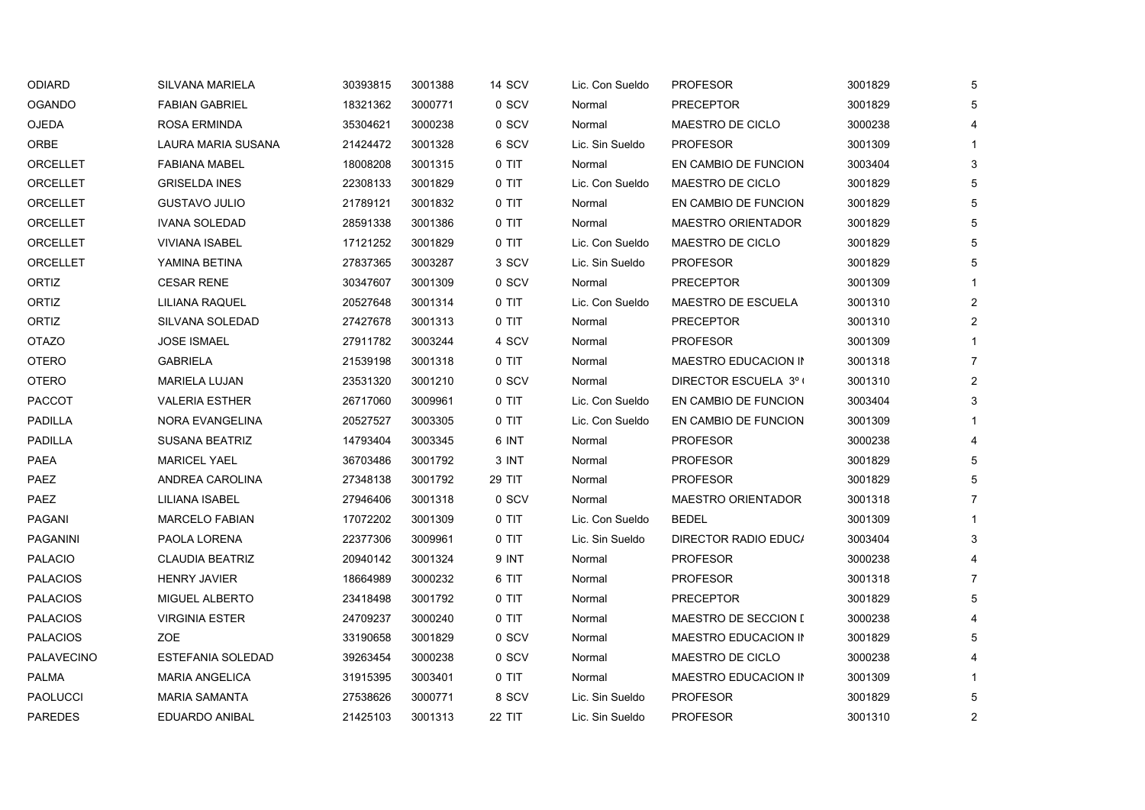| ODIARD            | SILVANA MARIELA          | 30393815 | 3001388 | 14 SCV | Lic. Con Sueldo | <b>PROFESOR</b>           | 3001829 | 5              |
|-------------------|--------------------------|----------|---------|--------|-----------------|---------------------------|---------|----------------|
| <b>OGANDO</b>     | <b>FABIAN GABRIEL</b>    | 18321362 | 3000771 | 0 SCV  | Normal          | <b>PRECEPTOR</b>          | 3001829 | 5              |
| OJEDA             | <b>ROSA ERMINDA</b>      | 35304621 | 3000238 | 0 SCV  | Normal          | MAESTRO DE CICLO          | 3000238 | 4              |
| ORBE              | LAURA MARIA SUSANA       | 21424472 | 3001328 | 6 SCV  | Lic. Sin Sueldo | <b>PROFESOR</b>           | 3001309 |                |
| ORCELLET          | <b>FABIANA MABEL</b>     | 18008208 | 3001315 | 0 TIT  | Normal          | EN CAMBIO DE FUNCION      | 3003404 | 3              |
| ORCELLET          | <b>GRISELDA INES</b>     | 22308133 | 3001829 | 0 TIT  | Lic. Con Sueldo | MAESTRO DE CICLO          | 3001829 | 5              |
| ORCELLET          | <b>GUSTAVO JULIO</b>     | 21789121 | 3001832 | 0 TIT  | Normal          | EN CAMBIO DE FUNCION      | 3001829 | 5              |
| ORCELLET          | <b>IVANA SOLEDAD</b>     | 28591338 | 3001386 | 0 TIT  | Normal          | <b>MAESTRO ORIENTADOR</b> | 3001829 | 5              |
| ORCELLET          | <b>VIVIANA ISABEL</b>    | 17121252 | 3001829 | 0 TIT  | Lic. Con Sueldo | MAESTRO DE CICLO          | 3001829 | 5              |
| ORCELLET          | YAMINA BETINA            | 27837365 | 3003287 | 3 SCV  | Lic. Sin Sueldo | <b>PROFESOR</b>           | 3001829 | 5              |
| ORTIZ             | <b>CESAR RENE</b>        | 30347607 | 3001309 | 0 SCV  | Normal          | <b>PRECEPTOR</b>          | 3001309 |                |
| ORTIZ             | LILIANA RAQUEL           | 20527648 | 3001314 | 0 TIT  | Lic. Con Sueldo | <b>MAESTRO DE ESCUELA</b> | 3001310 | $\overline{2}$ |
| ORTIZ             | SILVANA SOLEDAD          | 27427678 | 3001313 | 0 TIT  | Normal          | <b>PRECEPTOR</b>          | 3001310 | $\overline{c}$ |
| <b>OTAZO</b>      | <b>JOSE ISMAEL</b>       | 27911782 | 3003244 | 4 SCV  | Normal          | <b>PROFESOR</b>           | 3001309 |                |
| <b>OTERO</b>      | <b>GABRIELA</b>          | 21539198 | 3001318 | 0 TIT  | Normal          | MAESTRO EDUCACION IN      | 3001318 | $\overline{7}$ |
| <b>OTERO</b>      | <b>MARIELA LUJAN</b>     | 23531320 | 3001210 | 0 SCV  | Normal          | DIRECTOR ESCUELA 3º (     | 3001310 | $\overline{2}$ |
| PACCOT            | <b>VALERIA ESTHER</b>    | 26717060 | 3009961 | 0 TIT  | Lic. Con Sueldo | EN CAMBIO DE FUNCION      | 3003404 | 3              |
| <b>PADILLA</b>    | NORA EVANGELINA          | 20527527 | 3003305 | 0 TIT  | Lic. Con Sueldo | EN CAMBIO DE FUNCION      | 3001309 |                |
| PADILLA           | <b>SUSANA BEATRIZ</b>    | 14793404 | 3003345 | 6 INT  | Normal          | <b>PROFESOR</b>           | 3000238 | 4              |
| PAEA              | <b>MARICEL YAEL</b>      | 36703486 | 3001792 | 3 INT  | Normal          | <b>PROFESOR</b>           | 3001829 | 5              |
| PAEZ              | ANDREA CAROLINA          | 27348138 | 3001792 | 29 TIT | Normal          | <b>PROFESOR</b>           | 3001829 | 5              |
| PAEZ              | LILIANA ISABEL           | 27946406 | 3001318 | 0 SCV  | Normal          | MAESTRO ORIENTADOR        | 3001318 | $\overline{7}$ |
| PAGANI            | <b>MARCELO FABIAN</b>    | 17072202 | 3001309 | 0 TIT  | Lic. Con Sueldo | <b>BEDEL</b>              | 3001309 |                |
| PAGANINI          | PAOLA LORENA             | 22377306 | 3009961 | 0 TIT  | Lic. Sin Sueldo | DIRECTOR RADIO EDUC/      | 3003404 | 3              |
| <b>PALACIO</b>    | <b>CLAUDIA BEATRIZ</b>   | 20940142 | 3001324 | 9 INT  | Normal          | <b>PROFESOR</b>           | 3000238 |                |
| <b>PALACIOS</b>   | <b>HENRY JAVIER</b>      | 18664989 | 3000232 | 6 TIT  | Normal          | <b>PROFESOR</b>           | 3001318 | $\overline{7}$ |
| <b>PALACIOS</b>   | MIGUEL ALBERTO           | 23418498 | 3001792 | 0 TIT  | Normal          | <b>PRECEPTOR</b>          | 3001829 | 5              |
| <b>PALACIOS</b>   | <b>VIRGINIA ESTER</b>    | 24709237 | 3000240 | 0 TIT  | Normal          | MAESTRO DE SECCION I      | 3000238 | 4              |
| <b>PALACIOS</b>   | ZOE                      | 33190658 | 3001829 | 0 SCV  | Normal          | MAESTRO EDUCACION IN      | 3001829 | 5              |
| <b>PALAVECINO</b> | <b>ESTEFANIA SOLEDAD</b> | 39263454 | 3000238 | 0 SCV  | Normal          | MAESTRO DE CICLO          | 3000238 | 4              |
| PALMA             | <b>MARIA ANGELICA</b>    | 31915395 | 3003401 | 0 TIT  | Normal          | MAESTRO EDUCACION IN      | 3001309 |                |
| <b>PAOLUCCI</b>   | <b>MARIA SAMANTA</b>     | 27538626 | 3000771 | 8 SCV  | Lic. Sin Sueldo | <b>PROFESOR</b>           | 3001829 | 5              |
| <b>PAREDES</b>    | EDUARDO ANIBAL           | 21425103 | 3001313 | 22 TIT | Lic. Sin Sueldo | <b>PROFESOR</b>           | 3001310 | 2              |
|                   |                          |          |         |        |                 |                           |         |                |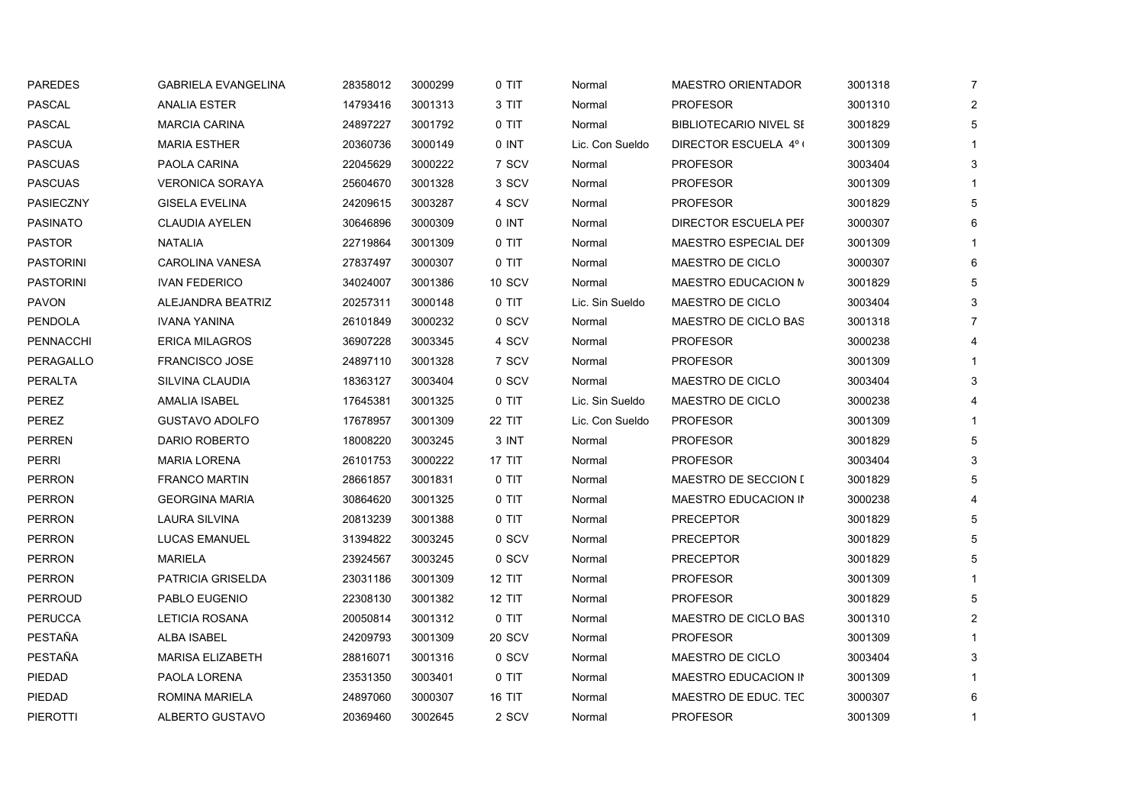| <b>PAREDES</b>   | <b>GABRIELA EVANGELINA</b> | 28358012 | 3000299 | 0 TIT         | Normal          | MAESTRO ORIENTADOR            | 3001318 | $\overline{7}$ |
|------------------|----------------------------|----------|---------|---------------|-----------------|-------------------------------|---------|----------------|
| PASCAL           | ANALIA ESTER               | 14793416 | 3001313 | 3 TIT         | Normal          | <b>PROFESOR</b>               | 3001310 | $\overline{2}$ |
| <b>PASCAL</b>    | <b>MARCIA CARINA</b>       | 24897227 | 3001792 | 0 TIT         | Normal          | <b>BIBLIOTECARIO NIVEL SE</b> | 3001829 | 5              |
| <b>PASCUA</b>    | <b>MARIA ESTHER</b>        | 20360736 | 3000149 | 0 INT         | Lic. Con Sueldo | DIRECTOR ESCUELA 4º (         | 3001309 |                |
| <b>PASCUAS</b>   | PAOLA CARINA               | 22045629 | 3000222 | 7 SCV         | Normal          | <b>PROFESOR</b>               | 3003404 | 3              |
| <b>PASCUAS</b>   | <b>VERONICA SORAYA</b>     | 25604670 | 3001328 | 3 SCV         | Normal          | <b>PROFESOR</b>               | 3001309 |                |
| PASIECZNY        | <b>GISELA EVELINA</b>      | 24209615 | 3003287 | 4 SCV         | Normal          | <b>PROFESOR</b>               | 3001829 | 5              |
| <b>PASINATO</b>  | <b>CLAUDIA AYELEN</b>      | 30646896 | 3000309 | 0 INT         | Normal          | DIRECTOR ESCUELA PEF          | 3000307 | 6              |
| <b>PASTOR</b>    | <b>NATALIA</b>             | 22719864 | 3001309 | 0 TIT         | Normal          | MAESTRO ESPECIAL DEF          | 3001309 |                |
| <b>PASTORINI</b> | <b>CAROLINA VANESA</b>     | 27837497 | 3000307 | 0 TIT         | Normal          | MAESTRO DE CICLO              | 3000307 | 6              |
| <b>PASTORINI</b> | <b>IVAN FEDERICO</b>       | 34024007 | 3001386 | <b>10 SCV</b> | Normal          | MAESTRO EDUCACION M           | 3001829 | 5              |
| <b>PAVON</b>     | ALEJANDRA BEATRIZ          | 20257311 | 3000148 | 0 TIT         | Lic. Sin Sueldo | MAESTRO DE CICLO              | 3003404 | 3              |
| <b>PENDOLA</b>   | <b>IVANA YANINA</b>        | 26101849 | 3000232 | 0 SCV         | Normal          | MAESTRO DE CICLO BAS          | 3001318 | $\overline{7}$ |
| <b>PENNACCHI</b> | <b>ERICA MILAGROS</b>      | 36907228 | 3003345 | 4 SCV         | Normal          | <b>PROFESOR</b>               | 3000238 | 4              |
| PERAGALLO        | <b>FRANCISCO JOSE</b>      | 24897110 | 3001328 | 7 SCV         | Normal          | <b>PROFESOR</b>               | 3001309 | 1              |
| <b>PERALTA</b>   | SILVINA CLAUDIA            | 18363127 | 3003404 | 0 SCV         | Normal          | MAESTRO DE CICLO              | 3003404 | $\mathsf 3$    |
| PEREZ            | <b>AMALIA ISABEL</b>       | 17645381 | 3001325 | $0$ TIT       | Lic. Sin Sueldo | MAESTRO DE CICLO              | 3000238 | 4              |
| <b>PEREZ</b>     | <b>GUSTAVO ADOLFO</b>      | 17678957 | 3001309 | <b>22 TIT</b> | Lic. Con Sueldo | <b>PROFESOR</b>               | 3001309 | $\mathbf{1}$   |
| PERREN           | DARIO ROBERTO              | 18008220 | 3003245 | 3 INT         | Normal          | <b>PROFESOR</b>               | 3001829 | 5              |
| <b>PERRI</b>     | <b>MARIA LORENA</b>        | 26101753 | 3000222 | <b>17 TIT</b> | Normal          | <b>PROFESOR</b>               | 3003404 | $\mathbf{3}$   |
| <b>PERRON</b>    | <b>FRANCO MARTIN</b>       | 28661857 | 3001831 | 0 TIT         | Normal          | <b>MAESTRO DE SECCION I</b>   | 3001829 | 5              |
| <b>PERRON</b>    | <b>GEORGINA MARIA</b>      | 30864620 | 3001325 | 0 TIT         | Normal          | MAESTRO EDUCACION IN          | 3000238 | 4              |
| <b>PERRON</b>    | LAURA SILVINA              | 20813239 | 3001388 | 0 TIT         | Normal          | <b>PRECEPTOR</b>              | 3001829 | 5              |
| <b>PERRON</b>    | <b>LUCAS EMANUEL</b>       | 31394822 | 3003245 | 0 SCV         | Normal          | <b>PRECEPTOR</b>              | 3001829 | 5              |
| <b>PERRON</b>    | <b>MARIELA</b>             | 23924567 | 3003245 | 0 SCV         | Normal          | <b>PRECEPTOR</b>              | 3001829 | 5              |
| PERRON           | PATRICIA GRISELDA          | 23031186 | 3001309 | 12 TIT        | Normal          | <b>PROFESOR</b>               | 3001309 | 1              |
| <b>PERROUD</b>   | PABLO EUGENIO              | 22308130 | 3001382 | <b>12 TIT</b> | Normal          | <b>PROFESOR</b>               | 3001829 | 5              |
| <b>PERUCCA</b>   | LETICIA ROSANA             | 20050814 | 3001312 | 0 TIT         | Normal          | MAESTRO DE CICLO BAS          | 3001310 | $\overline{a}$ |
| PESTAÑA          | ALBA ISABEL                | 24209793 | 3001309 | 20 SCV        | Normal          | <b>PROFESOR</b>               | 3001309 | $\mathbf{1}$   |
| PESTAÑA          | <b>MARISA ELIZABETH</b>    | 28816071 | 3001316 | 0 SCV         | Normal          | MAESTRO DE CICLO              | 3003404 | 3              |
| PIEDAD           | PAOLA LORENA               | 23531350 | 3003401 | 0 TIT         | Normal          | MAESTRO EDUCACION IN          | 3001309 |                |
| PIEDAD           | ROMINA MARIELA             | 24897060 | 3000307 | <b>16 TIT</b> | Normal          | MAESTRO DE EDUC. TEC          | 3000307 | 6              |
| PIEROTTI         | ALBERTO GUSTAVO            | 20369460 | 3002645 | 2 SCV         | Normal          | <b>PROFESOR</b>               | 3001309 | $\mathbf{1}$   |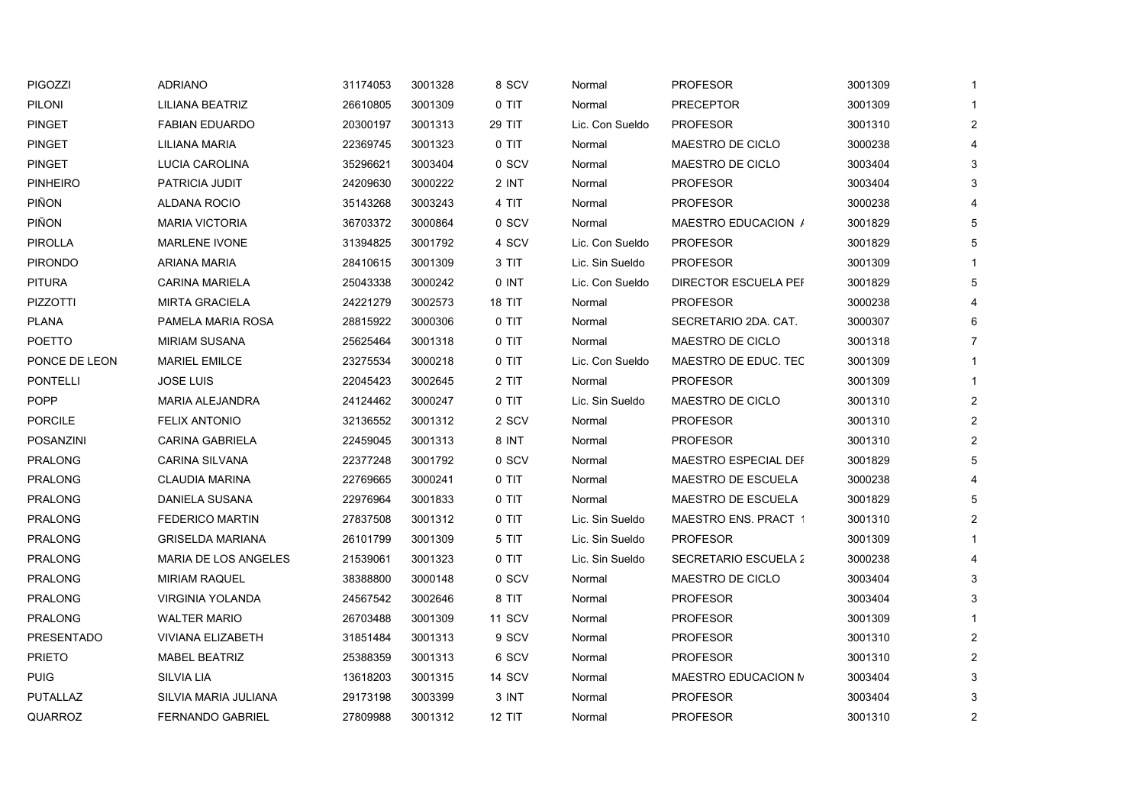| <b>PIGOZZI</b>    | <b>ADRIANO</b>           | 31174053 | 3001328 | 8 SCV         | Normal          | <b>PROFESOR</b>             | 3001309 | 1              |
|-------------------|--------------------------|----------|---------|---------------|-----------------|-----------------------------|---------|----------------|
| PILONI            | LILIANA BEATRIZ          | 26610805 | 3001309 | 0 TIT         | Normal          | <b>PRECEPTOR</b>            | 3001309 |                |
| <b>PINGET</b>     | <b>FABIAN EDUARDO</b>    | 20300197 | 3001313 | <b>29 TIT</b> | Lic. Con Sueldo | <b>PROFESOR</b>             | 3001310 | $\overline{2}$ |
| <b>PINGET</b>     | LILIANA MARIA            | 22369745 | 3001323 | 0 TIT         | Normal          | MAESTRO DE CICLO            | 3000238 | 4              |
| <b>PINGET</b>     | LUCIA CAROLINA           | 35296621 | 3003404 | 0 SCV         | Normal          | MAESTRO DE CICLO            | 3003404 | 3              |
| <b>PINHEIRO</b>   | PATRICIA JUDIT           | 24209630 | 3000222 | 2 INT         | Normal          | <b>PROFESOR</b>             | 3003404 | 3              |
| PIÑON             | ALDANA ROCIO             | 35143268 | 3003243 | 4 TIT         | Normal          | <b>PROFESOR</b>             | 3000238 | 4              |
| PIÑON             | <b>MARIA VICTORIA</b>    | 36703372 | 3000864 | 0 SCV         | Normal          | MAESTRO EDUCACION /         | 3001829 | 5              |
| <b>PIROLLA</b>    | <b>MARLENE IVONE</b>     | 31394825 | 3001792 | 4 SCV         | Lic. Con Sueldo | <b>PROFESOR</b>             | 3001829 | 5              |
| <b>PIRONDO</b>    | ARIANA MARIA             | 28410615 | 3001309 | 3 TIT         | Lic. Sin Sueldo | <b>PROFESOR</b>             | 3001309 |                |
| <b>PITURA</b>     | <b>CARINA MARIELA</b>    | 25043338 | 3000242 | 0 INT         | Lic. Con Sueldo | <b>DIRECTOR ESCUELA PEF</b> | 3001829 | 5              |
| <b>PIZZOTTI</b>   | <b>MIRTA GRACIELA</b>    | 24221279 | 3002573 | 18 TIT        | Normal          | <b>PROFESOR</b>             | 3000238 | 4              |
| <b>PLANA</b>      | PAMELA MARIA ROSA        | 28815922 | 3000306 | 0 TIT         | Normal          | SECRETARIO 2DA. CAT.        | 3000307 | 6              |
| <b>POETTO</b>     | <b>MIRIAM SUSANA</b>     | 25625464 | 3001318 | 0 TIT         | Normal          | MAESTRO DE CICLO            | 3001318 | $\overline{7}$ |
| PONCE DE LEON     | <b>MARIEL EMILCE</b>     | 23275534 | 3000218 | 0 TIT         | Lic. Con Sueldo | MAESTRO DE EDUC. TEC        | 3001309 |                |
| <b>PONTELLI</b>   | <b>JOSE LUIS</b>         | 22045423 | 3002645 | 2 TIT         | Normal          | <b>PROFESOR</b>             | 3001309 | $\mathbf{1}$   |
| <b>POPP</b>       | <b>MARIA ALEJANDRA</b>   | 24124462 | 3000247 | 0 TIT         | Lic. Sin Sueldo | MAESTRO DE CICLO            | 3001310 | $\overline{2}$ |
| <b>PORCILE</b>    | <b>FELIX ANTONIO</b>     | 32136552 | 3001312 | 2 SCV         | Normal          | <b>PROFESOR</b>             | 3001310 | $\overline{2}$ |
| POSANZINI         | <b>CARINA GABRIELA</b>   | 22459045 | 3001313 | 8 INT         | Normal          | <b>PROFESOR</b>             | 3001310 | $\overline{2}$ |
| PRALONG           | <b>CARINA SILVANA</b>    | 22377248 | 3001792 | 0 SCV         | Normal          | MAESTRO ESPECIAL DEF        | 3001829 | 5              |
| <b>PRALONG</b>    | <b>CLAUDIA MARINA</b>    | 22769665 | 3000241 | 0 TIT         | Normal          | MAESTRO DE ESCUELA          | 3000238 | 4              |
| PRALONG           | DANIELA SUSANA           | 22976964 | 3001833 | 0 TIT         | Normal          | MAESTRO DE ESCUELA          | 3001829 | 5              |
| <b>PRALONG</b>    | <b>FEDERICO MARTIN</b>   | 27837508 | 3001312 | 0 TIT         | Lic. Sin Sueldo | <b>MAESTRO ENS. PRACT 1</b> | 3001310 | $\overline{2}$ |
| <b>PRALONG</b>    | <b>GRISELDA MARIANA</b>  | 26101799 | 3001309 | 5 TIT         | Lic. Sin Sueldo | <b>PROFESOR</b>             | 3001309 |                |
| <b>PRALONG</b>    | MARIA DE LOS ANGELES     | 21539061 | 3001323 | $0$ TIT       | Lic. Sin Sueldo | <b>SECRETARIO ESCUELA 2</b> | 3000238 | 4              |
| <b>PRALONG</b>    | <b>MIRIAM RAQUEL</b>     | 38388800 | 3000148 | 0 SCV         | Normal          | MAESTRO DE CICLO            | 3003404 | 3              |
| <b>PRALONG</b>    | <b>VIRGINIA YOLANDA</b>  | 24567542 | 3002646 | 8 TIT         | Normal          | <b>PROFESOR</b>             | 3003404 | 3              |
| <b>PRALONG</b>    | <b>WALTER MARIO</b>      | 26703488 | 3001309 | <b>11 SCV</b> | Normal          | <b>PROFESOR</b>             | 3001309 | 1              |
| <b>PRESENTADO</b> | <b>VIVIANA ELIZABETH</b> | 31851484 | 3001313 | 9 SCV         | Normal          | <b>PROFESOR</b>             | 3001310 | $\overline{2}$ |
| <b>PRIETO</b>     | <b>MABEL BEATRIZ</b>     | 25388359 | 3001313 | 6 SCV         | Normal          | <b>PROFESOR</b>             | 3001310 | $\overline{2}$ |
| <b>PUIG</b>       | <b>SILVIA LIA</b>        | 13618203 | 3001315 | 14 SCV        | Normal          | MAESTRO EDUCACION N         | 3003404 | $\mathbf{3}$   |
| PUTALLAZ          | SILVIA MARIA JULIANA     | 29173198 | 3003399 | 3 INT         | Normal          | <b>PROFESOR</b>             | 3003404 | 3              |
| QUARROZ           | <b>FERNANDO GABRIEL</b>  | 27809988 | 3001312 | <b>12 TIT</b> | Normal          | <b>PROFESOR</b>             | 3001310 | $\overline{2}$ |
|                   |                          |          |         |               |                 |                             |         |                |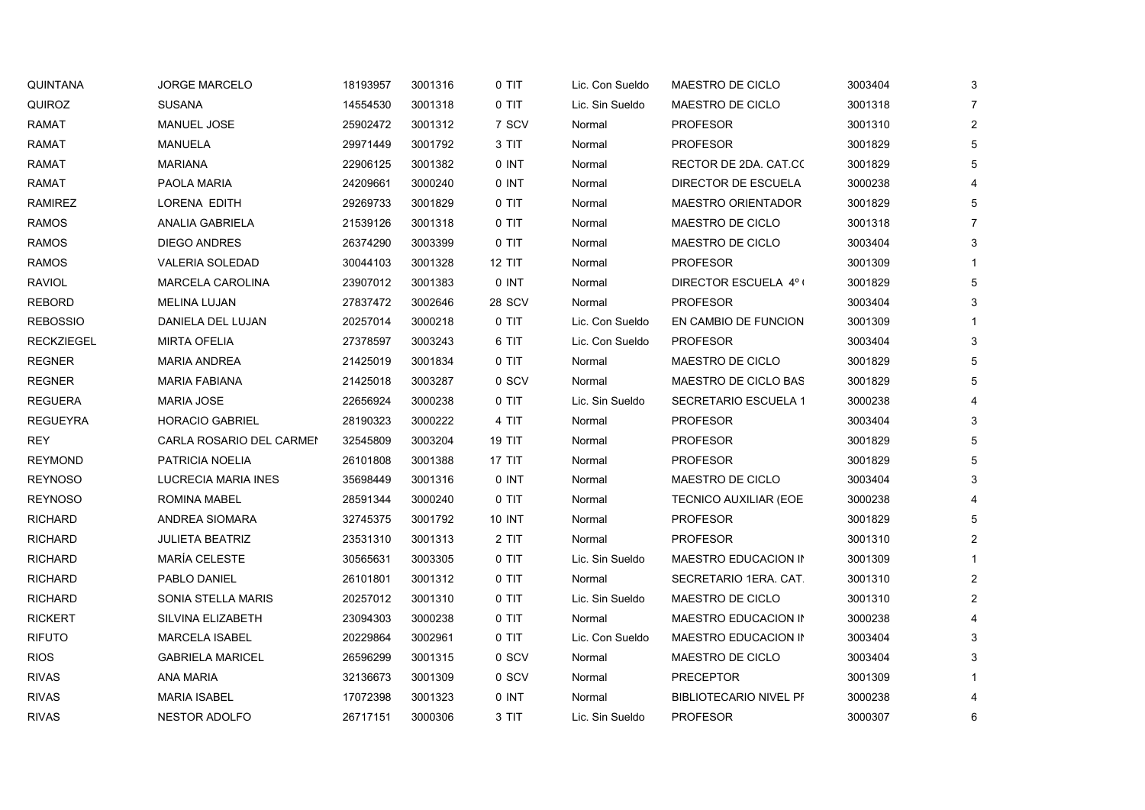| <b>QUINTANA</b>   | <b>JORGE MARCELO</b>     | 18193957 | 3001316 | 0 TIT         | Lic. Con Sueldo | MAESTRO DE CICLO              | 3003404 | 3              |
|-------------------|--------------------------|----------|---------|---------------|-----------------|-------------------------------|---------|----------------|
| QUIROZ            | <b>SUSANA</b>            | 14554530 | 3001318 | 0 TIT         | Lic. Sin Sueldo | MAESTRO DE CICLO              | 3001318 |                |
| RAMAT             | MANUEL JOSE              | 25902472 | 3001312 | 7 SCV         | Normal          | <b>PROFESOR</b>               | 3001310 | $\overline{c}$ |
| <b>RAMAT</b>      | <b>MANUELA</b>           | 29971449 | 3001792 | 3 TIT         | Normal          | <b>PROFESOR</b>               | 3001829 | 5              |
| RAMAT             | <b>MARIANA</b>           | 22906125 | 3001382 | 0 INT         | Normal          | RECTOR DE 2DA. CAT.CO         | 3001829 | 5              |
| <b>RAMAT</b>      | PAOLA MARIA              | 24209661 | 3000240 | 0 INT         | Normal          | DIRECTOR DE ESCUELA           | 3000238 |                |
| <b>RAMIREZ</b>    | LORENA EDITH             | 29269733 | 3001829 | 0 TIT         | Normal          | <b>MAESTRO ORIENTADOR</b>     | 3001829 |                |
| <b>RAMOS</b>      | ANALIA GABRIELA          | 21539126 | 3001318 | 0 TIT         | Normal          | MAESTRO DE CICLO              | 3001318 |                |
| <b>RAMOS</b>      | DIEGO ANDRES             | 26374290 | 3003399 | 0 TIT         | Normal          | MAESTRO DE CICLO              | 3003404 |                |
| <b>RAMOS</b>      | <b>VALERIA SOLEDAD</b>   | 30044103 | 3001328 | <b>12 TIT</b> | Normal          | <b>PROFESOR</b>               | 3001309 |                |
| RAVIOL            | MARCELA CAROLINA         | 23907012 | 3001383 | 0 INT         | Normal          | DIRECTOR ESCUELA 4°1          | 3001829 | 5              |
| <b>REBORD</b>     | <b>MELINA LUJAN</b>      | 27837472 | 3002646 | <b>28 SCV</b> | Normal          | <b>PROFESOR</b>               | 3003404 |                |
| <b>REBOSSIO</b>   | DANIELA DEL LUJAN        | 20257014 | 3000218 | 0 TIT         | Lic. Con Sueldo | EN CAMBIO DE FUNCION          | 3001309 |                |
| <b>RECKZIEGEL</b> | <b>MIRTA OFELIA</b>      | 27378597 | 3003243 | 6 TIT         | Lic. Con Sueldo | <b>PROFESOR</b>               | 3003404 | 3              |
| <b>REGNER</b>     | <b>MARIA ANDREA</b>      | 21425019 | 3001834 | 0 TIT         | Normal          | MAESTRO DE CICLO              | 3001829 |                |
| <b>REGNER</b>     | <b>MARIA FABIANA</b>     | 21425018 | 3003287 | 0 SCV         | Normal          | MAESTRO DE CICLO BAS          | 3001829 |                |
| <b>REGUERA</b>    | <b>MARIA JOSE</b>        | 22656924 | 3000238 | 0 TIT         | Lic. Sin Sueldo | SECRETARIO ESCUELA 1          | 3000238 |                |
| <b>REGUEYRA</b>   | <b>HORACIO GABRIEL</b>   | 28190323 | 3000222 | 4 TIT         | Normal          | <b>PROFESOR</b>               | 3003404 | 3              |
| <b>REY</b>        | CARLA ROSARIO DEL CARMEN | 32545809 | 3003204 | <b>19 TIT</b> | Normal          | <b>PROFESOR</b>               | 3001829 |                |
| <b>REYMOND</b>    | PATRICIA NOELIA          | 26101808 | 3001388 | <b>17 TIT</b> | Normal          | <b>PROFESOR</b>               | 3001829 | 5              |
| <b>REYNOSO</b>    | LUCRECIA MARIA INES      | 35698449 | 3001316 | 0 INT         | Normal          | MAESTRO DE CICLO              | 3003404 |                |
| <b>REYNOSO</b>    | ROMINA MABEL             | 28591344 | 3000240 | 0 TIT         | Normal          | <b>TECNICO AUXILIAR (EOE</b>  | 3000238 |                |
| <b>RICHARD</b>    | ANDREA SIOMARA           | 32745375 | 3001792 | 10 INT        | Normal          | <b>PROFESOR</b>               | 3001829 |                |
| <b>RICHARD</b>    | <b>JULIETA BEATRIZ</b>   | 23531310 | 3001313 | 2 TIT         | Normal          | <b>PROFESOR</b>               | 3001310 | 2              |
| <b>RICHARD</b>    | <b>MARÍA CELESTE</b>     | 30565631 | 3003305 | 0 TIT         | Lic. Sin Sueldo | MAESTRO EDUCACION IN          | 3001309 |                |
| <b>RICHARD</b>    | PABLO DANIEL             | 26101801 | 3001312 | 0 TIT         | Normal          | SECRETARIO 1ERA. CAT.         | 3001310 | 2              |
| <b>RICHARD</b>    | SONIA STELLA MARIS       | 20257012 | 3001310 | 0 TIT         | Lic. Sin Sueldo | MAESTRO DE CICLO              | 3001310 |                |
| <b>RICKERT</b>    | SILVINA ELIZABETH        | 23094303 | 3000238 | 0 TIT         | Normal          | MAESTRO EDUCACION IN          | 3000238 |                |
| <b>RIFUTO</b>     | <b>MARCELA ISABEL</b>    | 20229864 | 3002961 | 0 TIT         | Lic. Con Sueldo | MAESTRO EDUCACION IN          | 3003404 |                |
| <b>RIOS</b>       | <b>GABRIELA MARICEL</b>  | 26596299 | 3001315 | 0 SCV         | Normal          | MAESTRO DE CICLO              | 3003404 |                |
| <b>RIVAS</b>      | <b>ANA MARIA</b>         | 32136673 | 3001309 | 0 SCV         | Normal          | <b>PRECEPTOR</b>              | 3001309 |                |
| <b>RIVAS</b>      | <b>MARIA ISABEL</b>      | 17072398 | 3001323 | 0 INT         | Normal          | <b>BIBLIOTECARIO NIVEL PF</b> | 3000238 |                |
| <b>RIVAS</b>      | <b>NESTOR ADOLFO</b>     | 26717151 | 3000306 | 3 TIT         | Lic. Sin Sueldo | <b>PROFESOR</b>               | 3000307 | 6              |
|                   |                          |          |         |               |                 |                               |         |                |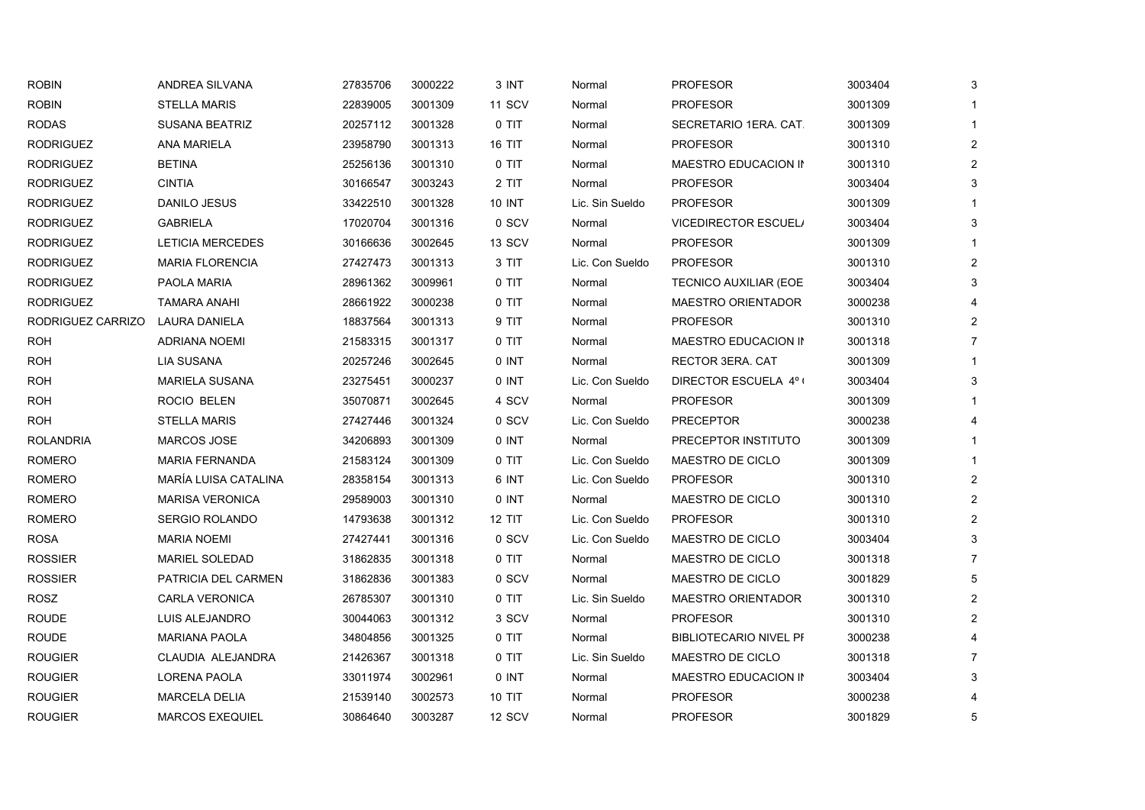| <b>ROBIN</b>      | ANDREA SILVANA          | 27835706 | 3000222 | 3 INT         | Normal          | <b>PROFESOR</b>               | 3003404 | 3                     |
|-------------------|-------------------------|----------|---------|---------------|-----------------|-------------------------------|---------|-----------------------|
| <b>ROBIN</b>      | <b>STELLA MARIS</b>     | 22839005 | 3001309 | <b>11 SCV</b> | Normal          | <b>PROFESOR</b>               | 3001309 |                       |
| <b>RODAS</b>      | <b>SUSANA BEATRIZ</b>   | 20257112 | 3001328 | 0 TIT         | Normal          | SECRETARIO 1ERA. CAT.         | 3001309 | $\mathbf 1$           |
| <b>RODRIGUEZ</b>  | <b>ANA MARIELA</b>      | 23958790 | 3001313 | 16 TIT        | Normal          | <b>PROFESOR</b>               | 3001310 | $\overline{a}$        |
| <b>RODRIGUEZ</b>  | <b>BETINA</b>           | 25256136 | 3001310 | 0 TIT         | Normal          | MAESTRO EDUCACION IN          | 3001310 | $\overline{2}$        |
| <b>RODRIGUEZ</b>  | <b>CINTIA</b>           | 30166547 | 3003243 | 2 TIT         | Normal          | <b>PROFESOR</b>               | 3003404 | 3                     |
| <b>RODRIGUEZ</b>  | DANILO JESUS            | 33422510 | 3001328 | <b>10 INT</b> | Lic. Sin Sueldo | <b>PROFESOR</b>               | 3001309 |                       |
| <b>RODRIGUEZ</b>  | <b>GABRIELA</b>         | 17020704 | 3001316 | 0 SCV         | Normal          | <b>VICEDIRECTOR ESCUEL/</b>   | 3003404 | 3                     |
| <b>RODRIGUEZ</b>  | <b>LETICIA MERCEDES</b> | 30166636 | 3002645 | <b>13 SCV</b> | Normal          | <b>PROFESOR</b>               | 3001309 |                       |
| <b>RODRIGUEZ</b>  | <b>MARIA FLORENCIA</b>  | 27427473 | 3001313 | 3 TIT         | Lic. Con Sueldo | <b>PROFESOR</b>               | 3001310 | $\overline{2}$        |
| <b>RODRIGUEZ</b>  | PAOLA MARIA             | 28961362 | 3009961 | 0 TIT         | Normal          | TECNICO AUXILIAR (EOE         | 3003404 | 3                     |
| <b>RODRIGUEZ</b>  | <b>TAMARA ANAHI</b>     | 28661922 | 3000238 | 0 TIT         | Normal          | <b>MAESTRO ORIENTADOR</b>     | 3000238 |                       |
| RODRIGUEZ CARRIZO | LAURA DANIELA           | 18837564 | 3001313 | 9 TIT         | Normal          | <b>PROFESOR</b>               | 3001310 | 2                     |
| <b>ROH</b>        | ADRIANA NOEMI           | 21583315 | 3001317 | 0 TIT         | Normal          | MAESTRO EDUCACION IN          | 3001318 |                       |
| <b>ROH</b>        | <b>LIA SUSANA</b>       | 20257246 | 3002645 | 0 INT         | Normal          | <b>RECTOR 3ERA. CAT</b>       | 3001309 |                       |
| <b>ROH</b>        | <b>MARIELA SUSANA</b>   | 23275451 | 3000237 | 0 INT         | Lic. Con Sueldo | DIRECTOR ESCUELA 4° (         | 3003404 | 3                     |
| <b>ROH</b>        | ROCIO BELEN             | 35070871 | 3002645 | 4 SCV         | Normal          | <b>PROFESOR</b>               | 3001309 |                       |
| ROH               | <b>STELLA MARIS</b>     | 27427446 | 3001324 | 0 SCV         | Lic. Con Sueldo | <b>PRECEPTOR</b>              | 3000238 |                       |
| <b>ROLANDRIA</b>  | <b>MARCOS JOSE</b>      | 34206893 | 3001309 | 0 INT         | Normal          | PRECEPTOR INSTITUTO           | 3001309 |                       |
| <b>ROMERO</b>     | <b>MARIA FERNANDA</b>   | 21583124 | 3001309 | 0 TIT         | Lic. Con Sueldo | MAESTRO DE CICLO              | 3001309 |                       |
| <b>ROMERO</b>     | MARÍA LUISA CATALINA    | 28358154 | 3001313 | 6 INT         | Lic. Con Sueldo | <b>PROFESOR</b>               | 3001310 | $\overline{2}$        |
| <b>ROMERO</b>     | <b>MARISA VERONICA</b>  | 29589003 | 3001310 | 0 INT         | Normal          | MAESTRO DE CICLO              | 3001310 | $\overline{2}$        |
| <b>ROMERO</b>     | <b>SERGIO ROLANDO</b>   | 14793638 | 3001312 | <b>12 TIT</b> | Lic. Con Sueldo | <b>PROFESOR</b>               | 3001310 | $\overline{2}$        |
| <b>ROSA</b>       | <b>MARIA NOEMI</b>      | 27427441 | 3001316 | 0 SCV         | Lic. Con Sueldo | MAESTRO DE CICLO              | 3003404 | 3                     |
| <b>ROSSIER</b>    | <b>MARIEL SOLEDAD</b>   | 31862835 | 3001318 | 0 TIT         | Normal          | MAESTRO DE CICLO              | 3001318 | 7                     |
| <b>ROSSIER</b>    | PATRICIA DEL CARMEN     | 31862836 | 3001383 | 0 SCV         | Normal          | MAESTRO DE CICLO              | 3001829 | 5                     |
| ROSZ              | <b>CARLA VERONICA</b>   | 26785307 | 3001310 | 0 TIT         | Lic. Sin Sueldo | <b>MAESTRO ORIENTADOR</b>     | 3001310 | $\overline{2}$        |
| <b>ROUDE</b>      | LUIS ALEJANDRO          | 30044063 | 3001312 | 3 SCV         | Normal          | <b>PROFESOR</b>               | 3001310 | $\mathbf{2}^{\prime}$ |
| <b>ROUDE</b>      | <b>MARIANA PAOLA</b>    | 34804856 | 3001325 | 0 TIT         | Normal          | <b>BIBLIOTECARIO NIVEL PF</b> | 3000238 |                       |
| <b>ROUGIER</b>    | CLAUDIA ALEJANDRA       | 21426367 | 3001318 | 0 TIT         | Lic. Sin Sueldo | MAESTRO DE CICLO              | 3001318 |                       |
| <b>ROUGIER</b>    | LORENA PAOLA            | 33011974 | 3002961 | 0 INT         | Normal          | MAESTRO EDUCACION IN          | 3003404 | 3                     |
| <b>ROUGIER</b>    | <b>MARCELA DELIA</b>    | 21539140 | 3002573 | <b>10 TIT</b> | Normal          | <b>PROFESOR</b>               | 3000238 |                       |
| ROUGIER           | <b>MARCOS EXEQUIEL</b>  | 30864640 | 3003287 | 12 SCV        | Normal          | <b>PROFESOR</b>               | 3001829 | 5                     |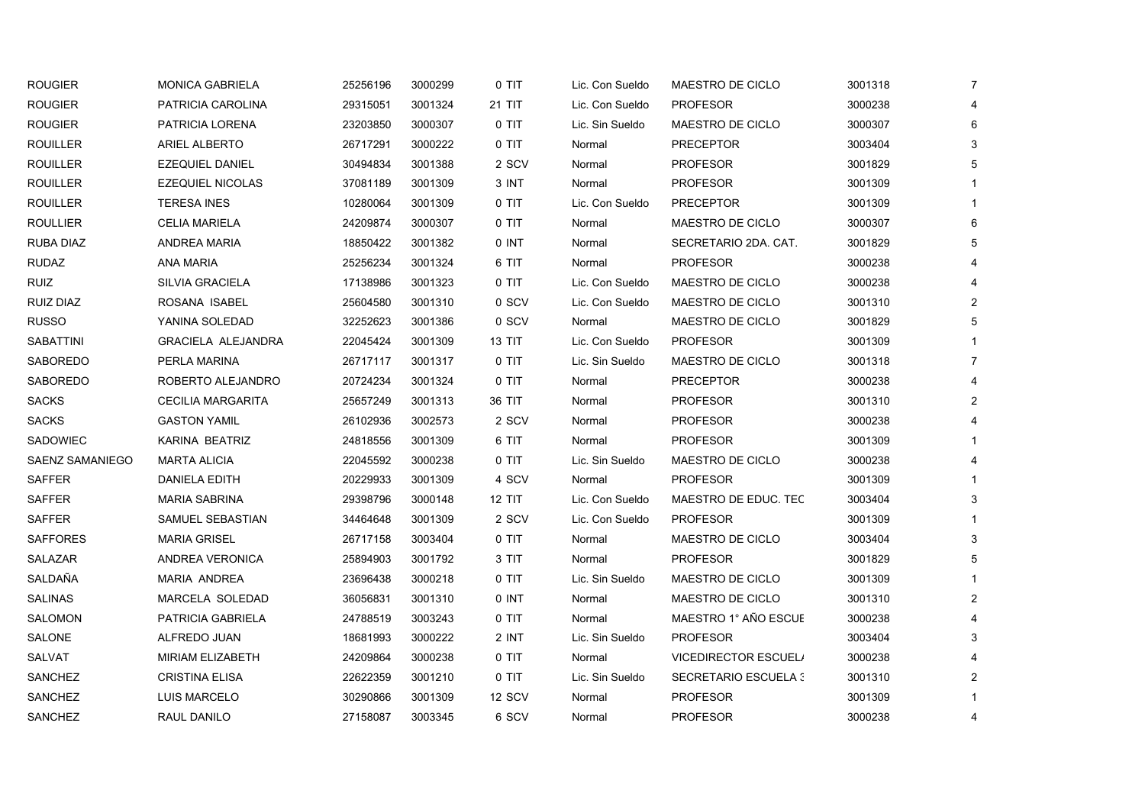| <b>ROUGIER</b>   | <b>MONICA GABRIELA</b>    | 25256196 | 3000299 | 0 TIT         | Lic. Con Sueldo | MAESTRO DE CICLO            | 3001318 | 7              |
|------------------|---------------------------|----------|---------|---------------|-----------------|-----------------------------|---------|----------------|
| <b>ROUGIER</b>   | PATRICIA CAROLINA         | 29315051 | 3001324 | 21 TIT        | Lic. Con Sueldo | <b>PROFESOR</b>             | 3000238 | Δ              |
| <b>ROUGIER</b>   | PATRICIA LORENA           | 23203850 | 3000307 | 0 TIT         | Lic. Sin Sueldo | MAESTRO DE CICLO            | 3000307 | 6              |
| <b>ROUILLER</b>  | <b>ARIEL ALBERTO</b>      | 26717291 | 3000222 | 0 TIT         | Normal          | <b>PRECEPTOR</b>            | 3003404 | 3              |
| <b>ROUILLER</b>  | <b>EZEQUIEL DANIEL</b>    | 30494834 | 3001388 | 2 SCV         | Normal          | <b>PROFESOR</b>             | 3001829 | 5              |
| <b>ROUILLER</b>  | <b>EZEQUIEL NICOLAS</b>   | 37081189 | 3001309 | 3 INT         | Normal          | <b>PROFESOR</b>             | 3001309 |                |
| <b>ROUILLER</b>  | <b>TERESA INES</b>        | 10280064 | 3001309 | 0 TIT         | Lic. Con Sueldo | <b>PRECEPTOR</b>            | 3001309 |                |
| <b>ROULLIER</b>  | <b>CELIA MARIELA</b>      | 24209874 | 3000307 | 0 TIT         | Normal          | MAESTRO DE CICLO            | 3000307 | 6              |
| RUBA DIAZ        | ANDREA MARIA              | 18850422 | 3001382 | 0 INT         | Normal          | SECRETARIO 2DA. CAT.        | 3001829 | 5              |
| <b>RUDAZ</b>     | <b>ANA MARIA</b>          | 25256234 | 3001324 | 6 TIT         | Normal          | <b>PROFESOR</b>             | 3000238 |                |
| <b>RUIZ</b>      | <b>SILVIA GRACIELA</b>    | 17138986 | 3001323 | 0 TIT         | Lic. Con Sueldo | MAESTRO DE CICLO            | 3000238 | 4              |
| RUIZ DIAZ        | ROSANA ISABEL             | 25604580 | 3001310 | 0 SCV         | Lic. Con Sueldo | MAESTRO DE CICLO            | 3001310 | $\overline{2}$ |
| RUSSO            | YANINA SOLEDAD            | 32252623 | 3001386 | 0 SCV         | Normal          | MAESTRO DE CICLO            | 3001829 | 5              |
| <b>SABATTINI</b> | <b>GRACIELA ALEJANDRA</b> | 22045424 | 3001309 | <b>13 TIT</b> | Lic. Con Sueldo | <b>PROFESOR</b>             | 3001309 |                |
| SABOREDO         | PERLA MARINA              | 26717117 | 3001317 | 0 TIT         | Lic. Sin Sueldo | MAESTRO DE CICLO            | 3001318 | $\overline{7}$ |
| SABOREDO         | ROBERTO ALEJANDRO         | 20724234 | 3001324 | 0 TIT         | Normal          | <b>PRECEPTOR</b>            | 3000238 |                |
| <b>SACKS</b>     | <b>CECILIA MARGARITA</b>  | 25657249 | 3001313 | 36 TIT        | Normal          | <b>PROFESOR</b>             | 3001310 | $\overline{2}$ |
| <b>SACKS</b>     | <b>GASTON YAMIL</b>       | 26102936 | 3002573 | 2 SCV         | Normal          | <b>PROFESOR</b>             | 3000238 |                |
| SADOWIEC         | KARINA BEATRIZ            | 24818556 | 3001309 | 6 TIT         | Normal          | <b>PROFESOR</b>             | 3001309 |                |
| SAENZ SAMANIEGO  | <b>MARTA ALICIA</b>       | 22045592 | 3000238 | 0 TIT         | Lic. Sin Sueldo | MAESTRO DE CICLO            | 3000238 |                |
| <b>SAFFER</b>    | DANIELA EDITH             | 20229933 | 3001309 | 4 SCV         | Normal          | <b>PROFESOR</b>             | 3001309 |                |
| <b>SAFFER</b>    | <b>MARIA SABRINA</b>      | 29398796 | 3000148 | 12 TIT        | Lic. Con Sueldo | MAESTRO DE EDUC. TEC        | 3003404 | 3              |
| <b>SAFFER</b>    | SAMUEL SEBASTIAN          | 34464648 | 3001309 | 2 SCV         | Lic. Con Sueldo | <b>PROFESOR</b>             | 3001309 |                |
| <b>SAFFORES</b>  | <b>MARIA GRISEL</b>       | 26717158 | 3003404 | 0 TIT         | Normal          | MAESTRO DE CICLO            | 3003404 | 3              |
| SALAZAR          | ANDREA VERONICA           | 25894903 | 3001792 | 3 TIT         | Normal          | <b>PROFESOR</b>             | 3001829 | 5              |
| SALDAÑA          | MARIA ANDREA              | 23696438 | 3000218 | 0 TIT         | Lic. Sin Sueldo | MAESTRO DE CICLO            | 3001309 |                |
| <b>SALINAS</b>   | MARCELA SOLEDAD           | 36056831 | 3001310 | 0 INT         | Normal          | MAESTRO DE CICLO            | 3001310 | 2              |
| SALOMON          | PATRICIA GABRIELA         | 24788519 | 3003243 | 0 TIT         | Normal          | MAESTRO 1° AÑO ESCUE        | 3000238 |                |
| <b>SALONE</b>    | ALFREDO JUAN              | 18681993 | 3000222 | 2 INT         | Lic. Sin Sueldo | <b>PROFESOR</b>             | 3003404 | 3              |
| SALVAT           | MIRIAM ELIZABETH          | 24209864 | 3000238 | 0 TIT         | Normal          | <b>VICEDIRECTOR ESCUEL/</b> | 3000238 |                |
| SANCHEZ          | <b>CRISTINA ELISA</b>     | 22622359 | 3001210 | 0 TIT         | Lic. Sin Sueldo | <b>SECRETARIO ESCUELA 3</b> | 3001310 | 2              |
| SANCHEZ          | <b>LUIS MARCELO</b>       | 30290866 | 3001309 | 12 SCV        | Normal          | <b>PROFESOR</b>             | 3001309 |                |
| SANCHEZ          | RAUL DANILO               | 27158087 | 3003345 | 6 SCV         | Normal          | <b>PROFESOR</b>             | 3000238 | 4              |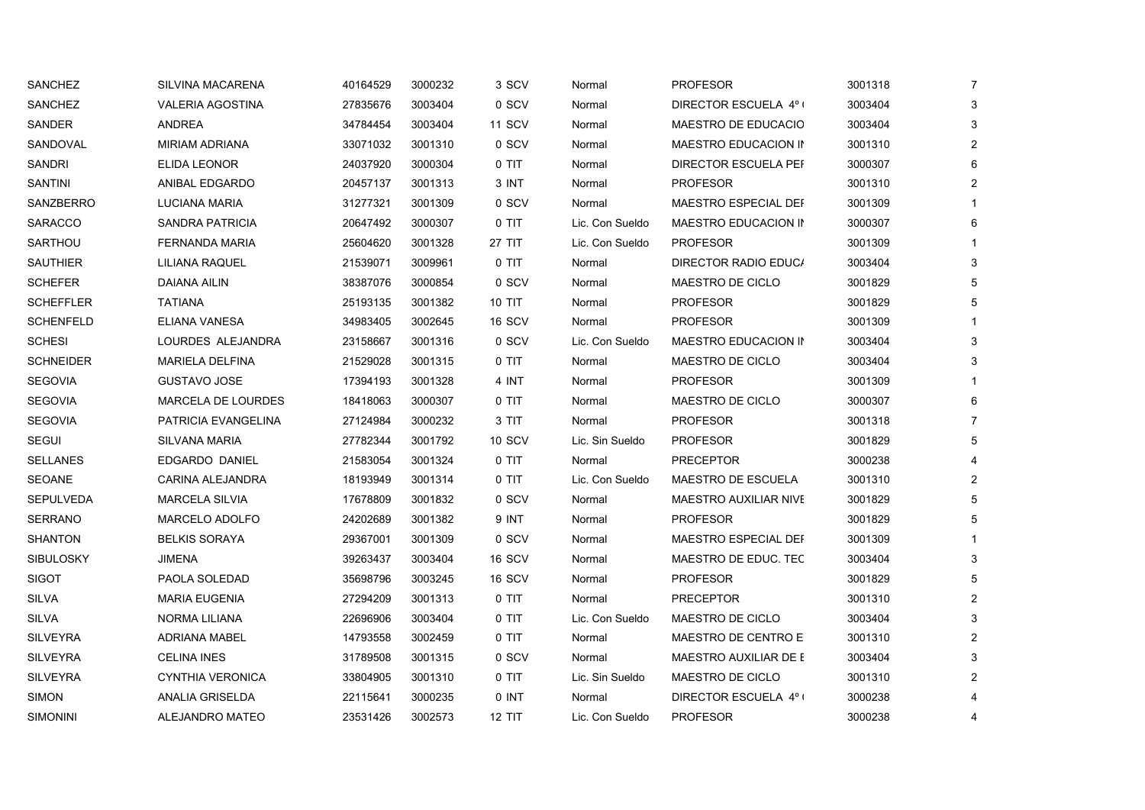| SANCHEZ         | <b>SILVINA MACARENA</b>   | 40164529 | 3000232 | 3 SCV         | Normal          | <b>PROFESOR</b>              | 3001318 | 7 |
|-----------------|---------------------------|----------|---------|---------------|-----------------|------------------------------|---------|---|
| <b>SANCHEZ</b>  | <b>VALERIA AGOSTINA</b>   | 27835676 | 3003404 | 0 SCV         | Normal          | DIRECTOR ESCUELA 4º (        | 3003404 | 3 |
| SANDER          | <b>ANDREA</b>             | 34784454 | 3003404 | <b>11 SCV</b> | Normal          | MAESTRO DE EDUCACIO          | 3003404 |   |
| SANDOVAL        | <b>MIRIAM ADRIANA</b>     | 33071032 | 3001310 | 0 SCV         | Normal          | MAESTRO EDUCACION IN         | 3001310 |   |
| SANDRI          | <b>ELIDA LEONOR</b>       | 24037920 | 3000304 | 0 TIT         | Normal          | DIRECTOR ESCUELA PEF         | 3000307 |   |
| <b>SANTINI</b>  | ANIBAL EDGARDO            | 20457137 | 3001313 | 3 INT         | Normal          | <b>PROFESOR</b>              | 3001310 |   |
| SANZBERRO       | LUCIANA MARIA             | 31277321 | 3001309 | 0 SCV         | Normal          | MAESTRO ESPECIAL DEF         | 3001309 |   |
| SARACCO         | SANDRA PATRICIA           | 20647492 | 3000307 | 0 TIT         | Lic. Con Sueldo | MAESTRO EDUCACION IN         | 3000307 |   |
| SARTHOU         | FERNANDA MARIA            | 25604620 | 3001328 | 27 TIT        | Lic. Con Sueldo | <b>PROFESOR</b>              | 3001309 |   |
| SAUTHIER        | LILIANA RAQUEL            | 21539071 | 3009961 | 0 TIT         | Normal          | DIRECTOR RADIO EDUC/         | 3003404 | 3 |
| SCHEFER         | DAIANA AILIN              | 38387076 | 3000854 | 0 SCV         | Normal          | MAESTRO DE CICLO             | 3001829 |   |
| SCHEFFLER       | <b>TATIANA</b>            | 25193135 | 3001382 | <b>10 TIT</b> | Normal          | <b>PROFESOR</b>              | 3001829 |   |
| SCHENFELD       | ELIANA VANESA             | 34983405 | 3002645 | 16 SCV        | Normal          | <b>PROFESOR</b>              | 3001309 |   |
| <b>SCHESI</b>   | LOURDES ALEJANDRA         | 23158667 | 3001316 | 0 SCV         | Lic. Con Sueldo | MAESTRO EDUCACION IN         | 3003404 |   |
| SCHNEIDER       | <b>MARIELA DELFINA</b>    | 21529028 | 3001315 | 0 TIT         | Normal          | MAESTRO DE CICLO             | 3003404 |   |
| SEGOVIA         | <b>GUSTAVO JOSE</b>       | 17394193 | 3001328 | 4 INT         | Normal          | <b>PROFESOR</b>              | 3001309 |   |
| SEGOVIA         | <b>MARCELA DE LOURDES</b> | 18418063 | 3000307 | 0 TIT         | Normal          | MAESTRO DE CICLO             | 3000307 |   |
| SEGOVIA         | PATRICIA EVANGELINA       | 27124984 | 3000232 | 3 TIT         | Normal          | <b>PROFESOR</b>              | 3001318 |   |
| SEGUI           | <b>SILVANA MARIA</b>      | 27782344 | 3001792 | <b>10 SCV</b> | Lic. Sin Sueldo | <b>PROFESOR</b>              | 3001829 |   |
| SELLANES        | EDGARDO DANIEL            | 21583054 | 3001324 | 0 TIT         | Normal          | <b>PRECEPTOR</b>             | 3000238 |   |
| SEOANE          | CARINA ALEJANDRA          | 18193949 | 3001314 | 0 TIT         | Lic. Con Sueldo | MAESTRO DE ESCUELA           | 3001310 |   |
| SEPULVEDA       | <b>MARCELA SILVIA</b>     | 17678809 | 3001832 | 0 SCV         | Normal          | <b>MAESTRO AUXILIAR NIVE</b> | 3001829 |   |
| SERRANO         | <b>MARCELO ADOLFO</b>     | 24202689 | 3001382 | 9 INT         | Normal          | <b>PROFESOR</b>              | 3001829 | 5 |
| SHANTON         | <b>BELKIS SORAYA</b>      | 29367001 | 3001309 | 0 SCV         | Normal          | MAESTRO ESPECIAL DEF         | 3001309 |   |
| SIBULOSKY       | JIMENA                    | 39263437 | 3003404 | 16 SCV        | Normal          | MAESTRO DE EDUC. TEC         | 3003404 | 3 |
| SIGOT           | PAOLA SOLEDAD             | 35698796 | 3003245 | 16 SCV        | Normal          | <b>PROFESOR</b>              | 3001829 |   |
| SILVA           | <b>MARIA EUGENIA</b>      | 27294209 | 3001313 | 0 TIT         | Normal          | <b>PRECEPTOR</b>             | 3001310 |   |
| SILVA           | NORMA LILIANA             | 22696906 | 3003404 | 0 TIT         | Lic. Con Sueldo | MAESTRO DE CICLO             | 3003404 |   |
| SILVEYRA        | <b>ADRIANA MABEL</b>      | 14793558 | 3002459 | 0 TIT         | Normal          | MAESTRO DE CENTRO E          | 3001310 |   |
| <b>SILVEYRA</b> | <b>CELINA INES</b>        | 31789508 | 3001315 | 0 SCV         | Normal          | <b>MAESTRO AUXILIAR DE E</b> | 3003404 |   |
| SILVEYRA        | <b>CYNTHIA VERONICA</b>   | 33804905 | 3001310 | 0 TIT         | Lic. Sin Sueldo | MAESTRO DE CICLO             | 3001310 |   |
| SIMON           | ANALIA GRISELDA           | 22115641 | 3000235 | 0 INT         | Normal          | DIRECTOR ESCUELA 4º (        | 3000238 |   |
| SIMONINI        | ALEJANDRO MATEO           | 23531426 | 3002573 | <b>12 TIT</b> | Lic. Con Sueldo | <b>PROFESOR</b>              | 3000238 |   |
|                 |                           |          |         |               |                 |                              |         |   |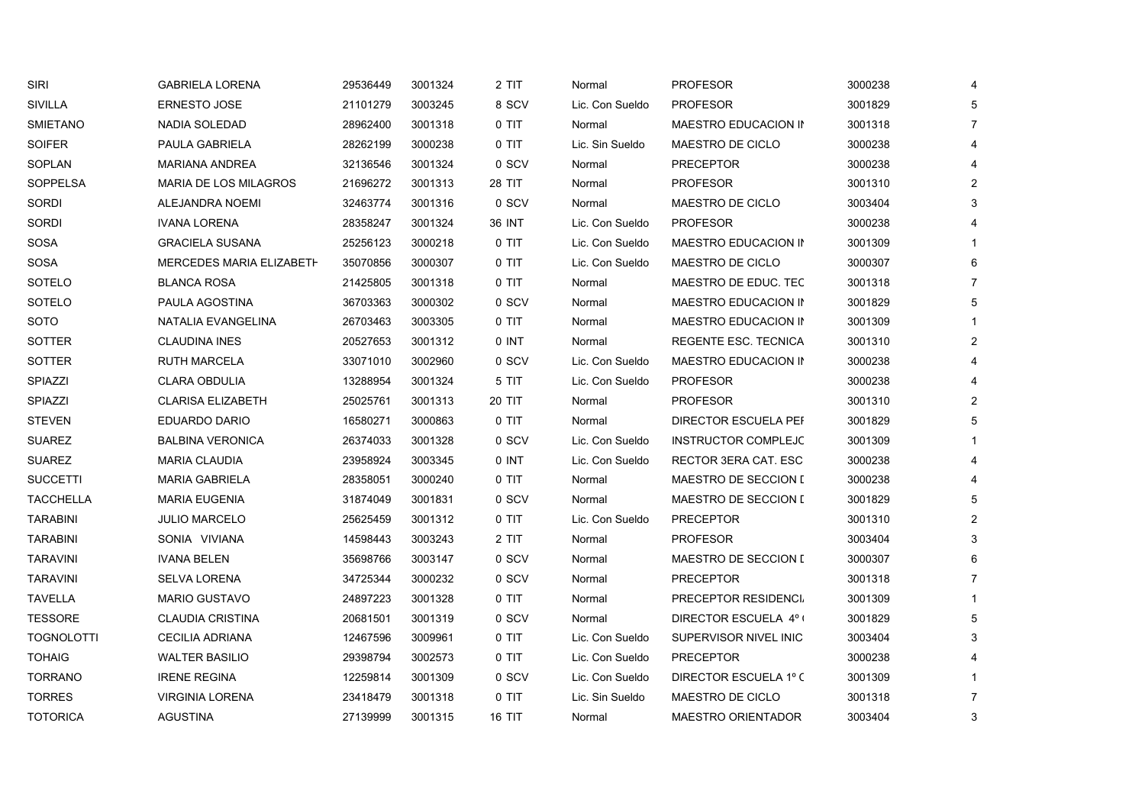| <b>SIRI</b>       | <b>GABRIELA LORENA</b>          | 29536449 | 3001324 | 2 TIT   | Normal          | <b>PROFESOR</b>             | 3000238 | 4              |
|-------------------|---------------------------------|----------|---------|---------|-----------------|-----------------------------|---------|----------------|
| SIVILLA           | <b>ERNESTO JOSE</b>             | 21101279 | 3003245 | 8 SCV   | Lic. Con Sueldo | <b>PROFESOR</b>             | 3001829 | 5              |
| <b>SMIETANO</b>   | <b>NADIA SOLEDAD</b>            | 28962400 | 3001318 | $0$ TIT | Normal          | MAESTRO EDUCACION IN        | 3001318 | $\overline{7}$ |
| <b>SOIFER</b>     | PAULA GABRIELA                  | 28262199 | 3000238 | 0 TIT   | Lic. Sin Sueldo | MAESTRO DE CICLO            | 3000238 | 4              |
| SOPLAN            | <b>MARIANA ANDREA</b>           | 32136546 | 3001324 | 0 SCV   | Normal          | <b>PRECEPTOR</b>            | 3000238 | 4              |
| <b>SOPPELSA</b>   | <b>MARIA DE LOS MILAGROS</b>    | 21696272 | 3001313 | 28 TIT  | Normal          | <b>PROFESOR</b>             | 3001310 | 2              |
| <b>SORDI</b>      | ALEJANDRA NOEMI                 | 32463774 | 3001316 | 0 SCV   | Normal          | MAESTRO DE CICLO            | 3003404 | 3              |
| <b>SORDI</b>      | <b>IVANA LORENA</b>             | 28358247 | 3001324 | 36 INT  | Lic. Con Sueldo | <b>PROFESOR</b>             | 3000238 |                |
| SOSA              | <b>GRACIELA SUSANA</b>          | 25256123 | 3000218 | 0 TIT   | Lic. Con Sueldo | MAESTRO EDUCACION IN        | 3001309 |                |
| <b>SOSA</b>       | <b>MERCEDES MARIA ELIZABETH</b> | 35070856 | 3000307 | 0 TIT   | Lic. Con Sueldo | MAESTRO DE CICLO            | 3000307 | 6              |
| SOTELO            | <b>BLANCA ROSA</b>              | 21425805 | 3001318 | 0 TIT   | Normal          | MAESTRO DE EDUC. TEC        | 3001318 | 7              |
| SOTELO            | PAULA AGOSTINA                  | 36703363 | 3000302 | 0 SCV   | Normal          | MAESTRO EDUCACION IN        | 3001829 | 5              |
| SOTO              | NATALIA EVANGELINA              | 26703463 | 3003305 | 0 TIT   | Normal          | MAESTRO EDUCACION IN        | 3001309 |                |
| <b>SOTTER</b>     | <b>CLAUDINA INES</b>            | 20527653 | 3001312 | 0 INT   | Normal          | REGENTE ESC. TECNICA        | 3001310 | $\overline{2}$ |
| SOTTER            | <b>RUTH MARCELA</b>             | 33071010 | 3002960 | 0 SCV   | Lic. Con Sueldo | MAESTRO EDUCACION IN        | 3000238 | 4              |
| SPIAZZI           | <b>CLARA OBDULIA</b>            | 13288954 | 3001324 | 5 TIT   | Lic. Con Sueldo | <b>PROFESOR</b>             | 3000238 | 4              |
| SPIAZZI           | <b>CLARISA ELIZABETH</b>        | 25025761 | 3001313 | 20 TIT  | Normal          | <b>PROFESOR</b>             | 3001310 | $\overline{2}$ |
| <b>STEVEN</b>     | <b>EDUARDO DARIO</b>            | 16580271 | 3000863 | 0 TIT   | Normal          | <b>DIRECTOR ESCUELA PEF</b> | 3001829 | 5              |
| <b>SUAREZ</b>     | <b>BALBINA VERONICA</b>         | 26374033 | 3001328 | 0 SCV   | Lic. Con Sueldo | <b>INSTRUCTOR COMPLEJC</b>  | 3001309 |                |
| <b>SUAREZ</b>     | <b>MARIA CLAUDIA</b>            | 23958924 | 3003345 | 0 INT   | Lic. Con Sueldo | RECTOR 3ERA CAT. ESC.       | 3000238 | 4              |
| <b>SUCCETTI</b>   | <b>MARIA GABRIELA</b>           | 28358051 | 3000240 | 0 TIT   | Normal          | <b>MAESTRO DE SECCION [</b> | 3000238 |                |
| <b>TACCHELLA</b>  | <b>MARIA EUGENIA</b>            | 31874049 | 3001831 | 0 SCV   | Normal          | MAESTRO DE SECCION I        | 3001829 | 5              |
| <b>TARABINI</b>   | <b>JULIO MARCELO</b>            | 25625459 | 3001312 | 0 TIT   | Lic. Con Sueldo | <b>PRECEPTOR</b>            | 3001310 | $\overline{2}$ |
| <b>TARABINI</b>   | SONIA VIVIANA                   | 14598443 | 3003243 | 2 TIT   | Normal          | <b>PROFESOR</b>             | 3003404 | 3              |
| <b>TARAVINI</b>   | <b>IVANA BELEN</b>              | 35698766 | 3003147 | 0 SCV   | Normal          | <b>MAESTRO DE SECCION [</b> | 3000307 | 6              |
| <b>TARAVINI</b>   | SELVA LORENA                    | 34725344 | 3000232 | 0 SCV   | Normal          | <b>PRECEPTOR</b>            | 3001318 | $\overline{7}$ |
| TAVELLA           | <b>MARIO GUSTAVO</b>            | 24897223 | 3001328 | 0 TIT   | Normal          | PRECEPTOR RESIDENCI         | 3001309 |                |
| TESSORE           | <b>CLAUDIA CRISTINA</b>         | 20681501 | 3001319 | 0 SCV   | Normal          | DIRECTOR ESCUELA 4º (       | 3001829 | 5              |
| <b>TOGNOLOTTI</b> | <b>CECILIA ADRIANA</b>          | 12467596 | 3009961 | $0$ TIT | Lic. Con Sueldo | SUPERVISOR NIVEL INICI      | 3003404 | 3              |
| <b>TOHAIG</b>     | <b>WALTER BASILIO</b>           | 29398794 | 3002573 | $0$ TIT | Lic. Con Sueldo | <b>PRECEPTOR</b>            | 3000238 |                |
| <b>TORRANO</b>    | <b>IRENE REGINA</b>             | 12259814 | 3001309 | 0 SCV   | Lic. Con Sueldo | DIRECTOR ESCUELA 1º C       | 3001309 |                |
| <b>TORRES</b>     | <b>VIRGINIA LORENA</b>          | 23418479 | 3001318 | 0 TIT   | Lic. Sin Sueldo | MAESTRO DE CICLO            | 3001318 | $\overline{7}$ |
| <b>TOTORICA</b>   | <b>AGUSTINA</b>                 | 27139999 | 3001315 | 16 TIT  | Normal          | <b>MAESTRO ORIENTADOR</b>   | 3003404 | 3              |
|                   |                                 |          |         |         |                 |                             |         |                |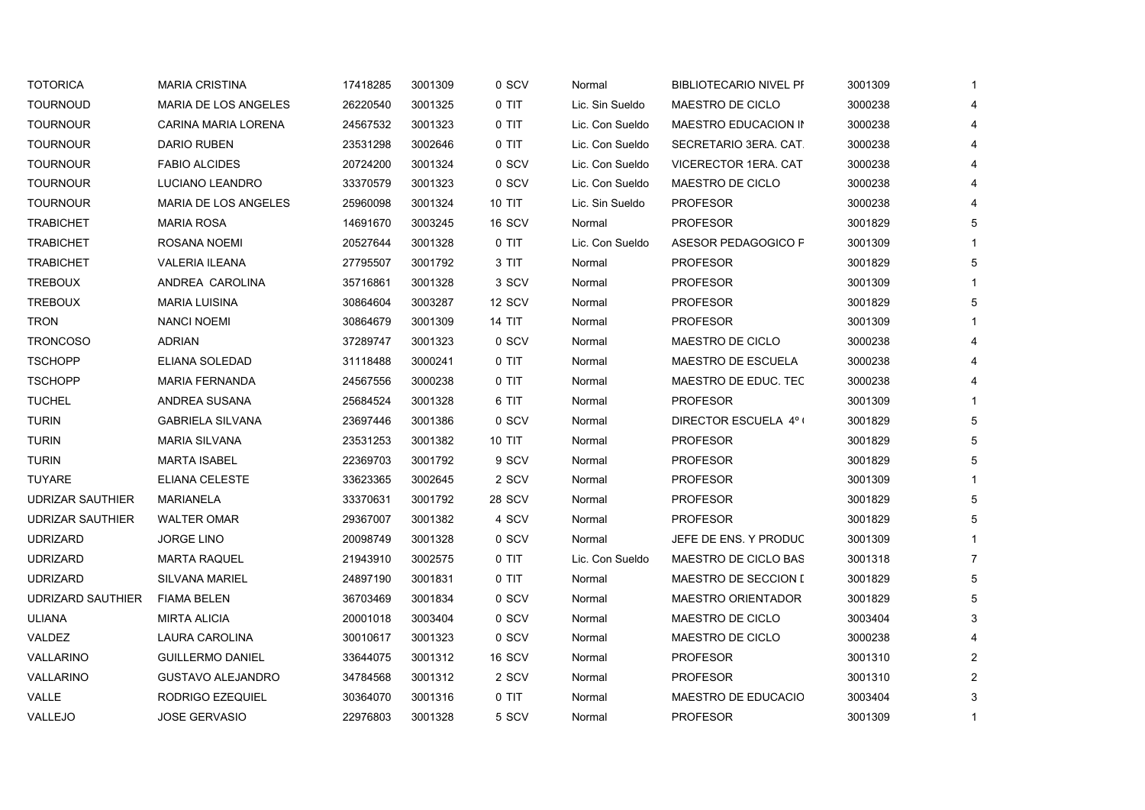| <b>TOURNOUD</b><br><b>TOURNOUR</b><br><b>TOURNOUR</b><br><b>TOURNOUR</b><br><b>TOURNOUR</b> | <b>MARIA DE LOS ANGELES</b><br>CARINA MARIA LORENA<br><b>DARIO RUBEN</b><br><b>FABIO ALCIDES</b><br>LUCIANO LEANDRO<br>MARIA DE LOS ANGELES<br><b>MARIA ROSA</b><br>ROSANA NOEMI | 26220540<br>24567532<br>23531298<br>20724200<br>33370579<br>25960098<br>14691670 | 3001325<br>3001323<br>3002646<br>3001324<br>3001323<br>3001324 | 0 TIT<br>0 TIT<br>0 TIT<br>0 SCV<br>0 SCV<br><b>10 TIT</b> | Lic. Sin Sueldo<br>Lic. Con Sueldo<br>Lic. Con Sueldo<br>Lic. Con Sueldo<br>Lic. Con Sueldo | MAESTRO DE CICLO<br>MAESTRO EDUCACION IN<br>SECRETARIO 3ERA. CAT.<br>VICERECTOR 1ERA. CAT.<br>MAESTRO DE CICLO | 3000238<br>3000238<br>3000238<br>3000238<br>3000238 | 4<br>4<br>4<br>4 |
|---------------------------------------------------------------------------------------------|----------------------------------------------------------------------------------------------------------------------------------------------------------------------------------|----------------------------------------------------------------------------------|----------------------------------------------------------------|------------------------------------------------------------|---------------------------------------------------------------------------------------------|----------------------------------------------------------------------------------------------------------------|-----------------------------------------------------|------------------|
|                                                                                             |                                                                                                                                                                                  |                                                                                  |                                                                |                                                            |                                                                                             |                                                                                                                |                                                     |                  |
|                                                                                             |                                                                                                                                                                                  |                                                                                  |                                                                |                                                            |                                                                                             |                                                                                                                |                                                     |                  |
|                                                                                             |                                                                                                                                                                                  |                                                                                  |                                                                |                                                            |                                                                                             |                                                                                                                |                                                     |                  |
|                                                                                             |                                                                                                                                                                                  |                                                                                  |                                                                |                                                            |                                                                                             |                                                                                                                |                                                     |                  |
|                                                                                             |                                                                                                                                                                                  |                                                                                  |                                                                |                                                            |                                                                                             |                                                                                                                |                                                     | 4                |
| <b>TOURNOUR</b>                                                                             |                                                                                                                                                                                  |                                                                                  |                                                                |                                                            | Lic. Sin Sueldo                                                                             | <b>PROFESOR</b>                                                                                                | 3000238                                             | 4                |
| <b>TRABICHET</b>                                                                            |                                                                                                                                                                                  |                                                                                  | 3003245                                                        | 16 SCV                                                     | Normal                                                                                      | <b>PROFESOR</b>                                                                                                | 3001829                                             | 5                |
| <b>TRABICHET</b>                                                                            |                                                                                                                                                                                  | 20527644                                                                         | 3001328                                                        | 0 TIT                                                      | Lic. Con Sueldo                                                                             | ASESOR PEDAGOGICO P                                                                                            | 3001309                                             |                  |
| <b>TRABICHET</b>                                                                            | <b>VALERIA ILEANA</b>                                                                                                                                                            | 27795507                                                                         | 3001792                                                        | 3 TIT                                                      | Normal                                                                                      | <b>PROFESOR</b>                                                                                                | 3001829                                             | 5                |
| <b>TREBOUX</b>                                                                              | ANDREA CAROLINA                                                                                                                                                                  | 35716861                                                                         | 3001328                                                        | 3 SCV                                                      | Normal                                                                                      | <b>PROFESOR</b>                                                                                                | 3001309                                             |                  |
| <b>TREBOUX</b>                                                                              | <b>MARIA LUISINA</b>                                                                                                                                                             | 30864604                                                                         | 3003287                                                        | 12 SCV                                                     | Normal                                                                                      | <b>PROFESOR</b>                                                                                                | 3001829                                             | 5                |
| <b>TRON</b>                                                                                 | <b>NANCI NOEMI</b>                                                                                                                                                               | 30864679                                                                         | 3001309                                                        | 14 TIT                                                     | Normal                                                                                      | <b>PROFESOR</b>                                                                                                | 3001309                                             |                  |
| <b>TRONCOSO</b>                                                                             | <b>ADRIAN</b>                                                                                                                                                                    | 37289747                                                                         | 3001323                                                        | 0 SCV                                                      | Normal                                                                                      | MAESTRO DE CICLO                                                                                               | 3000238                                             | 4                |
| <b>TSCHOPP</b>                                                                              | ELIANA SOLEDAD                                                                                                                                                                   | 31118488                                                                         | 3000241                                                        | 0 TIT                                                      | Normal                                                                                      | <b>MAESTRO DE ESCUELA</b>                                                                                      | 3000238                                             | 4                |
| <b>TSCHOPP</b>                                                                              | <b>MARIA FERNANDA</b>                                                                                                                                                            | 24567556                                                                         | 3000238                                                        | 0 TIT                                                      | Normal                                                                                      | MAESTRO DE EDUC. TEC                                                                                           | 3000238                                             | 4                |
| <b>TUCHEL</b>                                                                               | ANDREA SUSANA                                                                                                                                                                    | 25684524                                                                         | 3001328                                                        | 6 TIT                                                      | Normal                                                                                      | <b>PROFESOR</b>                                                                                                | 3001309                                             |                  |
| <b>TURIN</b>                                                                                | <b>GABRIELA SILVANA</b>                                                                                                                                                          | 23697446                                                                         | 3001386                                                        | 0 SCV                                                      | Normal                                                                                      | DIRECTOR ESCUELA 4°1                                                                                           | 3001829                                             | 5                |
| <b>TURIN</b>                                                                                | <b>MARIA SILVANA</b>                                                                                                                                                             | 23531253                                                                         | 3001382                                                        | <b>10 TIT</b>                                              | Normal                                                                                      | <b>PROFESOR</b>                                                                                                | 3001829                                             | 5                |
| <b>TURIN</b>                                                                                | <b>MARTA ISABEL</b>                                                                                                                                                              | 22369703                                                                         | 3001792                                                        | 9 SCV                                                      | Normal                                                                                      | PROFESOR                                                                                                       | 3001829                                             | 5                |
| <b>TUYARE</b>                                                                               | ELIANA CELESTE                                                                                                                                                                   | 33623365                                                                         | 3002645                                                        | 2 SCV                                                      | Normal                                                                                      | <b>PROFESOR</b>                                                                                                | 3001309                                             |                  |
| <b>UDRIZAR SAUTHIER</b>                                                                     | <b>MARIANELA</b>                                                                                                                                                                 | 33370631                                                                         | 3001792                                                        | <b>28 SCV</b>                                              | Normal                                                                                      | <b>PROFESOR</b>                                                                                                | 3001829                                             | 5                |
| <b>UDRIZAR SAUTHIER</b>                                                                     | <b>WALTER OMAR</b>                                                                                                                                                               | 29367007                                                                         | 3001382                                                        | 4 SCV                                                      | Normal                                                                                      | <b>PROFESOR</b>                                                                                                | 3001829                                             | 5                |
| <b>UDRIZARD</b>                                                                             | <b>JORGE LINO</b>                                                                                                                                                                | 20098749                                                                         | 3001328                                                        | 0 SCV                                                      | Normal                                                                                      | JEFE DE ENS. Y PRODUC                                                                                          | 3001309                                             |                  |
| <b>UDRIZARD</b>                                                                             | <b>MARTA RAQUEL</b>                                                                                                                                                              | 21943910                                                                         | 3002575                                                        | 0 TIT                                                      | Lic. Con Sueldo                                                                             | MAESTRO DE CICLO BAS                                                                                           | 3001318                                             | $\overline{7}$   |
| <b>UDRIZARD</b>                                                                             | <b>SILVANA MARIEL</b>                                                                                                                                                            | 24897190                                                                         | 3001831                                                        | 0 TIT                                                      | Normal                                                                                      | MAESTRO DE SECCION I                                                                                           | 3001829                                             | 5                |
| <b>UDRIZARD SAUTHIER</b>                                                                    | <b>FIAMA BELEN</b>                                                                                                                                                               | 36703469                                                                         | 3001834                                                        | 0 SCV                                                      | Normal                                                                                      | <b>MAESTRO ORIENTADOR</b>                                                                                      | 3001829                                             | 5                |
| <b>ULIANA</b>                                                                               | <b>MIRTA ALICIA</b>                                                                                                                                                              | 20001018                                                                         | 3003404                                                        | 0 SCV                                                      | Normal                                                                                      | MAESTRO DE CICLO                                                                                               | 3003404                                             | 3                |
| VALDEZ                                                                                      | LAURA CAROLINA                                                                                                                                                                   | 30010617                                                                         | 3001323                                                        | 0 SCV                                                      | Normal                                                                                      | MAESTRO DE CICLO                                                                                               | 3000238                                             | 4                |
| VALLARINO                                                                                   | <b>GUILLERMO DANIEL</b>                                                                                                                                                          | 33644075                                                                         | 3001312                                                        | 16 SCV                                                     | Normal                                                                                      | <b>PROFESOR</b>                                                                                                | 3001310                                             | $\overline{2}$   |
| VALLARINO                                                                                   | <b>GUSTAVO ALEJANDRO</b>                                                                                                                                                         | 34784568                                                                         | 3001312                                                        | 2 SCV                                                      | Normal                                                                                      | <b>PROFESOR</b>                                                                                                | 3001310                                             | $\overline{2}$   |
| VALLE                                                                                       | RODRIGO EZEQUIEL                                                                                                                                                                 | 30364070                                                                         | 3001316                                                        | 0 TIT                                                      | Normal                                                                                      | <b>MAESTRO DE EDUCACIO</b>                                                                                     | 3003404                                             | 3                |
| VALLEJO                                                                                     | <b>JOSE GERVASIO</b>                                                                                                                                                             | 22976803                                                                         | 3001328                                                        | 5 SCV                                                      | Normal                                                                                      | <b>PROFESOR</b>                                                                                                | 3001309                                             | -1               |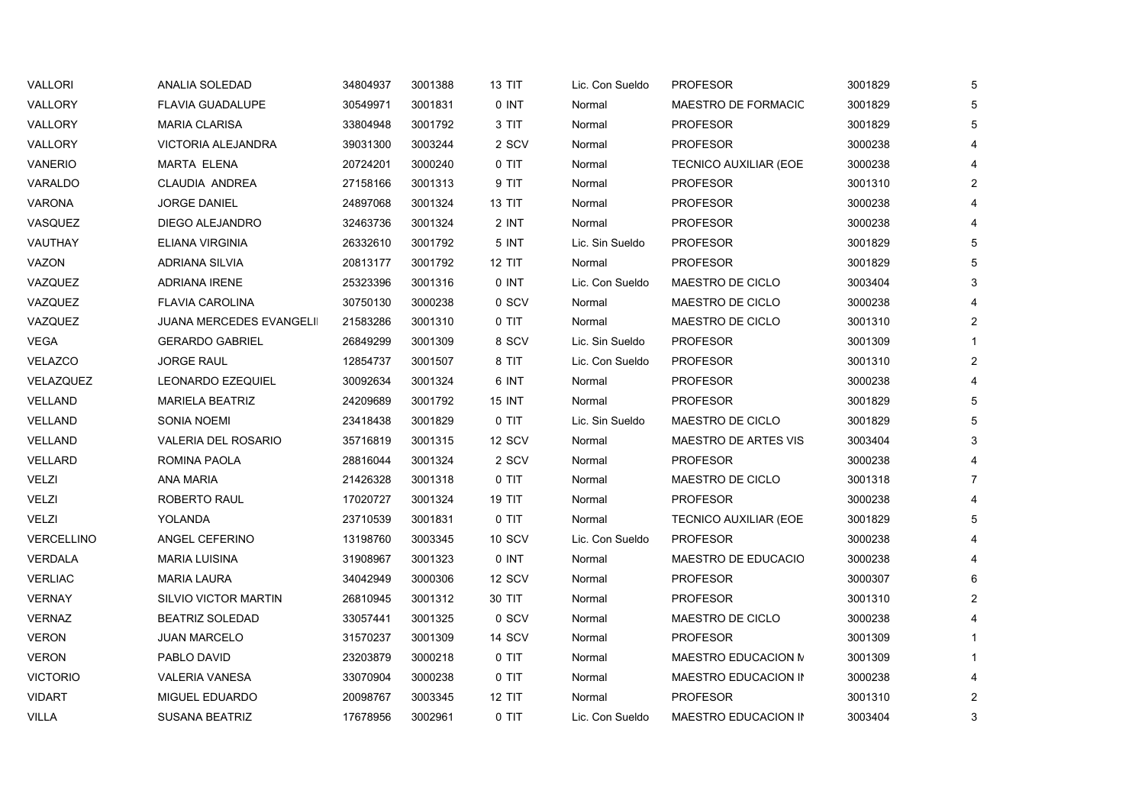| VALLORI         | ANALIA SOLEDAD                  | 34804937 | 3001388 | 13 TIT        | Lic. Con Sueldo | <b>PROFESOR</b>              | 3001829 | 5              |
|-----------------|---------------------------------|----------|---------|---------------|-----------------|------------------------------|---------|----------------|
| VALLORY         | <b>FLAVIA GUADALUPE</b>         | 30549971 | 3001831 | 0 INT         | Normal          | MAESTRO DE FORMACIC          | 3001829 | 5              |
| <b>VALLORY</b>  | <b>MARIA CLARISA</b>            | 33804948 | 3001792 | 3 TIT         | Normal          | <b>PROFESOR</b>              | 3001829 | 5              |
| VALLORY         | VICTORIA ALEJANDRA              | 39031300 | 3003244 | 2 SCV         | Normal          | <b>PROFESOR</b>              | 3000238 |                |
| VANERIO         | MARTA ELENA                     | 20724201 | 3000240 | 0 TIT         | Normal          | <b>TECNICO AUXILIAR (EOE</b> | 3000238 |                |
| VARALDO         | <b>CLAUDIA ANDREA</b>           | 27158166 | 3001313 | 9 TIT         | Normal          | <b>PROFESOR</b>              | 3001310 | $\overline{2}$ |
| <b>VARONA</b>   | <b>JORGE DANIEL</b>             | 24897068 | 3001324 | 13 TIT        | Normal          | PROFESOR                     | 3000238 | 4              |
| VASQUEZ         | DIEGO ALEJANDRO                 | 32463736 | 3001324 | 2 INT         | Normal          | <b>PROFESOR</b>              | 3000238 |                |
| VAUTHAY         | ELIANA VIRGINIA                 | 26332610 | 3001792 | 5 INT         | Lic. Sin Sueldo | <b>PROFESOR</b>              | 3001829 | 5              |
| VAZON           | ADRIANA SILVIA                  | 20813177 | 3001792 | 12 TIT        | Normal          | <b>PROFESOR</b>              | 3001829 | 5              |
| VAZQUEZ         | <b>ADRIANA IRENE</b>            | 25323396 | 3001316 | 0 INT         | Lic. Con Sueldo | MAESTRO DE CICLO             | 3003404 | 3              |
| VAZQUEZ         | <b>FLAVIA CAROLINA</b>          | 30750130 | 3000238 | 0 SCV         | Normal          | MAESTRO DE CICLO             | 3000238 |                |
| VAZQUEZ         | <b>JUANA MERCEDES EVANGELII</b> | 21583286 | 3001310 | 0 TIT         | Normal          | MAESTRO DE CICLO             | 3001310 | $\overline{2}$ |
| VEGA            | <b>GERARDO GABRIEL</b>          | 26849299 | 3001309 | 8 SCV         | Lic. Sin Sueldo | <b>PROFESOR</b>              | 3001309 |                |
| <b>VELAZCO</b>  | <b>JORGE RAUL</b>               | 12854737 | 3001507 | 8 TIT         | Lic. Con Sueldo | <b>PROFESOR</b>              | 3001310 | $\overline{2}$ |
| VELAZQUEZ       | LEONARDO EZEQUIEL               | 30092634 | 3001324 | 6 INT         | Normal          | <b>PROFESOR</b>              | 3000238 |                |
| VELLAND         | <b>MARIELA BEATRIZ</b>          | 24209689 | 3001792 | <b>15 INT</b> | Normal          | <b>PROFESOR</b>              | 3001829 | 5              |
| <b>VELLAND</b>  | <b>SONIA NOEMI</b>              | 23418438 | 3001829 | $0$ TIT       | Lic. Sin Sueldo | MAESTRO DE CICLO             | 3001829 | 5              |
| VELLAND         | <b>VALERIA DEL ROSARIO</b>      | 35716819 | 3001315 | 12 SCV        | Normal          | <b>MAESTRO DE ARTES VIS</b>  | 3003404 | 3              |
| VELLARD         | ROMINA PAOLA                    | 28816044 | 3001324 | 2 SCV         | Normal          | <b>PROFESOR</b>              | 3000238 |                |
| VELZI           | ANA MARIA                       | 21426328 | 3001318 | 0 TIT         | Normal          | MAESTRO DE CICLO             | 3001318 | $\overline{7}$ |
| VELZI           | <b>ROBERTO RAUL</b>             | 17020727 | 3001324 | 19 TIT        | Normal          | <b>PROFESOR</b>              | 3000238 |                |
| VELZI           | YOLANDA                         | 23710539 | 3001831 | 0 TIT         | Normal          | TECNICO AUXILIAR (EOE        | 3001829 | 5              |
| VERCELLINO      | ANGEL CEFERINO                  | 13198760 | 3003345 | 10 SCV        | Lic. Con Sueldo | <b>PROFESOR</b>              | 3000238 |                |
| <b>VERDALA</b>  | <b>MARIA LUISINA</b>            | 31908967 | 3001323 | 0 INT         | Normal          | MAESTRO DE EDUCACIO          | 3000238 |                |
| <b>VERLIAC</b>  | <b>MARIA LAURA</b>              | 34042949 | 3000306 | 12 SCV        | Normal          | <b>PROFESOR</b>              | 3000307 | 6              |
| <b>VERNAY</b>   | <b>SILVIO VICTOR MARTIN</b>     | 26810945 | 3001312 | 30 TIT        | Normal          | <b>PROFESOR</b>              | 3001310 | $\overline{2}$ |
| VERNAZ          | <b>BEATRIZ SOLEDAD</b>          | 33057441 | 3001325 | 0 SCV         | Normal          | MAESTRO DE CICLO             | 3000238 |                |
| <b>VERON</b>    | <b>JUAN MARCELO</b>             | 31570237 | 3001309 | <b>14 SCV</b> | Normal          | <b>PROFESOR</b>              | 3001309 |                |
| <b>VERON</b>    | PABLO DAVID                     | 23203879 | 3000218 | $0$ TIT       | Normal          | MAESTRO EDUCACION N          | 3001309 |                |
| <b>VICTORIO</b> | <b>VALERIA VANESA</b>           | 33070904 | 3000238 | 0 TIT         | Normal          | MAESTRO EDUCACION IN         | 3000238 |                |
| VIDART          | MIGUEL EDUARDO                  | 20098767 | 3003345 | <b>12 TIT</b> | Normal          | <b>PROFESOR</b>              | 3001310 | $\overline{2}$ |
| VILLA           | <b>SUSANA BEATRIZ</b>           | 17678956 | 3002961 | 0 TIT         | Lic. Con Sueldo | MAESTRO EDUCACION IN         | 3003404 | 3              |
|                 |                                 |          |         |               |                 |                              |         |                |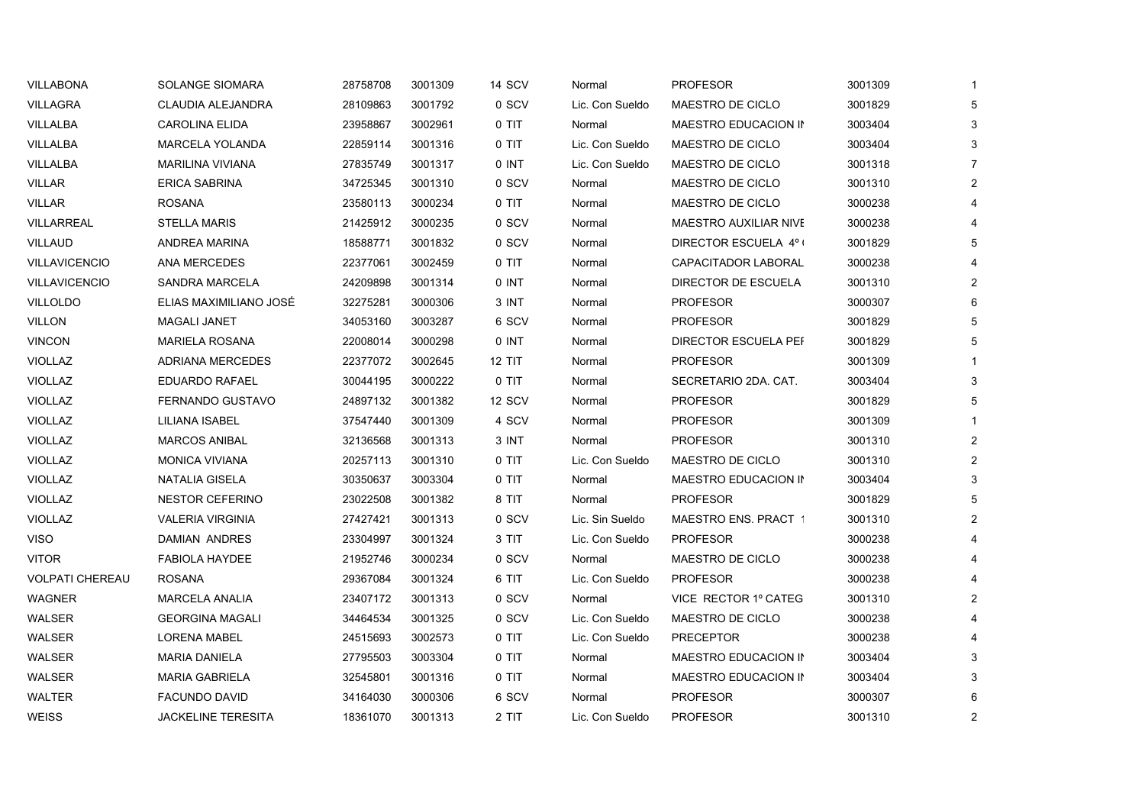| VILLABONA              | SOLANGE SIOMARA           | 28758708 | 3001309 | 14 SCV  | Normal          | <b>PROFESOR</b>              | 3001309 | $\overline{1}$ |
|------------------------|---------------------------|----------|---------|---------|-----------------|------------------------------|---------|----------------|
| <b>VILLAGRA</b>        | CLAUDIA ALEJANDRA         | 28109863 | 3001792 | 0 SCV   | Lic. Con Sueldo | MAESTRO DE CICLO             | 3001829 | 5              |
| VILLALBA               | <b>CAROLINA ELIDA</b>     | 23958867 | 3002961 | 0 TIT   | Normal          | MAESTRO EDUCACION IN         | 3003404 | 3              |
| VILLALBA               | <b>MARCELA YOLANDA</b>    | 22859114 | 3001316 | 0 TIT   | Lic. Con Sueldo | MAESTRO DE CICLO             | 3003404 | 3              |
| VILLALBA               | <b>MARILINA VIVIANA</b>   | 27835749 | 3001317 | 0 INT   | Lic. Con Sueldo | MAESTRO DE CICLO             | 3001318 | 7              |
| <b>VILLAR</b>          | <b>ERICA SABRINA</b>      | 34725345 | 3001310 | 0 SCV   | Normal          | MAESTRO DE CICLO             | 3001310 | $\overline{2}$ |
| <b>VILLAR</b>          | <b>ROSANA</b>             | 23580113 | 3000234 | $0$ TIT | Normal          | MAESTRO DE CICLO             | 3000238 |                |
| <b>VILLARREAL</b>      | <b>STELLA MARIS</b>       | 21425912 | 3000235 | 0 SCV   | Normal          | <b>MAESTRO AUXILIAR NIVE</b> | 3000238 |                |
| <b>VILLAUD</b>         | ANDREA MARINA             | 18588771 | 3001832 | 0 SCV   | Normal          | DIRECTOR ESCUELA 4º (        | 3001829 | 5              |
| <b>VILLAVICENCIO</b>   | ANA MERCEDES              | 22377061 | 3002459 | 0 TIT   | Normal          | CAPACITADOR LABORAL          | 3000238 |                |
| <b>VILLAVICENCIO</b>   | <b>SANDRA MARCELA</b>     | 24209898 | 3001314 | 0 INT   | Normal          | DIRECTOR DE ESCUELA          | 3001310 | 2              |
| VILLOLDO               | ELIAS MAXIMILIANO JOSÉ    | 32275281 | 3000306 | 3 INT   | Normal          | <b>PROFESOR</b>              | 3000307 | 6              |
| <b>VILLON</b>          | <b>MAGALI JANET</b>       | 34053160 | 3003287 | 6 SCV   | Normal          | <b>PROFESOR</b>              | 3001829 | 5              |
| <b>VINCON</b>          | <b>MARIELA ROSANA</b>     | 22008014 | 3000298 | 0 INT   | Normal          | DIRECTOR ESCUELA PEF         | 3001829 | 5              |
| <b>VIOLLAZ</b>         | <b>ADRIANA MERCEDES</b>   | 22377072 | 3002645 | 12 TIT  | Normal          | <b>PROFESOR</b>              | 3001309 |                |
| <b>VIOLLAZ</b>         | EDUARDO RAFAEL            | 30044195 | 3000222 | 0 TIT   | Normal          | SECRETARIO 2DA. CAT.         | 3003404 | 3              |
| <b>VIOLLAZ</b>         | FERNANDO GUSTAVO          | 24897132 | 3001382 | 12 SCV  | Normal          | <b>PROFESOR</b>              | 3001829 | 5              |
| <b>VIOLLAZ</b>         | LILIANA ISABEL            | 37547440 | 3001309 | 4 SCV   | Normal          | <b>PROFESOR</b>              | 3001309 |                |
| <b>VIOLLAZ</b>         | <b>MARCOS ANIBAL</b>      | 32136568 | 3001313 | 3 INT   | Normal          | <b>PROFESOR</b>              | 3001310 | 2              |
| <b>VIOLLAZ</b>         | <b>MONICA VIVIANA</b>     | 20257113 | 3001310 | 0 TIT   | Lic. Con Sueldo | MAESTRO DE CICLO             | 3001310 | $\overline{2}$ |
| VIOLLAZ                | NATALIA GISELA            | 30350637 | 3003304 | 0 TIT   | Normal          | MAESTRO EDUCACION IN         | 3003404 | 3              |
| <b>VIOLLAZ</b>         | <b>NESTOR CEFERINO</b>    | 23022508 | 3001382 | 8 TIT   | Normal          | <b>PROFESOR</b>              | 3001829 | 5              |
| VIOLLAZ                | <b>VALERIA VIRGINIA</b>   | 27427421 | 3001313 | 0 SCV   | Lic. Sin Sueldo | MAESTRO ENS. PRACT 1         | 3001310 | $\overline{2}$ |
| <b>VISO</b>            | DAMIAN ANDRES             | 23304997 | 3001324 | 3 TIT   | Lic. Con Sueldo | <b>PROFESOR</b>              | 3000238 |                |
| <b>VITOR</b>           | <b>FABIOLA HAYDEE</b>     | 21952746 | 3000234 | 0 SCV   | Normal          | MAESTRO DE CICLO             | 3000238 |                |
| <b>VOLPATI CHEREAU</b> | <b>ROSANA</b>             | 29367084 | 3001324 | 6 TIT   | Lic. Con Sueldo | <b>PROFESOR</b>              | 3000238 |                |
| <b>WAGNER</b>          | <b>MARCELA ANALIA</b>     | 23407172 | 3001313 | 0 SCV   | Normal          | VICE RECTOR 1º CATEG         | 3001310 | 2              |
| WALSER                 | <b>GEORGINA MAGALI</b>    | 34464534 | 3001325 | 0 SCV   | Lic. Con Sueldo | MAESTRO DE CICLO             | 3000238 |                |
| WALSER                 | <b>LORENA MABEL</b>       | 24515693 | 3002573 | $0$ TIT | Lic. Con Sueldo | <b>PRECEPTOR</b>             | 3000238 |                |
| WALSER                 | <b>MARIA DANIELA</b>      | 27795503 | 3003304 | $0$ TIT | Normal          | MAESTRO EDUCACION IN         | 3003404 | 3              |
| WALSER                 | <b>MARIA GABRIELA</b>     | 32545801 | 3001316 | 0 TIT   | Normal          | MAESTRO EDUCACION IN         | 3003404 | 3              |
| <b>WALTER</b>          | <b>FACUNDO DAVID</b>      | 34164030 | 3000306 | 6 SCV   | Normal          | <b>PROFESOR</b>              | 3000307 | 6              |
| <b>WEISS</b>           | <b>JACKELINE TERESITA</b> | 18361070 | 3001313 | 2 TIT   | Lic. Con Sueldo | <b>PROFESOR</b>              | 3001310 | $\overline{2}$ |